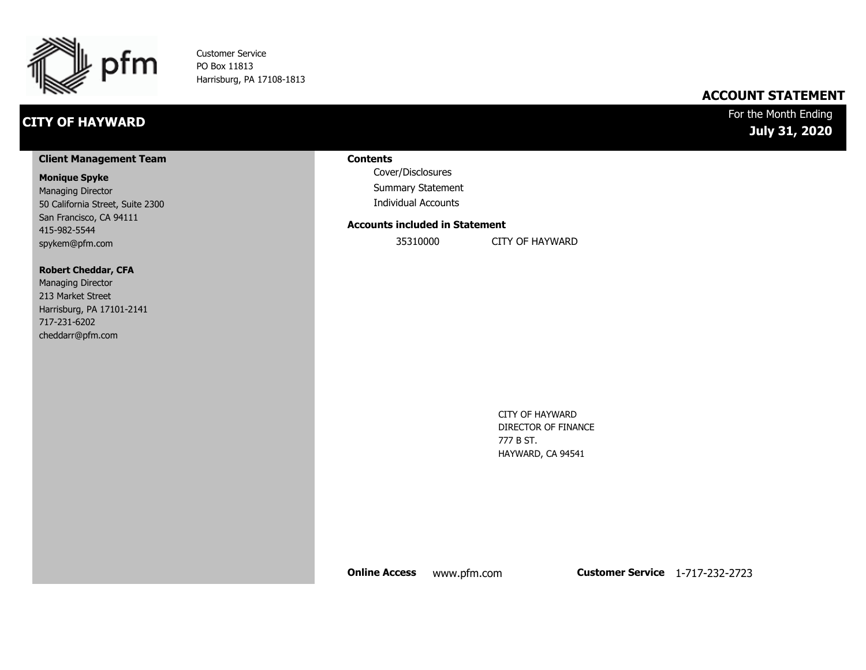

Customer Service PO Box 11813 Harrisburg, PA 17108-1813

### **CITY OF HAYWARD**

### **ACCOUNT STATEMENT**

For the Month Ending **July 31, 2020**

#### **Client Management Team**

#### **Monique Spyke**

Managing Director 50 California Street, Suite 2300 San Francisco, CA 94111 415-982-5544 spykem@pfm.com

#### **Robert Cheddar, CFA**

| <b>Managing Director</b>  |
|---------------------------|
| 213 Market Street         |
| Harrisburg, PA 17101-2141 |
| 717-231-6202              |
| cheddarr@pfm.com          |

#### **Contents**

Cover/Disclosures Summary Statement Individual Accounts

#### **Accounts included in Statement**

35310000 CITY OF HAYWARD

CITY OF HAYWARD DIRECTOR OF FINANCE 777 B ST. HAYWARD, CA 94541

**Online Access** www.pfm.com **Customer Service** 1-717-232-2723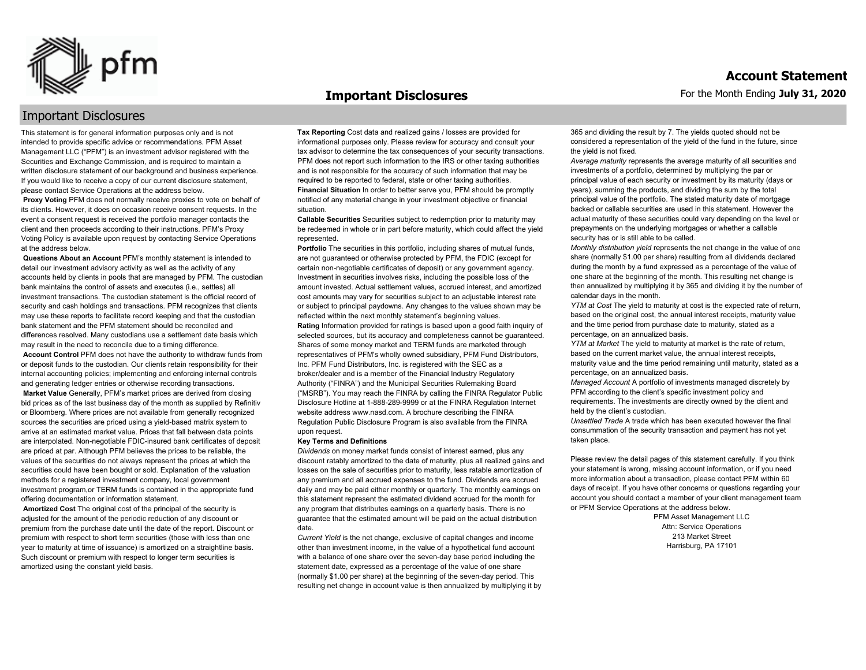

#### **Important Disclosures**

### Important Disclosures

This statement is for general information purposes only and is not intended to provide specific advice or recommendations. PFM Asset Management LLC ("PFM") is an investment advisor registered with the Securities and Exchange Commission, and is required to maintain a written disclosure statement of our background and business experience. If you would like to receive a copy of our current disclosure statement, please contact Service Operations at the address below.

**Proxy Voting** PFM does not normally receive proxies to vote on behalf of its clients. However, it does on occasion receive consent requests. In the event a consent request is received the portfolio manager contacts the client and then proceeds according to their instructions. PFM's Proxy Voting Policy is available upon request by contacting Service Operations at the address below.

**Questions About an Account** PFM's monthly statement is intended to detail our investment advisory activity as well as the activity of any accounts held by clients in pools that are managed by PFM. The custodian bank maintains the control of assets and executes (i.e., settles) all investment transactions. The custodian statement is the official record of security and cash holdings and transactions. PFM recognizes that clients may use these reports to facilitate record keeping and that the custodian bank statement and the PFM statement should be reconciled and differences resolved. Many custodians use a settlement date basis which may result in the need to reconcile due to a timing difference.

**Account Control** PFM does not have the authority to withdraw funds from or deposit funds to the custodian. Our clients retain responsibility for their internal accounting policies; implementing and enforcing internal controls and generating ledger entries or otherwise recording transactions.

**Market Value** Generally, PFM's market prices are derived from closing bid prices as of the last business day of the month as supplied by Refinitiv or Bloomberg. Where prices are not available from generally recognized sources the securities are priced using a yield-based matrix system to arrive at an estimated market value. Prices that fall between data points are interpolated. Non-negotiable FDIC-insured bank certificates of deposit are priced at par. Although PFM believes the prices to be reliable, the values of the securities do not always represent the prices at which the securities could have been bought or sold. Explanation of the valuation methods for a registered investment company, local government investment program,or TERM funds is contained in the appropriate fund offering documentation or information statement.

**Amortized Cost** The original cost of the principal of the security is adjusted for the amount of the periodic reduction of any discount or premium from the purchase date until the date of the report. Discount or premium with respect to short term securities (those with less than one year to maturity at time of issuance) is amortized on a straightline basis. Such discount or premium with respect to longer term securities is amortized using the constant yield basis.

**Tax Reporting** Cost data and realized gains / losses are provided for informational purposes only. Please review for accuracy and consult your tax advisor to determine the tax consequences of your security transactions. PFM does not report such information to the IRS or other taxing authorities and is not responsible for the accuracy of such information that may be required to be reported to federal, state or other taxing authorities. **Financial Situation** In order to better serve you, PFM should be promptly notified of any material change in your investment objective or financial situation.

**Callable Securities** Securities subject to redemption prior to maturity may be redeemed in whole or in part before maturity, which could affect the yield represented.

Portfolio The securities in this portfolio, including shares of mutual funds, are not guaranteed or otherwise protected by PFM, the FDIC (except for certain non-negotiable certificates of deposit) or any government agency. Investment in securities involves risks, including the possible loss of the amount invested. Actual settlement values, accrued interest, and amortized cost amounts may vary for securities subject to an adjustable interest rate or subject to principal paydowns. Any changes to the values shown may be reflected within the next monthly statement's beginning values. **Rating** Information provided for ratings is based upon a good faith inquiry of selected sources, but its accuracy and completeness cannot be guaranteed. Shares of some money market and TERM funds are marketed through representatives of PFM's wholly owned subsidiary, PFM Fund Distributors, Inc. PFM Fund Distributors, Inc. is registered with the SEC as a broker/dealer and is a member of the Financial Industry Regulatory Authority ("FINRA") and the Municipal Securities Rulemaking Board ("MSRB"). You may reach the FINRA by calling the FINRA Regulator Public Disclosure Hotline at 1-888-289-9999 or at the FINRA Regulation Internet website address www.nasd.com. A brochure describing the FINRA Regulation Public Disclosure Program is also available from the FINRA upon request.

#### **Key Terms and Definitions**

*Dividends* on money market funds consist of interest earned, plus any discount ratably amortized to the date of maturity, plus all realized gains and losses on the sale of securities prior to maturity, less ratable amortization of any premium and all accrued expenses to the fund. Dividends are accrued daily and may be paid either monthly or quarterly. The monthly earnings on this statement represent the estimated dividend accrued for the month for any program that distributes earnings on a quarterly basis. There is no guarantee that the estimated amount will be paid on the actual distribution date.

*Current Yield* is the net change, exclusive of capital changes and income other than investment income, in the value of a hypothetical fund account with a balance of one share over the seven-day base period including the statement date, expressed as a percentage of the value of one share (normally \$1.00 per share) at the beginning of the seven-day period. This resulting net change in account value is then annualized by multiplying it by 365 and dividing the result by 7. The yields quoted should not be considered a representation of the yield of the fund in the future, since the yield is not fixed.

*Average maturity* represents the average maturity of all securities and investments of a portfolio, determined by multiplying the par or principal value of each security or investment by its maturity (days or years), summing the products, and dividing the sum by the total principal value of the portfolio. The stated maturity date of mortgage backed or callable securities are used in this statement. However the actual maturity of these securities could vary depending on the level or prepayments on the underlying mortgages or whether a callable security has or is still able to be called.

*Monthly distribution yield* represents the net change in the value of one share (normally \$1.00 per share) resulting from all dividends declared during the month by a fund expressed as a percentage of the value of one share at the beginning of the month. This resulting net change is then annualized by multiplying it by 365 and dividing it by the number of calendar days in the month.

*YTM at Cost* The yield to maturity at cost is the expected rate of return, based on the original cost, the annual interest receipts, maturity value and the time period from purchase date to maturity, stated as a percentage, on an annualized basis.

*YTM at Market* The yield to maturity at market is the rate of return, based on the current market value, the annual interest receipts, maturity value and the time period remaining until maturity, stated as a percentage, on an annualized basis.

*Managed Account* A portfolio of investments managed discretely by PFM according to the client's specific investment policy and requirements. The investments are directly owned by the client and held by the client's custodian.

*Unsettled Trade* A trade which has been executed however the final consummation of the security transaction and payment has not yet taken place.

Please review the detail pages of this statement carefully. If you think your statement is wrong, missing account information, or if you need more information about a transaction, please contact PFM within 60 days of receipt. If you have other concerns or questions regarding your account you should contact a member of your client management team or PFM Service Operations at the address below.

> PFM Asset Management LLC Attn: Service Operations 213 Market Street Harrisburg, PA 17101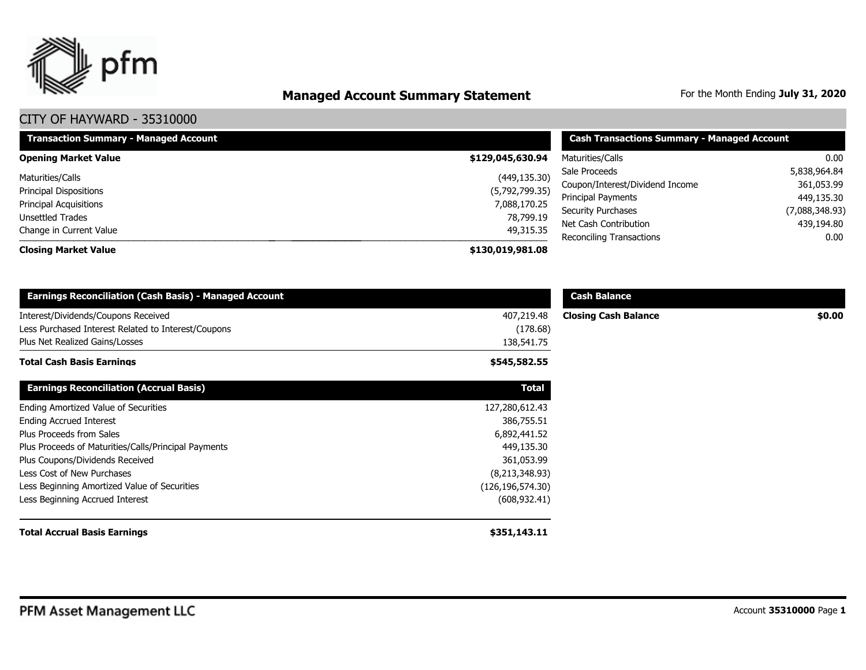

# **Managed Account Summary Statement** For the Month Ending July 31, 2020

| <b>Transaction Summary - Managed Account</b> | <b>Cash Transactions Summary - Managed Account</b> |                                 |                |  |
|----------------------------------------------|----------------------------------------------------|---------------------------------|----------------|--|
| <b>Opening Market Value</b>                  | \$129,045,630.94                                   | Maturities/Calls                | 0.00           |  |
| Maturities/Calls                             | (449, 135.30)                                      | Sale Proceeds                   | 5,838,964.84   |  |
| <b>Principal Dispositions</b>                | (5,792,799.35)                                     | Coupon/Interest/Dividend Income | 361,053.99     |  |
| <b>Principal Acquisitions</b>                | 7,088,170.25                                       | Principal Payments              | 449,135.30     |  |
| Unsettled Trades                             | 78,799.19                                          | Security Purchases              | (7,088,348.93) |  |
| Change in Current Value                      | 49,315.35                                          | Net Cash Contribution           | 439,194.80     |  |
| <b>Closing Market Value</b>                  | \$130,019,981.08                                   | Reconciling Transactions        | 0.00           |  |

| <b>Earnings Reconciliation (Cash Basis) - Managed Account</b>                                                                |                                      | <b>Cash Balance</b>         |        |
|------------------------------------------------------------------------------------------------------------------------------|--------------------------------------|-----------------------------|--------|
| Interest/Dividends/Coupons Received<br>Less Purchased Interest Related to Interest/Coupons<br>Plus Net Realized Gains/Losses | 407,219.48<br>(178.68)<br>138,541.75 | <b>Closing Cash Balance</b> | \$0.00 |
| <b>Total Cash Basis Earnings</b>                                                                                             | \$545,582.55                         |                             |        |
| <b>Earnings Reconciliation (Accrual Basis)</b>                                                                               | <b>Total</b>                         |                             |        |
| Ending Amortized Value of Securities                                                                                         | 127,280,612.43                       |                             |        |
| <b>Ending Accrued Interest</b>                                                                                               | 386,755.51                           |                             |        |
| Plus Proceeds from Sales                                                                                                     | 6,892,441.52                         |                             |        |
| Plus Proceeds of Maturities/Calls/Principal Payments                                                                         | 449,135.30                           |                             |        |
| Plus Coupons/Dividends Received                                                                                              | 361,053.99                           |                             |        |
| Less Cost of New Purchases                                                                                                   | (8,213,348.93)                       |                             |        |
| Less Beginning Amortized Value of Securities                                                                                 | (126, 196, 574.30)                   |                             |        |
| Less Beginning Accrued Interest                                                                                              | (608, 932.41)                        |                             |        |
| <b>Total Accrual Basis Earnings</b>                                                                                          | \$351,143.11                         |                             |        |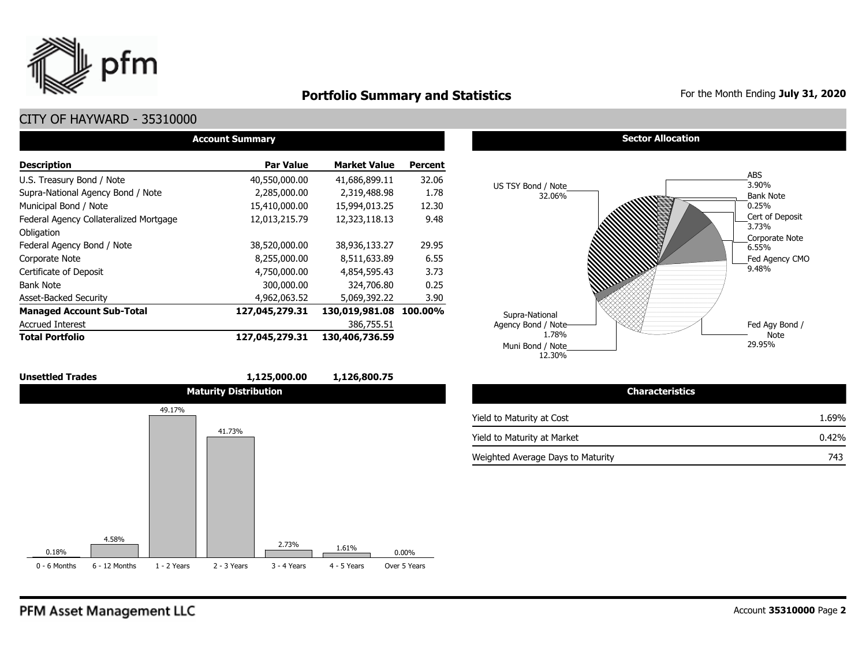

### **Portfolio Summary and Statistics** For the Month Ending July 31, 2020

### CITY OF HAYWARD - 35310000

| <b>Account Summary</b>                 |                  |                     |                |  |  |  |  |  |  |  |
|----------------------------------------|------------------|---------------------|----------------|--|--|--|--|--|--|--|
| <b>Description</b>                     | <b>Par Value</b> | <b>Market Value</b> | <b>Percent</b> |  |  |  |  |  |  |  |
| U.S. Treasury Bond / Note              | 40,550,000.00    | 41,686,899.11       | 32.06          |  |  |  |  |  |  |  |
| Supra-National Agency Bond / Note      | 2,285,000.00     | 2,319,488.98        | 1.78           |  |  |  |  |  |  |  |
| Municipal Bond / Note                  | 15,410,000.00    | 15,994,013.25       | 12.30          |  |  |  |  |  |  |  |
| Federal Agency Collateralized Mortgage | 12,013,215.79    | 12,323,118.13       | 9.48           |  |  |  |  |  |  |  |
| Obligation                             |                  |                     |                |  |  |  |  |  |  |  |
| Federal Agency Bond / Note             | 38,520,000.00    | 38,936,133.27       | 29.95          |  |  |  |  |  |  |  |
| Corporate Note                         | 8,255,000.00     | 8,511,633.89        | 6.55           |  |  |  |  |  |  |  |
| Certificate of Deposit                 | 4,750,000.00     | 4,854,595.43        | 3.73           |  |  |  |  |  |  |  |
| <b>Bank Note</b>                       | 300,000.00       | 324,706.80          | 0.25           |  |  |  |  |  |  |  |
| <b>Asset-Backed Security</b>           | 4,962,063.52     | 5,069,392.22        | 3.90           |  |  |  |  |  |  |  |
| <b>Managed Account Sub-Total</b>       | 127,045,279.31   | 130,019,981.08      | 100.00%        |  |  |  |  |  |  |  |
| <b>Accrued Interest</b>                |                  | 386,755.51          |                |  |  |  |  |  |  |  |
| <b>Total Portfolio</b>                 | 127,045,279.31   | 130,406,736.59      |                |  |  |  |  |  |  |  |



#### **Sector Allocation**



| <b>Characteristics</b>            |       |
|-----------------------------------|-------|
| Yield to Maturity at Cost         | 1.69% |
| Yield to Maturity at Market       | 0.42% |
| Weighted Average Days to Maturity | 743   |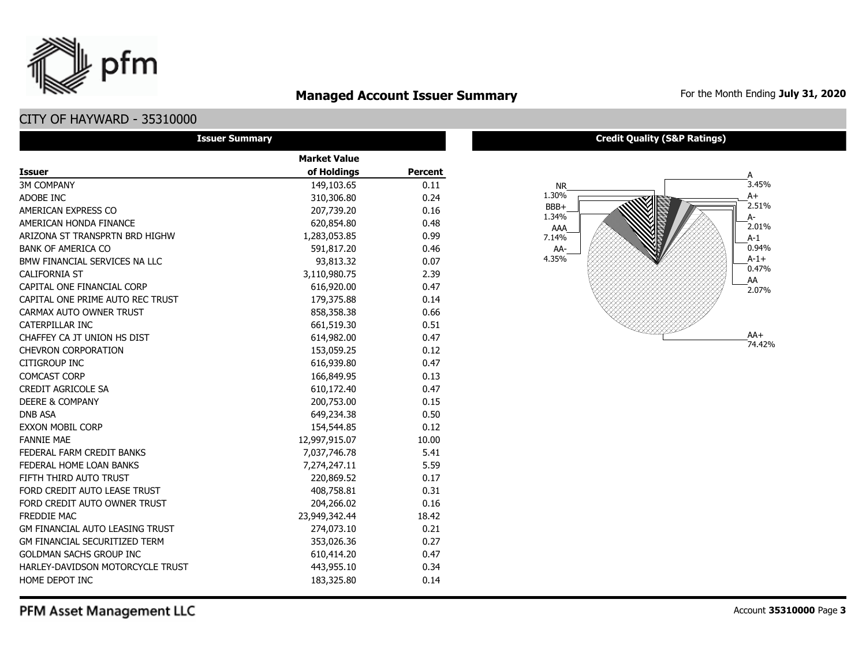### **Managed Account Issuer Summary** For the Month Ending July 31, 2020

### CITY OF HAYWARD - 35310000

pfm

| <b>Issuer Summary</b>                  |                     |                |
|----------------------------------------|---------------------|----------------|
|                                        | <b>Market Value</b> |                |
| <b>Issuer</b>                          | of Holdings         | <b>Percent</b> |
| <b>3M COMPANY</b>                      | 149,103.65          | 0.11           |
| ADOBE INC                              | 310,306.80          | 0.24           |
| AMERICAN EXPRESS CO                    | 207,739.20          | 0.16           |
| AMERICAN HONDA FINANCE                 | 620,854.80          | 0.48           |
| ARIZONA ST TRANSPRTN BRD HIGHW         | 1,283,053.85        | 0.99           |
| <b>BANK OF AMERICA CO</b>              | 591,817.20          | 0.46           |
| BMW FINANCIAL SERVICES NA LLC          | 93,813.32           | 0.07           |
| <b>CALIFORNIA ST</b>                   | 3,110,980.75        | 2.39           |
| CAPITAL ONE FINANCIAL CORP             | 616,920.00          | 0.47           |
| CAPITAL ONE PRIME AUTO REC TRUST       | 179,375.88          | 0.14           |
| CARMAX AUTO OWNER TRUST                | 858,358.38          | 0.66           |
| CATERPILLAR INC                        | 661,519.30          | 0.51           |
| CHAFFEY CA JT UNION HS DIST            | 614,982.00          | 0.47           |
| <b>CHEVRON CORPORATION</b>             | 153,059.25          | 0.12           |
| <b>CITIGROUP INC</b>                   | 616,939.80          | 0.47           |
| <b>COMCAST CORP</b>                    | 166,849.95          | 0.13           |
| <b>CREDIT AGRICOLE SA</b>              | 610,172.40          | 0.47           |
| <b>DEERE &amp; COMPANY</b>             | 200,753.00          | 0.15           |
| <b>DNB ASA</b>                         | 649,234.38          | 0.50           |
| <b>EXXON MOBIL CORP</b>                | 154,544.85          | 0.12           |
| <b>FANNIE MAE</b>                      | 12,997,915.07       | 10.00          |
| FEDERAL FARM CREDIT BANKS              | 7,037,746.78        | 5.41           |
| FEDERAL HOME LOAN BANKS                | 7,274,247.11        | 5.59           |
| FIFTH THIRD AUTO TRUST                 | 220,869.52          | 0.17           |
| FORD CREDIT AUTO LEASE TRUST           | 408,758.81          | 0.31           |
| FORD CREDIT AUTO OWNER TRUST           | 204,266.02          | 0.16           |
| <b>FREDDIE MAC</b>                     | 23,949,342.44       | 18.42          |
| <b>GM FINANCIAL AUTO LEASING TRUST</b> | 274,073.10          | 0.21           |
| <b>GM FINANCIAL SECURITIZED TERM</b>   | 353,026.36          | 0.27           |
| <b>GOLDMAN SACHS GROUP INC</b>         | 610,414.20          | 0.47           |
| HARLEY-DAVIDSON MOTORCYCLE TRUST       | 443,955.10          | 0.34           |
| HOME DEPOT INC                         | 183,325.80          | 0.14           |

#### **Credit Quality (S&P Ratings)**

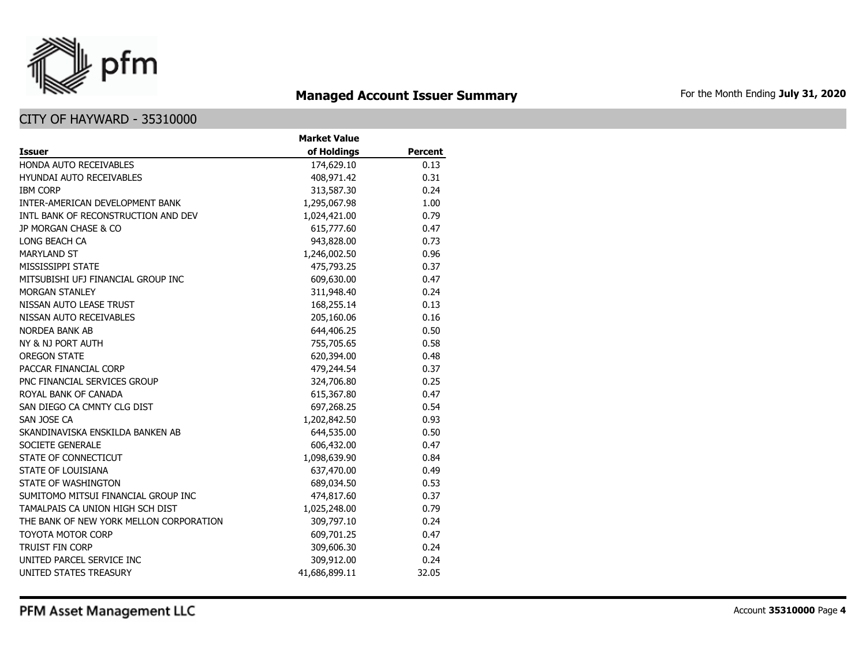

# **Managed Account Issuer Summary** For the Month Ending July 31, 2020

### CITY OF HAYWARD - 35310000

|                                         | <b>Market Value</b> |                |
|-----------------------------------------|---------------------|----------------|
| <b>Issuer</b>                           | of Holdings         | <b>Percent</b> |
| HONDA AUTO RECEIVABLES                  | 174,629.10          | 0.13           |
| <b>HYUNDAI AUTO RECEIVABLES</b>         | 408,971.42          | 0.31           |
| <b>IBM CORP</b>                         | 313,587.30          | 0.24           |
| INTER-AMERICAN DEVELOPMENT BANK         | 1,295,067.98        | 1.00           |
| INTL BANK OF RECONSTRUCTION AND DEV     | 1,024,421.00        | 0.79           |
| JP MORGAN CHASE & CO                    | 615,777.60          | 0.47           |
| LONG BEACH CA                           | 943,828.00          | 0.73           |
| <b>MARYLAND ST</b>                      | 1,246,002.50        | 0.96           |
| MISSISSIPPI STATE                       | 475,793.25          | 0.37           |
| MITSUBISHI UFJ FINANCIAL GROUP INC      | 609,630.00          | 0.47           |
| <b>MORGAN STANLEY</b>                   | 311,948.40          | 0.24           |
| NISSAN AUTO LEASE TRUST                 | 168,255.14          | 0.13           |
| NISSAN AUTO RECEIVABLES                 | 205,160.06          | 0.16           |
| <b>NORDEA BANK AB</b>                   | 644,406.25          | 0.50           |
| NY & NJ PORT AUTH                       | 755,705.65          | 0.58           |
| <b>OREGON STATE</b>                     | 620,394.00          | 0.48           |
| PACCAR FINANCIAL CORP                   | 479,244.54          | 0.37           |
| PNC FINANCIAL SERVICES GROUP            | 324,706.80          | 0.25           |
| ROYAL BANK OF CANADA                    | 615,367.80          | 0.47           |
| SAN DIEGO CA CMNTY CLG DIST             | 697,268.25          | 0.54           |
| SAN JOSE CA                             | 1,202,842.50        | 0.93           |
| SKANDINAVISKA ENSKILDA BANKEN AB        | 644,535.00          | 0.50           |
| SOCIETE GENERALE                        | 606,432.00          | 0.47           |
| STATE OF CONNECTICUT                    | 1,098,639.90        | 0.84           |
| <b>STATE OF LOUISIANA</b>               | 637,470.00          | 0.49           |
| STATE OF WASHINGTON                     | 689,034.50          | 0.53           |
| SUMITOMO MITSUI FINANCIAL GROUP INC     | 474,817.60          | 0.37           |
| TAMALPAIS CA UNION HIGH SCH DIST        | 1,025,248.00        | 0.79           |
| THE BANK OF NEW YORK MELLON CORPORATION | 309,797.10          | 0.24           |
| <b>TOYOTA MOTOR CORP</b>                | 609,701.25          | 0.47           |
| <b>TRUIST FIN CORP</b>                  | 309,606.30          | 0.24           |
| UNITED PARCEL SERVICE INC               | 309,912.00          | 0.24           |
| UNITED STATES TREASURY                  | 41,686,899.11       | 32.05          |

PFM Asset Management LLC

Account **35310000** Page **4**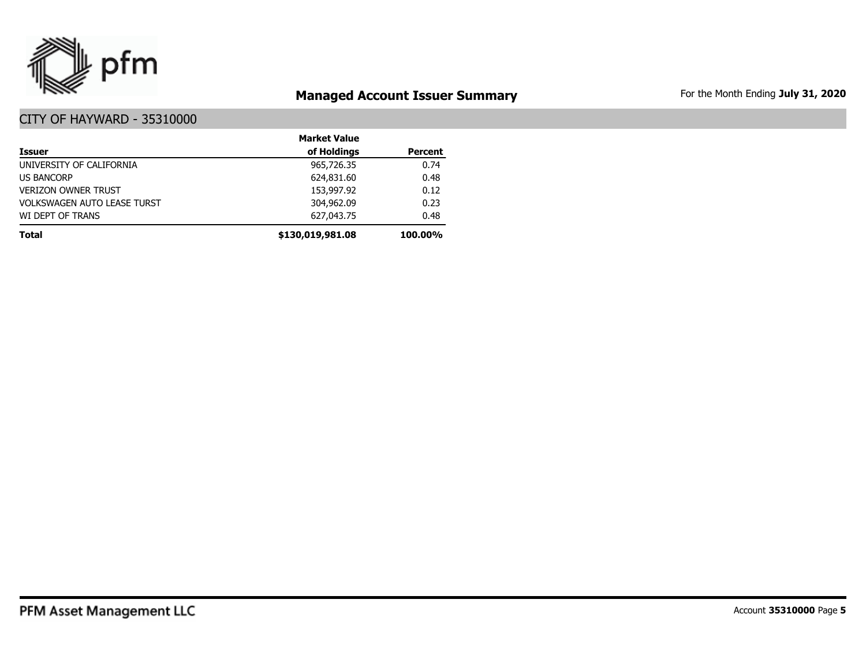

# **Managed Account Issuer Summary** For the Month Ending July 31, 2020

|                                    | <b>Market Value</b> |                |
|------------------------------------|---------------------|----------------|
| <b>Issuer</b>                      | of Holdings         | <b>Percent</b> |
| UNIVERSITY OF CALIFORNIA           | 965,726.35          | 0.74           |
| <b>US BANCORP</b>                  | 624,831.60          | 0.48           |
| <b>VERIZON OWNER TRUST</b>         | 153,997.92          | 0.12           |
| <b>VOLKSWAGEN AUTO LEASE TURST</b> | 304,962.09          | 0.23           |
| WI DEPT OF TRANS                   | 627,043.75          | 0.48           |
| <b>Total</b>                       | \$130,019,981.08    | 100.00%        |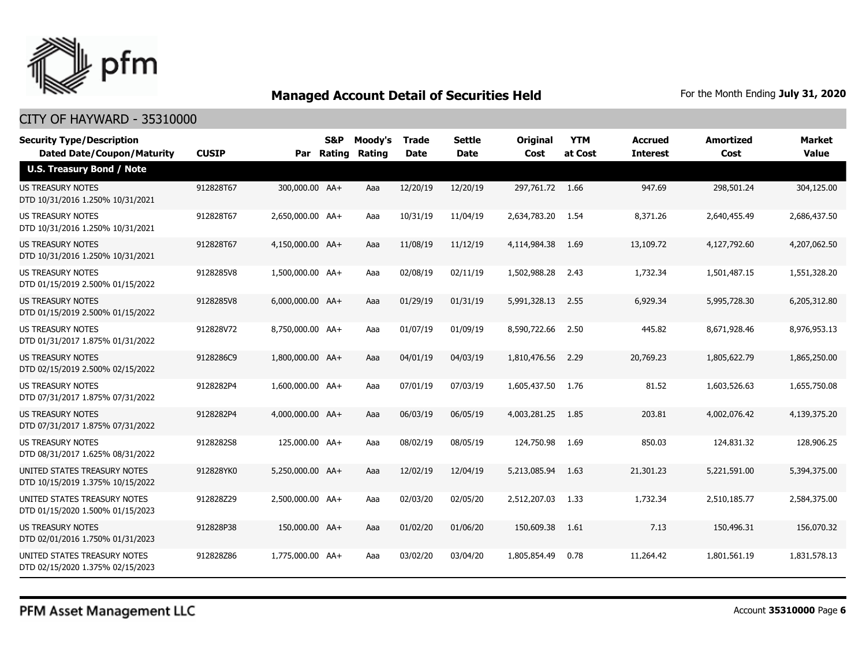

| <b>Security Type/Description</b><br><b>Dated Date/Coupon/Maturity</b> | <b>CUSIP</b> | Par              | S&P<br><b>Rating</b> | Moody's<br>Rating | <b>Trade</b><br><b>Date</b> | <b>Settle</b><br><b>Date</b> | <b>Original</b><br>Cost | <b>YTM</b><br>at Cost | <b>Accrued</b><br><b>Interest</b> | <b>Amortized</b><br>Cost | <b>Market</b><br><b>Value</b> |
|-----------------------------------------------------------------------|--------------|------------------|----------------------|-------------------|-----------------------------|------------------------------|-------------------------|-----------------------|-----------------------------------|--------------------------|-------------------------------|
| U.S. Treasury Bond / Note                                             |              |                  |                      |                   |                             |                              |                         |                       |                                   |                          |                               |
| <b>US TREASURY NOTES</b><br>DTD 10/31/2016 1.250% 10/31/2021          | 912828T67    | 300,000.00 AA+   |                      | Aaa               | 12/20/19                    | 12/20/19                     | 297.761.72 1.66         |                       | 947.69                            | 298,501.24               | 304,125.00                    |
| US TREASURY NOTES<br>DTD 10/31/2016 1.250% 10/31/2021                 | 912828T67    | 2,650,000.00 AA+ |                      | Aaa               | 10/31/19                    | 11/04/19                     | 2,634,783.20            | 1.54                  | 8,371.26                          | 2,640,455.49             | 2,686,437.50                  |
| <b>US TREASURY NOTES</b><br>DTD 10/31/2016 1.250% 10/31/2021          | 912828T67    | 4,150,000.00 AA+ |                      | Aaa               | 11/08/19                    | 11/12/19                     | 4,114,984.38            | 1.69                  | 13,109.72                         | 4,127,792.60             | 4,207,062.50                  |
| <b>US TREASURY NOTES</b><br>DTD 01/15/2019 2.500% 01/15/2022          | 9128285V8    | 1,500,000.00 AA+ |                      | Aaa               | 02/08/19                    | 02/11/19                     | 1,502,988.28            | 2.43                  | 1,732.34                          | 1,501,487.15             | 1,551,328.20                  |
| <b>US TREASURY NOTES</b><br>DTD 01/15/2019 2.500% 01/15/2022          | 9128285V8    | 6,000,000.00 AA+ |                      | Aaa               | 01/29/19                    | 01/31/19                     | 5,991,328.13            | 2.55                  | 6,929.34                          | 5,995,728.30             | 6,205,312.80                  |
| <b>US TREASURY NOTES</b><br>DTD 01/31/2017 1.875% 01/31/2022          | 912828V72    | 8,750,000.00 AA+ |                      | Aaa               | 01/07/19                    | 01/09/19                     | 8,590,722.66            | 2.50                  | 445.82                            | 8,671,928.46             | 8,976,953.13                  |
| <b>US TREASURY NOTES</b><br>DTD 02/15/2019 2.500% 02/15/2022          | 9128286C9    | 1,800,000.00 AA+ |                      | Aaa               | 04/01/19                    | 04/03/19                     | 1,810,476.56            | 2.29                  | 20,769.23                         | 1,805,622.79             | 1,865,250,00                  |
| <b>US TREASURY NOTES</b><br>DTD 07/31/2017 1.875% 07/31/2022          | 9128282P4    | 1,600,000.00 AA+ |                      | Aaa               | 07/01/19                    | 07/03/19                     | 1,605,437.50            | 1.76                  | 81.52                             | 1,603,526.63             | 1,655,750.08                  |
| <b>US TREASURY NOTES</b><br>DTD 07/31/2017 1.875% 07/31/2022          | 9128282P4    | 4,000,000.00 AA+ |                      | Aaa               | 06/03/19                    | 06/05/19                     | 4,003,281.25            | 1.85                  | 203.81                            | 4,002,076.42             | 4,139,375.20                  |
| US TREASURY NOTES<br>DTD 08/31/2017 1.625% 08/31/2022                 | 9128282S8    | 125,000.00 AA+   |                      | Aaa               | 08/02/19                    | 08/05/19                     | 124,750.98              | 1.69                  | 850.03                            | 124,831.32               | 128,906.25                    |
| UNITED STATES TREASURY NOTES<br>DTD 10/15/2019 1.375% 10/15/2022      | 912828YK0    | 5,250,000.00 AA+ |                      | Aaa               | 12/02/19                    | 12/04/19                     | 5,213,085.94            | 1.63                  | 21,301.23                         | 5,221,591.00             | 5,394,375.00                  |
| UNITED STATES TREASURY NOTES<br>DTD 01/15/2020 1.500% 01/15/2023      | 912828Z29    | 2,500,000.00 AA+ |                      | Aaa               | 02/03/20                    | 02/05/20                     | 2,512,207.03            | 1.33                  | 1,732.34                          | 2,510,185.77             | 2,584,375.00                  |
| US TREASURY NOTES<br>DTD 02/01/2016 1.750% 01/31/2023                 | 912828P38    | 150,000.00 AA+   |                      | Aaa               | 01/02/20                    | 01/06/20                     | 150,609.38              | 1.61                  | 7.13                              | 150,496.31               | 156,070.32                    |
| UNITED STATES TREASURY NOTES<br>DTD 02/15/2020 1.375% 02/15/2023      | 912828Z86    | 1,775,000.00 AA+ |                      | Aaa               | 03/02/20                    | 03/04/20                     | 1,805,854.49            | 0.78                  | 11,264.42                         | 1,801,561.19             | 1,831,578.13                  |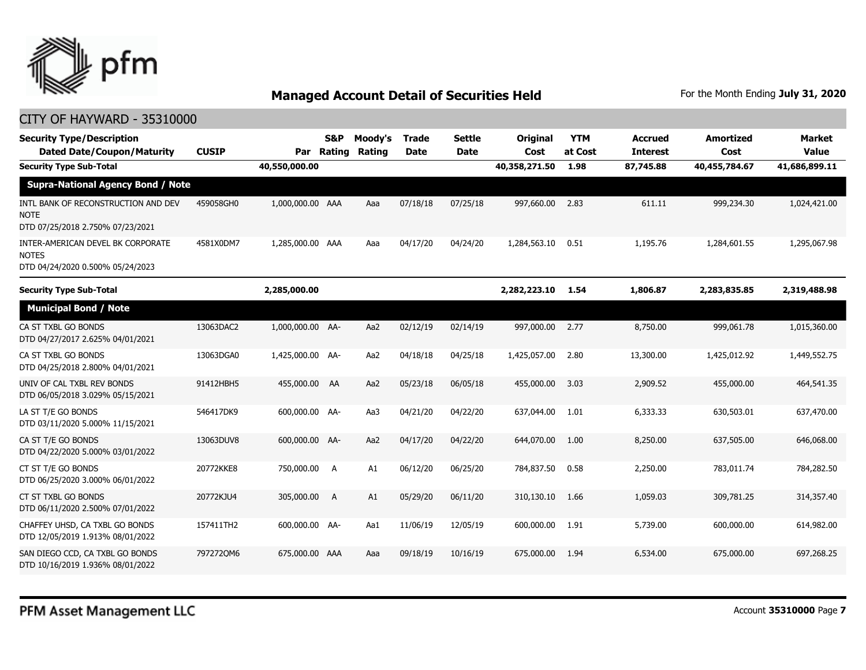

| <b>Security Type/Description</b><br><b>Dated Date/Coupon/Maturity</b>                  | <b>CUSIP</b> | Par              | S&P<br>Rating | Moody's<br>Rating | <b>Trade</b><br><b>Date</b> | <b>Settle</b><br><b>Date</b> | Original<br>Cost | <b>YTM</b><br>at Cost | <b>Accrued</b><br><b>Interest</b> | <b>Amortized</b><br>Cost | <b>Market</b><br><b>Value</b> |
|----------------------------------------------------------------------------------------|--------------|------------------|---------------|-------------------|-----------------------------|------------------------------|------------------|-----------------------|-----------------------------------|--------------------------|-------------------------------|
| <b>Security Type Sub-Total</b>                                                         |              | 40,550,000.00    |               |                   |                             |                              | 40,358,271.50    | 1.98                  | 87,745.88                         | 40,455,784.67            | 41,686,899.11                 |
| <b>Supra-National Agency Bond / Note</b>                                               |              |                  |               |                   |                             |                              |                  |                       |                                   |                          |                               |
| INTL BANK OF RECONSTRUCTION AND DEV<br><b>NOTE</b><br>DTD 07/25/2018 2.750% 07/23/2021 | 459058GH0    | 1,000,000.00 AAA |               | Aaa               | 07/18/18                    | 07/25/18                     | 997,660.00       | 2.83                  | 611.11                            | 999,234.30               | 1,024,421.00                  |
| INTER-AMERICAN DEVEL BK CORPORATE<br><b>NOTES</b><br>DTD 04/24/2020 0.500% 05/24/2023  | 4581X0DM7    | 1,285,000.00 AAA |               | Aaa               | 04/17/20                    | 04/24/20                     | 1,284,563.10     | 0.51                  | 1,195.76                          | 1,284,601.55             | 1,295,067.98                  |
| <b>Security Type Sub-Total</b>                                                         |              | 2,285,000.00     |               |                   |                             |                              | 2,282,223.10     | 1.54                  | 1,806.87                          | 2,283,835.85             | 2,319,488.98                  |
| <b>Municipal Bond / Note</b>                                                           |              |                  |               |                   |                             |                              |                  |                       |                                   |                          |                               |
| CA ST TXBL GO BONDS<br>DTD 04/27/2017 2.625% 04/01/2021                                | 13063DAC2    | 1,000,000.00 AA- |               | Aa2               | 02/12/19                    | 02/14/19                     | 997,000.00       | 2.77                  | 8,750.00                          | 999,061.78               | 1,015,360.00                  |
| CA ST TXBL GO BONDS<br>DTD 04/25/2018 2.800% 04/01/2021                                | 13063DGA0    | 1,425,000.00 AA- |               | Aa2               | 04/18/18                    | 04/25/18                     | 1,425,057.00     | 2.80                  | 13,300.00                         | 1,425,012.92             | 1,449,552.75                  |
| UNIV OF CAL TXBL REV BONDS<br>DTD 06/05/2018 3.029% 05/15/2021                         | 91412HBH5    | 455,000.00 AA    |               | Aa2               | 05/23/18                    | 06/05/18                     | 455,000.00       | 3.03                  | 2,909.52                          | 455,000.00               | 464,541.35                    |
| LA ST T/E GO BONDS<br>DTD 03/11/2020 5.000% 11/15/2021                                 | 546417DK9    | 600,000,00 AA-   |               | Aa3               | 04/21/20                    | 04/22/20                     | 637,044.00       | 1.01                  | 6,333.33                          | 630,503.01               | 637,470.00                    |
| CA ST T/E GO BONDS<br>DTD 04/22/2020 5.000% 03/01/2022                                 | 13063DUV8    | 600,000.00 AA-   |               | Aa2               | 04/17/20                    | 04/22/20                     | 644,070.00       | 1.00                  | 8,250,00                          | 637,505,00               | 646,068.00                    |
| CT ST T/E GO BONDS<br>DTD 06/25/2020 3.000% 06/01/2022                                 | 20772KKE8    | 750,000.00 A     |               | A1                | 06/12/20                    | 06/25/20                     | 784,837.50       | 0.58                  | 2,250.00                          | 783,011.74               | 784,282.50                    |
| CT ST TXBL GO BONDS<br>DTD 06/11/2020 2.500% 07/01/2022                                | 20772KJU4    | 305,000.00       | A             | A1                | 05/29/20                    | 06/11/20                     | 310,130.10       | 1.66                  | 1,059.03                          | 309,781.25               | 314,357.40                    |
| CHAFFEY UHSD, CA TXBL GO BONDS<br>DTD 12/05/2019 1.913% 08/01/2022                     | 157411TH2    | 600,000.00 AA-   |               | Aa1               | 11/06/19                    | 12/05/19                     | 600,000.00       | 1.91                  | 5,739.00                          | 600,000.00               | 614,982.00                    |
| SAN DIEGO CCD, CA TXBL GO BONDS<br>DTD 10/16/2019 1.936% 08/01/2022                    | 7972720M6    | 675,000.00 AAA   |               | Aaa               | 09/18/19                    | 10/16/19                     | 675,000.00       | 1.94                  | 6,534.00                          | 675,000.00               | 697,268.25                    |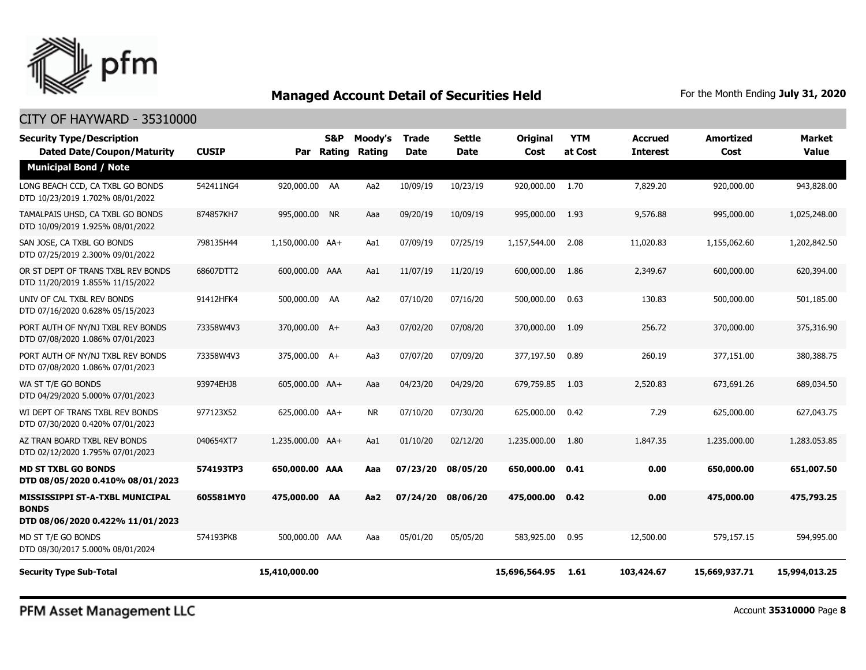

#### CITY OF HAYWARD - 35310000

| <b>Security Type/Description</b><br><b>Dated Date/Coupon/Maturity</b>               | <b>CUSIP</b> |                  | S&P<br>Par Rating | Moody's<br><b>Rating</b> | Trade<br>Date | <b>Settle</b><br><b>Date</b> | <b>Original</b><br>Cost | <b>YTM</b><br>at Cost | <b>Accrued</b><br><b>Interest</b> | <b>Amortized</b><br>Cost | <b>Market</b><br><b>Value</b> |
|-------------------------------------------------------------------------------------|--------------|------------------|-------------------|--------------------------|---------------|------------------------------|-------------------------|-----------------------|-----------------------------------|--------------------------|-------------------------------|
| <b>Municipal Bond / Note</b>                                                        |              |                  |                   |                          |               |                              |                         |                       |                                   |                          |                               |
| LONG BEACH CCD, CA TXBL GO BONDS<br>DTD 10/23/2019 1.702% 08/01/2022                | 542411NG4    | 920,000.00 AA    |                   | Aa2                      | 10/09/19      | 10/23/19                     | 920,000.00              | 1.70                  | 7,829.20                          | 920,000.00               | 943,828.00                    |
| TAMALPAIS UHSD, CA TXBL GO BONDS<br>DTD 10/09/2019 1.925% 08/01/2022                | 874857KH7    | 995,000.00 NR    |                   | Aaa                      | 09/20/19      | 10/09/19                     | 995,000.00              | 1.93                  | 9,576.88                          | 995,000.00               | 1,025,248.00                  |
| SAN JOSE, CA TXBL GO BONDS<br>DTD 07/25/2019 2.300% 09/01/2022                      | 798135H44    | 1,150,000.00 AA+ |                   | Aa1                      | 07/09/19      | 07/25/19                     | 1,157,544.00            | 2.08                  | 11,020.83                         | 1,155,062.60             | 1,202,842.50                  |
| OR ST DEPT OF TRANS TXBL REV BONDS<br>DTD 11/20/2019 1.855% 11/15/2022              | 68607DTT2    | 600,000.00 AAA   |                   | Aa1                      | 11/07/19      | 11/20/19                     | 600,000.00              | 1.86                  | 2,349.67                          | 600,000.00               | 620,394.00                    |
| UNIV OF CAL TXBL REV BONDS<br>DTD 07/16/2020 0.628% 05/15/2023                      | 91412HFK4    | 500,000.00 AA    |                   | Aa2                      | 07/10/20      | 07/16/20                     | 500,000.00              | 0.63                  | 130.83                            | 500,000.00               | 501,185.00                    |
| PORT AUTH OF NY/NJ TXBL REV BONDS<br>DTD 07/08/2020 1.086% 07/01/2023               | 73358W4V3    | 370,000.00 A+    |                   | Aa3                      | 07/02/20      | 07/08/20                     | 370,000.00              | 1.09                  | 256.72                            | 370,000.00               | 375,316.90                    |
| PORT AUTH OF NY/NJ TXBL REV BONDS<br>DTD 07/08/2020 1.086% 07/01/2023               | 73358W4V3    | 375,000.00 A+    |                   | Aa3                      | 07/07/20      | 07/09/20                     | 377,197.50              | 0.89                  | 260.19                            | 377,151.00               | 380,388.75                    |
| WA ST T/E GO BONDS<br>DTD 04/29/2020 5.000% 07/01/2023                              | 93974EHJ8    | 605,000.00 AA+   |                   | Aaa                      | 04/23/20      | 04/29/20                     | 679,759.85              | 1.03                  | 2,520.83                          | 673,691.26               | 689,034.50                    |
| WI DEPT OF TRANS TXBL REV BONDS<br>DTD 07/30/2020 0.420% 07/01/2023                 | 977123X52    | 625,000.00 AA+   |                   | <b>NR</b>                | 07/10/20      | 07/30/20                     | 625,000.00              | 0.42                  | 7.29                              | 625,000.00               | 627,043.75                    |
| AZ TRAN BOARD TXBL REV BONDS<br>DTD 02/12/2020 1.795% 07/01/2023                    | 040654XT7    | 1,235,000.00 AA+ |                   | Aa1                      | 01/10/20      | 02/12/20                     | 1,235,000.00            | 1.80                  | 1,847.35                          | 1,235,000.00             | 1,283,053.85                  |
| <b>MD ST TXBL GO BONDS</b><br>DTD 08/05/2020 0.410% 08/01/2023                      | 574193TP3    | 650,000.00 AAA   |                   | Aaa                      | 07/23/20      | 08/05/20                     | 650,000.00              | 0.41                  | 0.00                              | 650,000.00               | 651,007.50                    |
| MISSISSIPPI ST-A-TXBL MUNICIPAL<br><b>BONDS</b><br>DTD 08/06/2020 0.422% 11/01/2023 | 605581MY0    | 475,000.00 AA    |                   | Aa <sub>2</sub>          | 07/24/20      | 08/06/20                     | 475,000,00              | 0.42                  | 0.00                              | 475,000.00               | 475,793.25                    |
| MD ST T/E GO BONDS<br>DTD 08/30/2017 5.000% 08/01/2024                              | 574193PK8    | 500,000.00 AAA   |                   | Aaa                      | 05/01/20      | 05/05/20                     | 583,925.00              | 0.95                  | 12,500.00                         | 579,157.15               | 594,995.00                    |
| <b>Security Type Sub-Total</b>                                                      |              | 15,410,000.00    |                   |                          |               |                              | 15,696,564.95           | 1.61                  | 103,424.67                        | 15,669,937.71            | 15,994,013.25                 |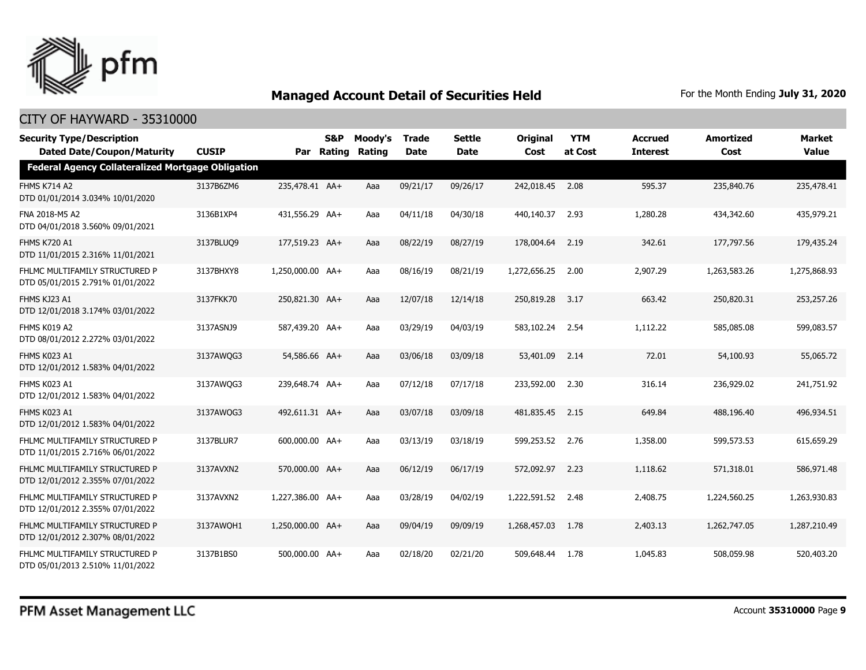

| <b>Security Type/Description</b><br><b>Dated Date/Coupon/Maturity</b> | <b>CUSIP</b> |                  | S&P<br>Par Rating | Moody's<br>Rating | <b>Trade</b><br><b>Date</b> | <b>Settle</b><br><b>Date</b> | <b>Original</b><br>Cost | <b>YTM</b><br>at Cost | <b>Accrued</b><br><b>Interest</b> | <b>Amortized</b><br>Cost | <b>Market</b><br><b>Value</b> |
|-----------------------------------------------------------------------|--------------|------------------|-------------------|-------------------|-----------------------------|------------------------------|-------------------------|-----------------------|-----------------------------------|--------------------------|-------------------------------|
| <b>Federal Agency Collateralized Mortgage Obligation</b>              |              |                  |                   |                   |                             |                              |                         |                       |                                   |                          |                               |
| <b>FHMS K714 A2</b><br>DTD 01/01/2014 3.034% 10/01/2020               | 3137B6ZM6    | 235,478.41 AA+   |                   | Aaa               | 09/21/17                    | 09/26/17                     | 242,018.45              | 2.08                  | 595.37                            | 235,840.76               | 235,478.41                    |
| FNA 2018-M5 A2<br>DTD 04/01/2018 3.560% 09/01/2021                    | 3136B1XP4    | 431,556.29 AA+   |                   | Aaa               | 04/11/18                    | 04/30/18                     | 440,140.37              | 2.93                  | 1,280.28                          | 434,342.60               | 435,979.21                    |
| <b>FHMS K720 A1</b><br>DTD 11/01/2015 2.316% 11/01/2021               | 3137BLUQ9    | 177,519.23 AA+   |                   | Aaa               | 08/22/19                    | 08/27/19                     | 178,004.64              | 2.19                  | 342.61                            | 177,797.56               | 179,435.24                    |
| FHLMC MULTIFAMILY STRUCTURED P<br>DTD 05/01/2015 2.791% 01/01/2022    | 3137BHXY8    | 1,250,000.00 AA+ |                   | Aaa               | 08/16/19                    | 08/21/19                     | 1,272,656.25            | 2.00                  | 2,907.29                          | 1,263,583.26             | 1,275,868.93                  |
| FHMS KJ23 A1<br>DTD 12/01/2018 3.174% 03/01/2022                      | 3137FKK70    | 250,821.30 AA+   |                   | Aaa               | 12/07/18                    | 12/14/18                     | 250,819.28              | 3.17                  | 663.42                            | 250,820.31               | 253,257.26                    |
| FHMS K019 A2<br>DTD 08/01/2012 2.272% 03/01/2022                      | 3137ASNJ9    | 587,439.20 AA+   |                   | Aaa               | 03/29/19                    | 04/03/19                     | 583,102.24              | 2.54                  | 1,112.22                          | 585,085.08               | 599,083.57                    |
| FHMS K023 A1<br>DTD 12/01/2012 1.583% 04/01/2022                      | 3137AWQG3    | 54,586.66 AA+    |                   | Aaa               | 03/06/18                    | 03/09/18                     | 53,401.09               | 2.14                  | 72.01                             | 54,100.93                | 55,065.72                     |
| FHMS K023 A1<br>DTD 12/01/2012 1.583% 04/01/2022                      | 3137AWQG3    | 239,648.74 AA+   |                   | Aaa               | 07/12/18                    | 07/17/18                     | 233,592.00              | 2.30                  | 316.14                            | 236,929.02               | 241,751.92                    |
| FHMS K023 A1<br>DTD 12/01/2012 1.583% 04/01/2022                      | 3137AWQG3    | 492,611.31 AA+   |                   | Aaa               | 03/07/18                    | 03/09/18                     | 481,835.45              | 2.15                  | 649.84                            | 488,196.40               | 496,934.51                    |
| FHLMC MULTIFAMILY STRUCTURED P<br>DTD 11/01/2015 2.716% 06/01/2022    | 3137BLUR7    | 600,000,00 AA+   |                   | Aaa               | 03/13/19                    | 03/18/19                     | 599,253.52              | 2.76                  | 1,358.00                          | 599,573.53               | 615,659.29                    |
| FHLMC MULTIFAMILY STRUCTURED P<br>DTD 12/01/2012 2.355% 07/01/2022    | 3137AVXN2    | 570,000.00 AA+   |                   | Aaa               | 06/12/19                    | 06/17/19                     | 572,092.97              | 2.23                  | 1,118.62                          | 571,318.01               | 586,971.48                    |
| FHLMC MULTIFAMILY STRUCTURED P<br>DTD 12/01/2012 2.355% 07/01/2022    | 3137AVXN2    | 1,227,386.00 AA+ |                   | Aaa               | 03/28/19                    | 04/02/19                     | 1,222,591.52            | 2.48                  | 2,408.75                          | 1,224,560.25             | 1,263,930.83                  |
| FHLMC MULTIFAMILY STRUCTURED P<br>DTD 12/01/2012 2.307% 08/01/2022    | 3137AWQH1    | 1,250,000.00 AA+ |                   | Aaa               | 09/04/19                    | 09/09/19                     | 1,268,457.03            | 1.78                  | 2,403.13                          | 1,262,747.05             | 1,287,210.49                  |
| FHLMC MULTIFAMILY STRUCTURED P<br>DTD 05/01/2013 2.510% 11/01/2022    | 3137B1BS0    | 500,000.00 AA+   |                   | Aaa               | 02/18/20                    | 02/21/20                     | 509,648,44              | 1.78                  | 1,045.83                          | 508,059.98               | 520,403.20                    |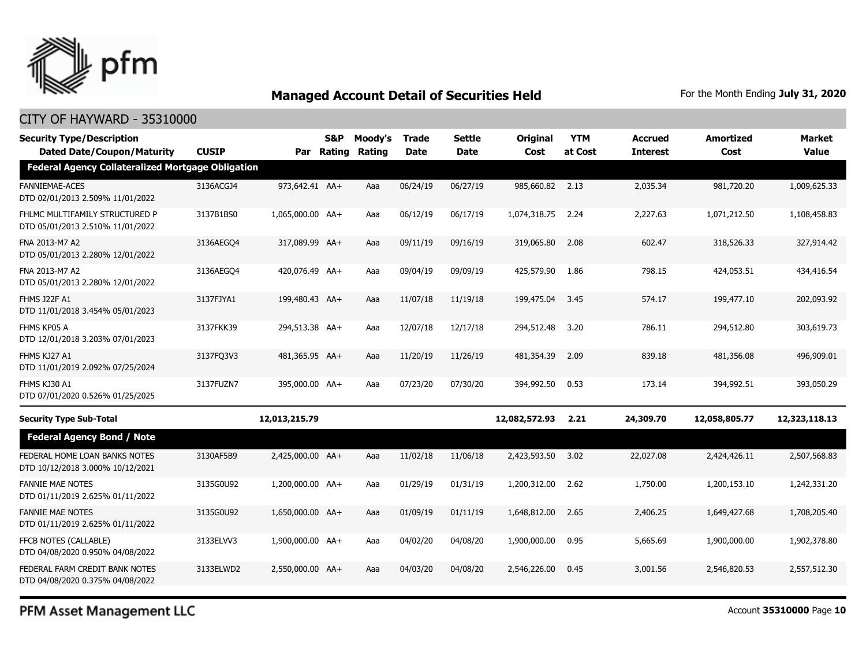

#### CITY OF HAYWARD - 35310000

| <b>Security Type/Description</b><br><b>Dated Date/Coupon/Maturity</b> | <b>CUSIP</b> | Par              | S&P<br><b>Rating</b> | Moody's<br>Rating | <b>Trade</b><br><b>Date</b> | Settle<br><b>Date</b> | <b>Original</b><br>Cost | <b>YTM</b><br>at Cost | <b>Accrued</b><br><b>Interest</b> | <b>Amortized</b><br>Cost | <b>Market</b><br>Value |
|-----------------------------------------------------------------------|--------------|------------------|----------------------|-------------------|-----------------------------|-----------------------|-------------------------|-----------------------|-----------------------------------|--------------------------|------------------------|
| <b>Federal Agency Collateralized Mortgage Obligation</b>              |              |                  |                      |                   |                             |                       |                         |                       |                                   |                          |                        |
| <b>FANNIEMAE-ACES</b><br>DTD 02/01/2013 2.509% 11/01/2022             | 3136ACGJ4    | 973,642.41 AA+   |                      | Aaa               | 06/24/19                    | 06/27/19              | 985,660.82 2.13         |                       | 2,035.34                          | 981,720.20               | 1,009,625.33           |
| FHLMC MULTIFAMILY STRUCTURED P<br>DTD 05/01/2013 2.510% 11/01/2022    | 3137B1BS0    | 1,065,000.00 AA+ |                      | Aaa               | 06/12/19                    | 06/17/19              | 1,074,318.75            | 2.24                  | 2,227.63                          | 1,071,212.50             | 1,108,458.83           |
| FNA 2013-M7 A2<br>DTD 05/01/2013 2.280% 12/01/2022                    | 3136AEGO4    | 317,089.99 AA+   |                      | Aaa               | 09/11/19                    | 09/16/19              | 319,065.80              | 2.08                  | 602.47                            | 318,526.33               | 327,914.42             |
| FNA 2013-M7 A2<br>DTD 05/01/2013 2.280% 12/01/2022                    | 3136AEGQ4    | 420,076.49 AA+   |                      | Aaa               | 09/04/19                    | 09/09/19              | 425,579.90              | 1.86                  | 798.15                            | 424,053.51               | 434,416.54             |
| <b>FHMS J22F A1</b><br>DTD 11/01/2018 3.454% 05/01/2023               | 3137FJYA1    | 199,480.43 AA+   |                      | Aaa               | 11/07/18                    | 11/19/18              | 199,475.04              | 3.45                  | 574.17                            | 199,477.10               | 202,093.92             |
| FHMS KP05 A<br>DTD 12/01/2018 3.203% 07/01/2023                       | 3137FKK39    | 294,513.38 AA+   |                      | Aaa               | 12/07/18                    | 12/17/18              | 294,512.48              | 3.20                  | 786.11                            | 294,512.80               | 303,619.73             |
| FHMS KJ27 A1<br>DTD 11/01/2019 2.092% 07/25/2024                      | 3137FQ3V3    | 481,365.95 AA+   |                      | Aaa               | 11/20/19                    | 11/26/19              | 481,354.39              | 2.09                  | 839.18                            | 481,356.08               | 496,909.01             |
| FHMS KJ30 A1<br>DTD 07/01/2020 0.526% 01/25/2025                      | 3137FUZN7    | 395,000.00 AA+   |                      | Aaa               | 07/23/20                    | 07/30/20              | 394,992.50              | 0.53                  | 173.14                            | 394,992.51               | 393,050.29             |
| <b>Security Type Sub-Total</b>                                        |              | 12,013,215.79    |                      |                   |                             |                       | 12,082,572.93           | 2.21                  | 24,309.70                         | 12,058,805.77            | 12,323,118.13          |
| <b>Federal Agency Bond / Note</b>                                     |              |                  |                      |                   |                             |                       |                         |                       |                                   |                          |                        |
| FEDERAL HOME LOAN BANKS NOTES<br>DTD 10/12/2018 3.000% 10/12/2021     | 3130AF5B9    | 2,425,000.00 AA+ |                      | Aaa               | 11/02/18                    | 11/06/18              | 2,423,593.50            | 3.02                  | 22,027.08                         | 2,424,426.11             | 2,507,568.83           |
| <b>FANNIE MAE NOTES</b><br>DTD 01/11/2019 2.625% 01/11/2022           | 3135G0U92    | 1,200,000.00 AA+ |                      | Aaa               | 01/29/19                    | 01/31/19              | 1,200,312.00            | 2.62                  | 1,750.00                          | 1,200,153.10             | 1,242,331.20           |
| <b>FANNIE MAE NOTES</b><br>DTD 01/11/2019 2.625% 01/11/2022           | 3135G0U92    | 1,650,000.00 AA+ |                      | Aaa               | 01/09/19                    | 01/11/19              | 1,648,812.00            | 2.65                  | 2,406.25                          | 1,649,427.68             | 1,708,205.40           |
| FFCB NOTES (CALLABLE)<br>DTD 04/08/2020 0.950% 04/08/2022             | 3133ELVV3    | 1,900,000.00 AA+ |                      | Aaa               | 04/02/20                    | 04/08/20              | 1,900,000.00            | 0.95                  | 5,665.69                          | 1,900,000.00             | 1,902,378.80           |
| FEDERAL FARM CREDIT BANK NOTES<br>DTD 04/08/2020 0.375% 04/08/2022    | 3133ELWD2    | 2.550.000.00 AA+ |                      | Aaa               | 04/03/20                    | 04/08/20              | 2,546,226,00            | 0.45                  | 3,001.56                          | 2,546,820.53             | 2,557,512,30           |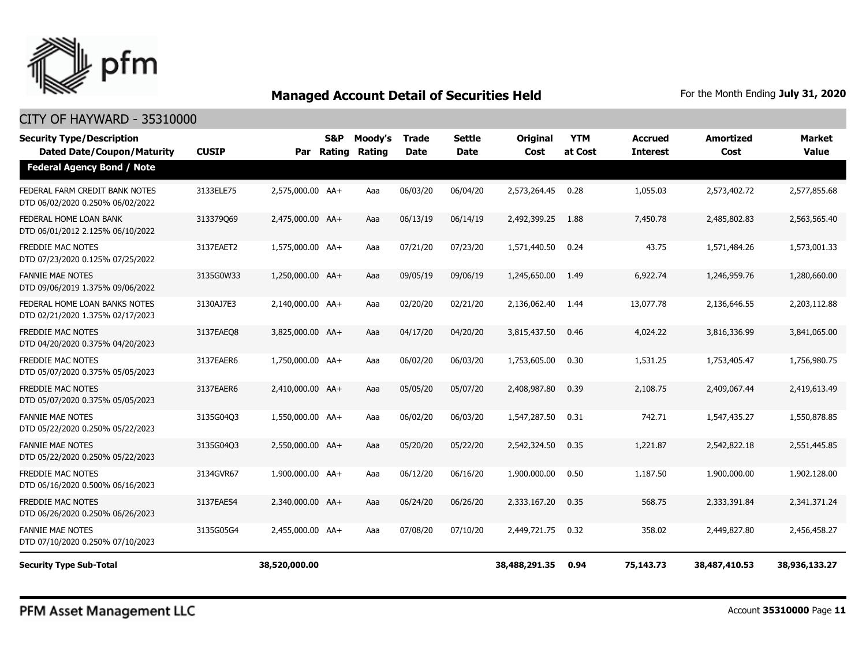

#### CITY OF HAYWARD - 35310000

| <b>Security Type/Description</b><br><b>Dated Date/Coupon/Maturity</b> | <b>CUSIP</b> | Par              | <b>S&amp;P</b><br>Rating | Moody's<br>Rating | <b>Trade</b><br><b>Date</b> | <b>Settle</b><br>Date | <b>Original</b><br>Cost | <b>YTM</b><br>at Cost | Accrued<br><b>Interest</b> | <b>Amortized</b><br>Cost | <b>Market</b><br><b>Value</b> |
|-----------------------------------------------------------------------|--------------|------------------|--------------------------|-------------------|-----------------------------|-----------------------|-------------------------|-----------------------|----------------------------|--------------------------|-------------------------------|
| <b>Federal Agency Bond / Note</b>                                     |              |                  |                          |                   |                             |                       |                         |                       |                            |                          |                               |
| FEDERAL FARM CREDIT BANK NOTES<br>DTD 06/02/2020 0.250% 06/02/2022    | 3133ELE75    | 2,575,000.00 AA+ |                          | Aaa               | 06/03/20                    | 06/04/20              | 2,573,264.45            | 0.28                  | 1,055.03                   | 2,573,402.72             | 2,577,855,68                  |
| FEDERAL HOME LOAN BANK<br>DTD 06/01/2012 2.125% 06/10/2022            | 313379069    | 2,475,000.00 AA+ |                          | Aaa               | 06/13/19                    | 06/14/19              | 2,492,399.25            | 1.88                  | 7,450.78                   | 2,485,802.83             | 2,563,565.40                  |
| <b>FREDDIE MAC NOTES</b><br>DTD 07/23/2020 0.125% 07/25/2022          | 3137EAET2    | 1,575,000.00 AA+ |                          | Aaa               | 07/21/20                    | 07/23/20              | 1,571,440.50            | 0.24                  | 43.75                      | 1,571,484.26             | 1,573,001.33                  |
| <b>FANNIE MAE NOTES</b><br>DTD 09/06/2019 1.375% 09/06/2022           | 3135G0W33    | 1,250,000.00 AA+ |                          | Aaa               | 09/05/19                    | 09/06/19              | 1,245,650.00            | 1.49                  | 6,922.74                   | 1,246,959.76             | 1,280,660.00                  |
| FEDERAL HOME LOAN BANKS NOTES<br>DTD 02/21/2020 1.375% 02/17/2023     | 3130AJ7E3    | 2,140,000.00 AA+ |                          | Aaa               | 02/20/20                    | 02/21/20              | 2,136,062.40            | 1.44                  | 13,077.78                  | 2,136,646.55             | 2,203,112.88                  |
| FREDDIE MAC NOTES<br>DTD 04/20/2020 0.375% 04/20/2023                 | 3137EAEO8    | 3,825,000.00 AA+ |                          | Aaa               | 04/17/20                    | 04/20/20              | 3,815,437.50            | 0.46                  | 4,024.22                   | 3,816,336.99             | 3,841,065.00                  |
| <b>FREDDIE MAC NOTES</b><br>DTD 05/07/2020 0.375% 05/05/2023          | 3137EAER6    | 1,750,000.00 AA+ |                          | Aaa               | 06/02/20                    | 06/03/20              | 1,753,605.00            | 0.30                  | 1,531.25                   | 1,753,405.47             | 1,756,980.75                  |
| <b>FREDDIE MAC NOTES</b><br>DTD 05/07/2020 0.375% 05/05/2023          | 3137EAER6    | 2,410,000.00 AA+ |                          | Aaa               | 05/05/20                    | 05/07/20              | 2,408,987.80            | 0.39                  | 2,108.75                   | 2,409,067.44             | 2,419,613.49                  |
| <b>FANNIE MAE NOTES</b><br>DTD 05/22/2020 0.250% 05/22/2023           | 3135G04Q3    | 1,550,000.00 AA+ |                          | Aaa               | 06/02/20                    | 06/03/20              | 1,547,287.50            | 0.31                  | 742.71                     | 1,547,435.27             | 1,550,878.85                  |
| <b>FANNIE MAE NOTES</b><br>DTD 05/22/2020 0.250% 05/22/2023           | 3135G04Q3    | 2,550,000.00 AA+ |                          | Aaa               | 05/20/20                    | 05/22/20              | 2,542,324.50            | 0.35                  | 1,221.87                   | 2,542,822.18             | 2,551,445.85                  |
| FREDDIE MAC NOTES<br>DTD 06/16/2020 0.500% 06/16/2023                 | 3134GVR67    | 1,900,000.00 AA+ |                          | Aaa               | 06/12/20                    | 06/16/20              | 1,900,000.00            | 0.50                  | 1,187.50                   | 1,900,000.00             | 1,902,128,00                  |
| FREDDIE MAC NOTES<br>DTD 06/26/2020 0.250% 06/26/2023                 | 3137EAES4    | 2.340.000.00 AA+ |                          | Aaa               | 06/24/20                    | 06/26/20              | 2,333,167.20            | 0.35                  | 568.75                     | 2,333,391.84             | 2,341,371,24                  |
| <b>FANNIE MAE NOTES</b><br>DTD 07/10/2020 0.250% 07/10/2023           | 3135G05G4    | 2,455,000.00 AA+ |                          | Aaa               | 07/08/20                    | 07/10/20              | 2,449,721.75            | 0.32                  | 358.02                     | 2,449,827.80             | 2,456,458.27                  |
| <b>Security Type Sub-Total</b>                                        |              | 38,520,000.00    |                          |                   |                             |                       | 38,488,291.35           | 0.94                  | 75,143.73                  | 38,487,410.53            | 38,936,133.27                 |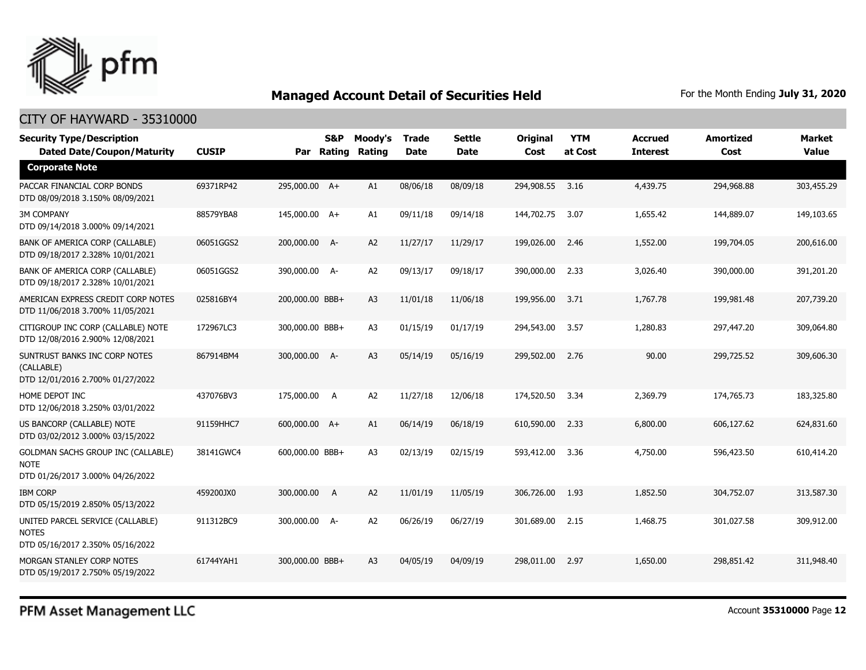

#### CITY OF HAYWARD - 35310000

| <b>Security Type/Description</b><br><b>Dated Date/Coupon/Maturity</b>                        | <b>CUSIP</b> | Par             | <b>S&amp;P</b><br>Rating | Moody's<br>Rating | <b>Trade</b><br><b>Date</b> | <b>Settle</b><br><b>Date</b> | <b>Original</b><br>Cost | <b>YTM</b><br>at Cost | <b>Accrued</b><br><b>Interest</b> | <b>Amortized</b><br>Cost | <b>Market</b><br><b>Value</b> |
|----------------------------------------------------------------------------------------------|--------------|-----------------|--------------------------|-------------------|-----------------------------|------------------------------|-------------------------|-----------------------|-----------------------------------|--------------------------|-------------------------------|
| <b>Corporate Note</b>                                                                        |              |                 |                          |                   |                             |                              |                         |                       |                                   |                          |                               |
| PACCAR FINANCIAL CORP BONDS<br>DTD 08/09/2018 3.150% 08/09/2021                              | 69371RP42    | 295,000.00 A+   |                          | A1                | 08/06/18                    | 08/09/18                     | 294,908.55              | 3.16                  | 4,439.75                          | 294,968.88               | 303,455.29                    |
| <b>3M COMPANY</b><br>DTD 09/14/2018 3.000% 09/14/2021                                        | 88579YBA8    | 145,000.00 A+   |                          | A1                | 09/11/18                    | 09/14/18                     | 144,702.75              | 3.07                  | 1,655.42                          | 144,889.07               | 149,103.65                    |
| BANK OF AMERICA CORP (CALLABLE)<br>DTD 09/18/2017 2.328% 10/01/2021                          | 06051GGS2    | 200,000.00 A-   |                          | A <sub>2</sub>    | 11/27/17                    | 11/29/17                     | 199,026.00              | 2.46                  | 1,552.00                          | 199,704.05               | 200,616.00                    |
| BANK OF AMERICA CORP (CALLABLE)<br>DTD 09/18/2017 2.328% 10/01/2021                          | 06051GGS2    | 390,000.00 A-   |                          | A2                | 09/13/17                    | 09/18/17                     | 390,000.00              | 2.33                  | 3,026.40                          | 390,000.00               | 391,201.20                    |
| AMERICAN EXPRESS CREDIT CORP NOTES<br>DTD 11/06/2018 3.700% 11/05/2021                       | 025816BY4    | 200,000.00 BBB+ |                          | A3                | 11/01/18                    | 11/06/18                     | 199,956.00              | 3.71                  | 1,767.78                          | 199,981.48               | 207,739.20                    |
| CITIGROUP INC CORP (CALLABLE) NOTE<br>DTD 12/08/2016 2.900% 12/08/2021                       | 172967LC3    | 300,000.00 BBB+ |                          | A3                | 01/15/19                    | 01/17/19                     | 294,543.00              | 3.57                  | 1,280.83                          | 297,447.20               | 309,064.80                    |
| SUNTRUST BANKS INC CORP NOTES<br>(CALLABLE)<br>DTD 12/01/2016 2.700% 01/27/2022              | 867914BM4    | 300,000.00 A-   |                          | A3                | 05/14/19                    | 05/16/19                     | 299,502.00              | 2.76                  | 90.00                             | 299,725.52               | 309,606.30                    |
| HOME DEPOT INC<br>DTD 12/06/2018 3.250% 03/01/2022                                           | 437076BV3    | 175,000.00 A    |                          | A2                | 11/27/18                    | 12/06/18                     | 174,520.50              | 3.34                  | 2,369.79                          | 174,765.73               | 183,325.80                    |
| US BANCORP (CALLABLE) NOTE<br>DTD 03/02/2012 3.000% 03/15/2022                               | 91159HHC7    | 600,000.00 A+   |                          | A1                | 06/14/19                    | 06/18/19                     | 610,590.00              | 2.33                  | 6,800.00                          | 606,127.62               | 624,831.60                    |
| <b>GOLDMAN SACHS GROUP INC (CALLABLE)</b><br><b>NOTE</b><br>DTD 01/26/2017 3.000% 04/26/2022 | 38141GWC4    | 600,000.00 BBB+ |                          | A3                | 02/13/19                    | 02/15/19                     | 593,412.00              | 3.36                  | 4,750.00                          | 596,423.50               | 610,414.20                    |
| <b>IBM CORP</b><br>DTD 05/15/2019 2.850% 05/13/2022                                          | 459200JX0    | 300,000.00 A    |                          | A <sub>2</sub>    | 11/01/19                    | 11/05/19                     | 306,726.00              | 1.93                  | 1,852.50                          | 304,752.07               | 313,587.30                    |
| UNITED PARCEL SERVICE (CALLABLE)<br><b>NOTES</b><br>DTD 05/16/2017 2.350% 05/16/2022         | 911312BC9    | 300,000.00 A-   |                          | A2                | 06/26/19                    | 06/27/19                     | 301,689.00              | 2.15                  | 1,468.75                          | 301,027.58               | 309,912.00                    |
| MORGAN STANLEY CORP NOTES<br>DTD 05/19/2017 2.750% 05/19/2022                                | 61744YAH1    | 300,000.00 BBB+ |                          | A3                | 04/05/19                    | 04/09/19                     | 298,011.00              | 2.97                  | 1,650,00                          | 298,851.42               | 311,948.40                    |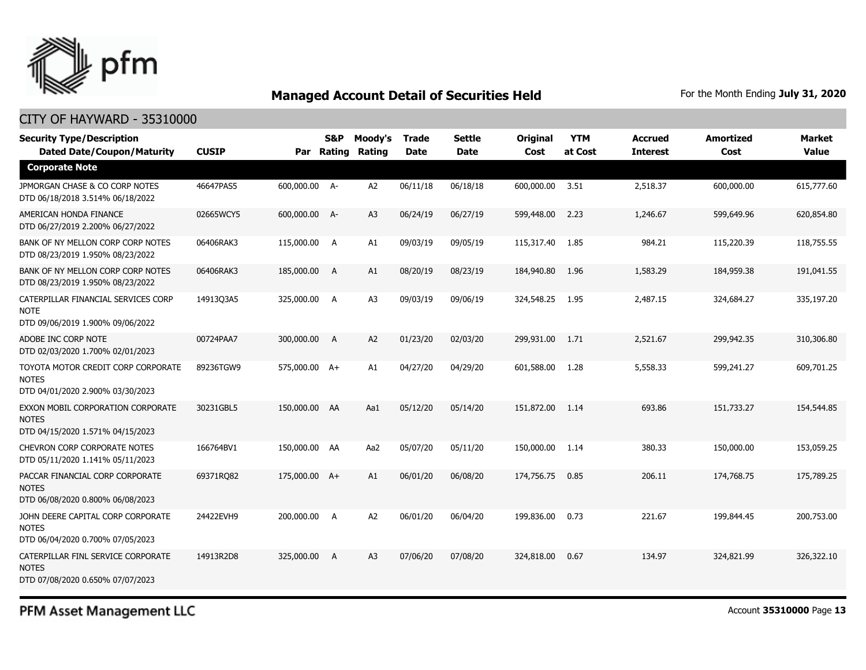

#### CITY OF HAYWARD - 35310000

| <b>CUSIP</b> | <b>S&amp;P</b> | Moody's<br>Rating                                                                                                                                                                            | <b>Trade</b><br><b>Date</b> | <b>Settle</b><br><b>Date</b> | <b>Original</b><br>Cost | <b>YTM</b><br>at Cost | <b>Accrued</b><br><b>Interest</b> | <b>Amortized</b><br>Cost | <b>Market</b><br><b>Value</b> |
|--------------|----------------|----------------------------------------------------------------------------------------------------------------------------------------------------------------------------------------------|-----------------------------|------------------------------|-------------------------|-----------------------|-----------------------------------|--------------------------|-------------------------------|
|              |                |                                                                                                                                                                                              |                             |                              |                         |                       |                                   |                          |                               |
| 46647PAS5    |                | A <sub>2</sub>                                                                                                                                                                               | 06/11/18                    | 06/18/18                     | 600,000.00              | 3.51                  | 2,518.37                          | 600,000.00               | 615,777.60                    |
| 02665WCY5    |                | A3                                                                                                                                                                                           | 06/24/19                    | 06/27/19                     | 599,448.00              | 2.23                  | 1,246.67                          | 599,649.96               | 620,854.80                    |
| 06406RAK3    | A              | A1                                                                                                                                                                                           | 09/03/19                    | 09/05/19                     | 115,317.40              | 1.85                  | 984.21                            | 115,220.39               | 118,755.55                    |
| 06406RAK3    |                | A1                                                                                                                                                                                           | 08/20/19                    | 08/23/19                     | 184,940.80              | 1.96                  | 1,583.29                          | 184,959.38               | 191,041.55                    |
| 14913Q3A5    |                | A <sub>3</sub>                                                                                                                                                                               | 09/03/19                    | 09/06/19                     | 324,548.25              | 1.95                  | 2,487.15                          | 324,684.27               | 335,197.20                    |
| 00724PAA7    | A              | A2                                                                                                                                                                                           | 01/23/20                    | 02/03/20                     | 299,931.00              | 1.71                  | 2,521.67                          | 299,942.35               | 310,306.80                    |
| 89236TGW9    |                | A1                                                                                                                                                                                           | 04/27/20                    | 04/29/20                     | 601,588,00              | 1.28                  | 5,558.33                          | 599,241.27               | 609,701.25                    |
| 30231GBL5    |                | Aa1                                                                                                                                                                                          | 05/12/20                    | 05/14/20                     | 151,872.00              | 1.14                  | 693.86                            | 151,733.27               | 154,544.85                    |
| 166764BV1    |                | Aa2                                                                                                                                                                                          | 05/07/20                    | 05/11/20                     | 150,000.00              | 1.14                  | 380.33                            | 150,000.00               | 153,059.25                    |
| 69371RQ82    |                | A1                                                                                                                                                                                           | 06/01/20                    | 06/08/20                     | 174,756.75              | 0.85                  | 206.11                            | 174,768.75               | 175,789.25                    |
| 24422EVH9    |                | A <sub>2</sub>                                                                                                                                                                               | 06/01/20                    | 06/04/20                     | 199,836.00              | 0.73                  | 221.67                            | 199,844.45               | 200,753.00                    |
| 14913R2D8    | A              | A3                                                                                                                                                                                           | 07/06/20                    | 07/08/20                     | 324,818.00              | 0.67                  | 134.97                            | 324,821.99               | 326,322.10                    |
|              |                | 600,000.00 A-<br>600,000.00 A-<br>115,000.00<br>185,000.00 A<br>325,000.00 A<br>300,000.00<br>575,000.00 A+<br>150,000.00 AA<br>150,000.00 AA<br>175,000.00 A+<br>200,000.00 A<br>325,000.00 | Par Rating                  |                              |                         |                       |                                   |                          |                               |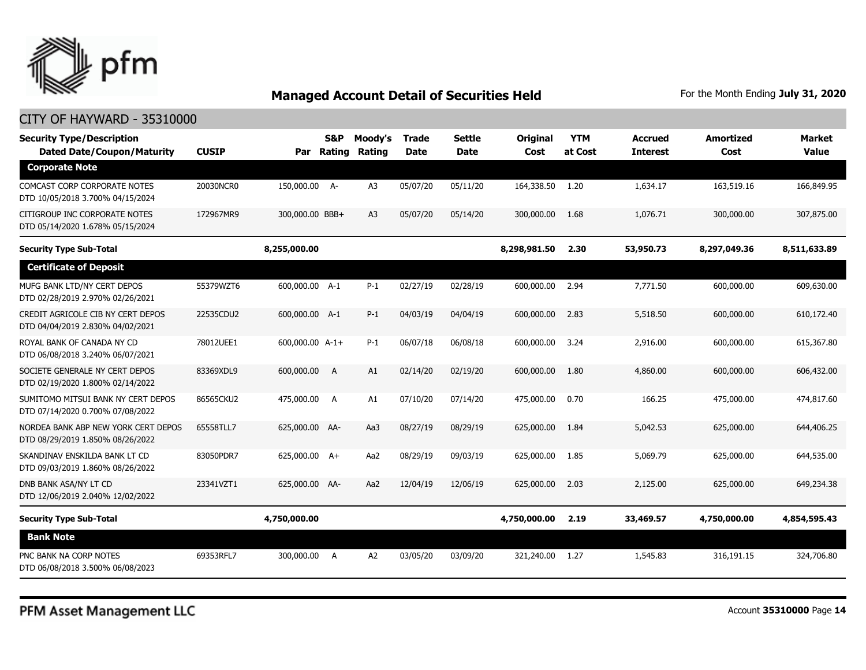

| <b>Security Type/Description</b><br><b>Dated Date/Coupon/Maturity</b>   | <b>CUSIP</b> | Par Rating      | <b>S&amp;P</b> | Moody's<br>Rating | <b>Trade</b><br><b>Date</b> | <b>Settle</b><br><b>Date</b> | <b>Original</b><br>Cost | <b>YTM</b><br>at Cost | <b>Accrued</b><br><b>Interest</b> | <b>Amortized</b><br>Cost | <b>Market</b><br><b>Value</b> |
|-------------------------------------------------------------------------|--------------|-----------------|----------------|-------------------|-----------------------------|------------------------------|-------------------------|-----------------------|-----------------------------------|--------------------------|-------------------------------|
| <b>Corporate Note</b>                                                   |              |                 |                |                   |                             |                              |                         |                       |                                   |                          |                               |
| COMCAST CORP CORPORATE NOTES<br>DTD 10/05/2018 3.700% 04/15/2024        | 20030NCR0    | 150,000.00 A-   |                | A <sub>3</sub>    | 05/07/20                    | 05/11/20                     | 164,338.50              | 1.20                  | 1,634.17                          | 163,519.16               | 166,849.95                    |
| CITIGROUP INC CORPORATE NOTES<br>DTD 05/14/2020 1.678% 05/15/2024       | 172967MR9    | 300,000.00 BBB+ |                | A <sub>3</sub>    | 05/07/20                    | 05/14/20                     | 300,000.00              | 1.68                  | 1,076.71                          | 300,000.00               | 307,875,00                    |
| <b>Security Type Sub-Total</b>                                          |              | 8,255,000.00    |                |                   |                             |                              | 8,298,981.50            | 2.30                  | 53,950.73                         | 8,297,049.36             | 8,511,633.89                  |
| <b>Certificate of Deposit</b>                                           |              |                 |                |                   |                             |                              |                         |                       |                                   |                          |                               |
| MUFG BANK LTD/NY CERT DEPOS<br>DTD 02/28/2019 2.970% 02/26/2021         | 55379WZT6    | 600,000.00 A-1  |                | $P-1$             | 02/27/19                    | 02/28/19                     | 600,000.00              | 2.94                  | 7,771.50                          | 600,000.00               | 609,630.00                    |
| CREDIT AGRICOLE CIB NY CERT DEPOS<br>DTD 04/04/2019 2.830% 04/02/2021   | 22535CDU2    | 600,000.00 A-1  |                | $P-1$             | 04/03/19                    | 04/04/19                     | 600,000.00              | 2.83                  | 5,518.50                          | 600,000,00               | 610,172.40                    |
| ROYAL BANK OF CANADA NY CD<br>DTD 06/08/2018 3.240% 06/07/2021          | 78012UEE1    | 600,000.00 A-1+ |                | $P-1$             | 06/07/18                    | 06/08/18                     | 600,000.00              | 3.24                  | 2,916.00                          | 600,000.00               | 615,367.80                    |
| SOCIETE GENERALE NY CERT DEPOS<br>DTD 02/19/2020 1.800% 02/14/2022      | 83369XDL9    | 600,000.00      | $\overline{A}$ | A1                | 02/14/20                    | 02/19/20                     | 600,000.00              | 1.80                  | 4,860.00                          | 600,000.00               | 606,432.00                    |
| SUMITOMO MITSUI BANK NY CERT DEPOS<br>DTD 07/14/2020 0.700% 07/08/2022  | 86565CKU2    | 475,000.00      | - A            | A1                | 07/10/20                    | 07/14/20                     | 475,000.00              | 0.70                  | 166.25                            | 475,000.00               | 474,817.60                    |
| NORDEA BANK ABP NEW YORK CERT DEPOS<br>DTD 08/29/2019 1.850% 08/26/2022 | 65558TLL7    | 625,000.00 AA-  |                | Aa3               | 08/27/19                    | 08/29/19                     | 625,000.00              | 1.84                  | 5,042.53                          | 625,000,00               | 644,406.25                    |
| SKANDINAV ENSKILDA BANK LT CD<br>DTD 09/03/2019 1.860% 08/26/2022       | 83050PDR7    | 625,000.00 A+   |                | Aa2               | 08/29/19                    | 09/03/19                     | 625,000.00              | 1.85                  | 5,069.79                          | 625,000.00               | 644,535.00                    |
| DNB BANK ASA/NY LT CD<br>DTD 12/06/2019 2.040% 12/02/2022               | 23341VZT1    | 625,000.00 AA-  |                | Aa2               | 12/04/19                    | 12/06/19                     | 625,000.00              | 2.03                  | 2,125,00                          | 625,000,00               | 649,234.38                    |
| <b>Security Type Sub-Total</b>                                          |              | 4,750,000.00    |                |                   |                             |                              | 4,750,000.00            | 2.19                  | 33,469.57                         | 4,750,000.00             | 4,854,595.43                  |
| <b>Bank Note</b>                                                        |              |                 |                |                   |                             |                              |                         |                       |                                   |                          |                               |
| PNC BANK NA CORP NOTES<br>DTD 06/08/2018 3.500% 06/08/2023              | 69353RFL7    | 300,000.00      | A              | A <sub>2</sub>    | 03/05/20                    | 03/09/20                     | 321,240.00              | 1.27                  | 1,545.83                          | 316,191.15               | 324,706.80                    |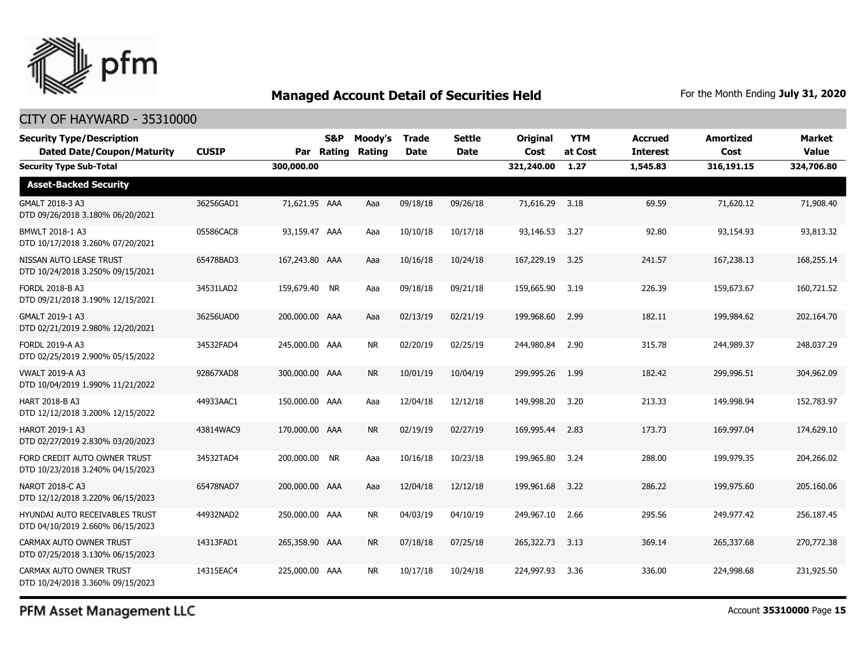

#### CITY OF HAYWARD - 35310000

| <b>Security Type/Description</b><br><b>Dated Date/Coupon/Maturity</b> | <b>CUSIP</b> |                | S&P<br>Par Rating | Moody's<br>Rating | <b>Trade</b><br><b>Date</b> | Settle<br><b>Date</b> | <b>Original</b><br>Cost | <b>YTM</b><br>at Cost | <b>Accrued</b><br><b>Interest</b> | <b>Amortized</b><br>Cost | Market<br>Value |
|-----------------------------------------------------------------------|--------------|----------------|-------------------|-------------------|-----------------------------|-----------------------|-------------------------|-----------------------|-----------------------------------|--------------------------|-----------------|
| <b>Security Type Sub-Total</b>                                        |              | 300,000.00     |                   |                   |                             |                       | 321,240.00              | 1.27                  | 1,545.83                          | 316,191.15               | 324,706.80      |
| <b>Asset-Backed Security</b>                                          |              |                |                   |                   |                             |                       |                         |                       |                                   |                          |                 |
| GMALT 2018-3 A3<br>DTD 09/26/2018 3.180% 06/20/2021                   | 36256GAD1    | 71,621.95 AAA  |                   | Aaa               | 09/18/18                    | 09/26/18              | 71,616.29               | 3.18                  | 69.59                             | 71,620.12                | 71,908.40       |
| BMWLT 2018-1 A3<br>DTD 10/17/2018 3.260% 07/20/2021                   | 05586CAC8    | 93,159.47 AAA  |                   | Aaa               | 10/10/18                    | 10/17/18              | 93,146.53               | 3.27                  | 92.80                             | 93,154.93                | 93,813.32       |
| NISSAN AUTO LEASE TRUST<br>DTD 10/24/2018 3.250% 09/15/2021           | 65478BAD3    | 167,243.80 AAA |                   | Aaa               | 10/16/18                    | 10/24/18              | 167,229.19              | 3.25                  | 241.57                            | 167,238.13               | 168,255.14      |
| FORDL 2018-B A3<br>DTD 09/21/2018 3.190% 12/15/2021                   | 34531LAD2    | 159,679.40 NR  |                   | Aaa               | 09/18/18                    | 09/21/18              | 159,665.90              | 3.19                  | 226.39                            | 159,673.67               | 160,721.52      |
| GMALT 2019-1 A3<br>DTD 02/21/2019 2.980% 12/20/2021                   | 36256UAD0    | 200,000.00 AAA |                   | Aaa               | 02/13/19                    | 02/21/19              | 199,968.60              | 2.99                  | 182.11                            | 199,984.62               | 202,164.70      |
| <b>FORDL 2019-A A3</b><br>DTD 02/25/2019 2.900% 05/15/2022            | 34532FAD4    | 245,000.00 AAA |                   | <b>NR</b>         | 02/20/19                    | 02/25/19              | 244,980.84              | 2.90                  | 315.78                            | 244,989.37               | 248,037.29      |
| <b>VWALT 2019-A A3</b><br>DTD 10/04/2019 1.990% 11/21/2022            | 92867XAD8    | 300,000.00 AAA |                   | <b>NR</b>         | 10/01/19                    | 10/04/19              | 299,995.26              | 1.99                  | 182.42                            | 299,996.51               | 304,962.09      |
| <b>HART 2018-B A3</b><br>DTD 12/12/2018 3.200% 12/15/2022             | 44933AAC1    | 150,000.00 AAA |                   | Aaa               | 12/04/18                    | 12/12/18              | 149,998.20              | 3.20                  | 213.33                            | 149,998.94               | 152,783.97      |
| HAROT 2019-1 A3<br>DTD 02/27/2019 2.830% 03/20/2023                   | 43814WAC9    | 170,000.00 AAA |                   | <b>NR</b>         | 02/19/19                    | 02/27/19              | 169,995.44              | 2.83                  | 173.73                            | 169,997.04               | 174,629.10      |
| FORD CREDIT AUTO OWNER TRUST<br>DTD 10/23/2018 3.240% 04/15/2023      | 34532TAD4    | 200,000.00 NR  |                   | Aaa               | 10/16/18                    | 10/23/18              | 199,965.80              | 3.24                  | 288.00                            | 199,979.35               | 204,266.02      |
| NAROT 2018-C A3<br>DTD 12/12/2018 3.220% 06/15/2023                   | 65478NAD7    | 200,000.00 AAA |                   | Aaa               | 12/04/18                    | 12/12/18              | 199,961.68              | 3.22                  | 286.22                            | 199,975.60               | 205,160.06      |
| HYUNDAI AUTO RECEIVABLES TRUST<br>DTD 04/10/2019 2.660% 06/15/2023    | 44932NAD2    | 250,000.00 AAA |                   | <b>NR</b>         | 04/03/19                    | 04/10/19              | 249,967.10              | 2.66                  | 295.56                            | 249,977.42               | 256,187.45      |
| CARMAX AUTO OWNER TRUST<br>DTD 07/25/2018 3.130% 06/15/2023           | 14313FAD1    | 265,358.90 AAA |                   | NR.               | 07/18/18                    | 07/25/18              | 265,322,73              | 3.13                  | 369.14                            | 265,337.68               | 270,772.38      |
| CARMAX AUTO OWNER TRUST<br>DTD 10/24/2018 3.360% 09/15/2023           | 14315EAC4    | 225,000.00 AAA |                   | <b>NR</b>         | 10/17/18                    | 10/24/18              | 224,997.93              | 3.36                  | 336.00                            | 224,998.68               | 231,925.50      |

PFM Asset Management LLC

Account **35310000** Page **15**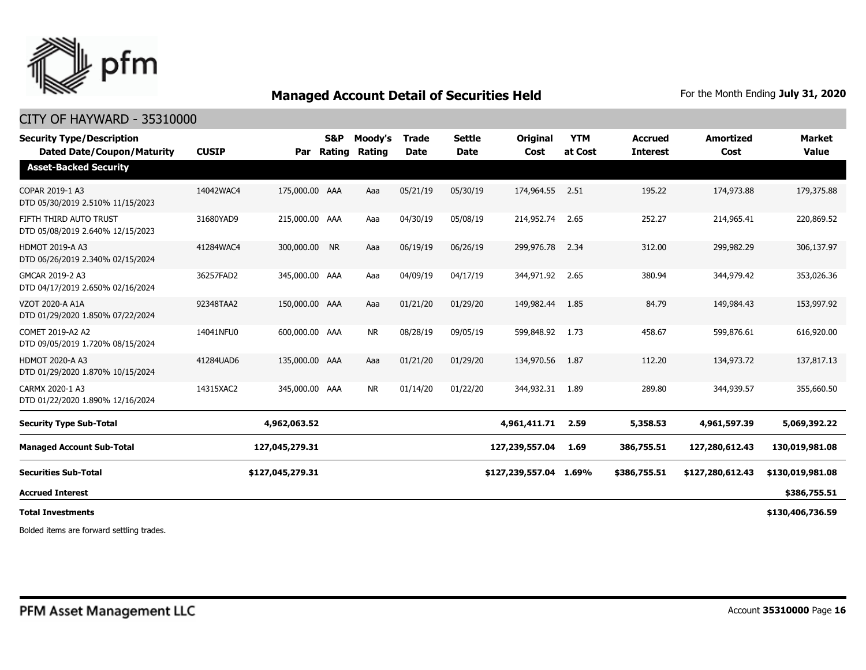

#### CITY OF HAYWARD - 35310000

| <b>Security Type/Description</b><br><b>Dated Date/Coupon/Maturity</b> | <b>CUSIP</b> | Par              | <b>S&amp;P</b><br>Rating | Moody's<br>Rating | <b>Trade</b><br><b>Date</b> | Settle<br><b>Date</b> | <b>Original</b><br>Cost | <b>YTM</b><br>at Cost | <b>Accrued</b><br><b>Interest</b> | <b>Amortized</b><br>Cost | Market<br><b>Value</b> |
|-----------------------------------------------------------------------|--------------|------------------|--------------------------|-------------------|-----------------------------|-----------------------|-------------------------|-----------------------|-----------------------------------|--------------------------|------------------------|
| <b>Asset-Backed Security</b>                                          |              |                  |                          |                   |                             |                       |                         |                       |                                   |                          |                        |
| COPAR 2019-1 A3<br>DTD 05/30/2019 2.510% 11/15/2023                   | 14042WAC4    | 175,000.00 AAA   |                          | Aaa               | 05/21/19                    | 05/30/19              | 174,964.55              | 2.51                  | 195.22                            | 174,973.88               | 179,375.88             |
| FIFTH THIRD AUTO TRUST<br>DTD 05/08/2019 2.640% 12/15/2023            | 31680YAD9    | 215,000.00 AAA   |                          | Aaa               | 04/30/19                    | 05/08/19              | 214,952,74              | 2.65                  | 252.27                            | 214,965.41               | 220,869.52             |
| <b>HDMOT 2019-A A3</b><br>DTD 06/26/2019 2.340% 02/15/2024            | 41284WAC4    | 300,000.00 NR    |                          | Aaa               | 06/19/19                    | 06/26/19              | 299,976.78              | 2.34                  | 312.00                            | 299,982.29               | 306,137.97             |
| GMCAR 2019-2 A3<br>DTD 04/17/2019 2.650% 02/16/2024                   | 36257FAD2    | 345,000.00 AAA   |                          | Aaa               | 04/09/19                    | 04/17/19              | 344,971.92              | 2.65                  | 380.94                            | 344,979.42               | 353,026.36             |
| VZOT 2020-A A1A<br>DTD 01/29/2020 1.850% 07/22/2024                   | 92348TAA2    | 150,000.00 AAA   |                          | Aaa               | 01/21/20                    | 01/29/20              | 149,982.44 1.85         |                       | 84.79                             | 149,984.43               | 153,997.92             |
| COMET 2019-A2 A2<br>DTD 09/05/2019 1.720% 08/15/2024                  | 14041NFU0    | 600,000.00 AAA   |                          | <b>NR</b>         | 08/28/19                    | 09/05/19              | 599,848.92              | 1.73                  | 458.67                            | 599,876.61               | 616,920.00             |
| <b>HDMOT 2020-A A3</b><br>DTD 01/29/2020 1.870% 10/15/2024            | 41284UAD6    | 135,000.00 AAA   |                          | Aaa               | 01/21/20                    | 01/29/20              | 134,970.56              | 1.87                  | 112.20                            | 134,973.72               | 137,817.13             |
| CARMX 2020-1 A3<br>DTD 01/22/2020 1.890% 12/16/2024                   | 14315XAC2    | 345,000.00 AAA   |                          | <b>NR</b>         | 01/14/20                    | 01/22/20              | 344,932.31              | 1.89                  | 289.80                            | 344,939.57               | 355,660.50             |
| <b>Security Type Sub-Total</b>                                        |              | 4,962,063.52     |                          |                   |                             |                       | 4,961,411.71            | 2.59                  | 5,358.53                          | 4,961,597.39             | 5,069,392.22           |
| <b>Managed Account Sub-Total</b>                                      |              | 127,045,279.31   |                          |                   |                             |                       | 127,239,557.04          | 1.69                  | 386,755.51                        | 127,280,612.43           | 130,019,981.08         |
| <b>Securities Sub-Total</b>                                           |              | \$127,045,279.31 |                          |                   |                             |                       | \$127,239,557.04        | 1.69%                 | \$386,755.51                      | \$127,280,612.43         | \$130,019,981.08       |
| <b>Accrued Interest</b>                                               |              |                  |                          |                   |                             |                       |                         |                       |                                   |                          | \$386,755.51           |
| <b>Total Investments</b>                                              |              |                  |                          |                   |                             |                       |                         |                       |                                   |                          | \$130,406,736.59       |

Bolded items are forward settling trades.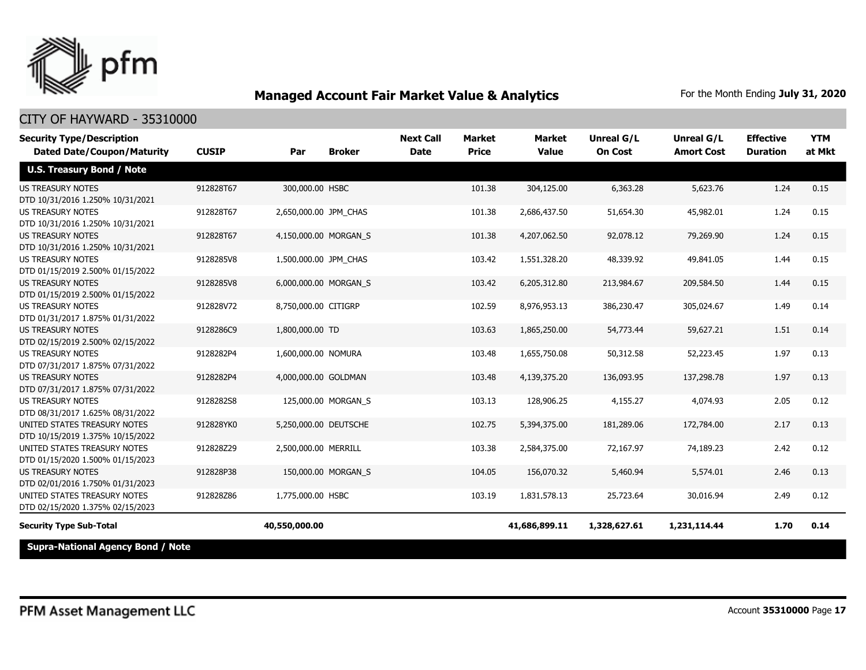

| <b>Security Type/Description</b><br><b>Dated Date/Coupon/Maturity</b> | <b>CUSIP</b> | Par                   | <b>Broker</b>       | <b>Next Call</b><br><b>Date</b> | <b>Market</b><br><b>Price</b> | <b>Market</b><br><b>Value</b> | Unreal G/L<br><b>On Cost</b> | Unreal G/L<br><b>Amort Cost</b> | <b>Effective</b><br><b>Duration</b> | <b>YTM</b><br>at Mkt |
|-----------------------------------------------------------------------|--------------|-----------------------|---------------------|---------------------------------|-------------------------------|-------------------------------|------------------------------|---------------------------------|-------------------------------------|----------------------|
| <b>U.S. Treasury Bond / Note</b>                                      |              |                       |                     |                                 |                               |                               |                              |                                 |                                     |                      |
| <b>US TREASURY NOTES</b><br>DTD 10/31/2016 1.250% 10/31/2021          | 912828T67    | 300,000.00 HSBC       |                     |                                 | 101.38                        | 304,125.00                    | 6,363.28                     | 5,623.76                        | 1.24                                | 0.15                 |
| <b>US TREASURY NOTES</b><br>DTD 10/31/2016 1.250% 10/31/2021          | 912828T67    | 2,650,000.00 JPM CHAS |                     |                                 | 101.38                        | 2,686,437.50                  | 51,654.30                    | 45,982.01                       | 1.24                                | 0.15                 |
| <b>US TREASURY NOTES</b><br>DTD 10/31/2016 1.250% 10/31/2021          | 912828T67    | 4,150,000.00 MORGAN S |                     |                                 | 101.38                        | 4,207,062.50                  | 92,078.12                    | 79,269.90                       | 1.24                                | 0.15                 |
| <b>US TREASURY NOTES</b><br>DTD 01/15/2019 2.500% 01/15/2022          | 9128285V8    | 1,500,000.00 JPM_CHAS |                     |                                 | 103.42                        | 1,551,328.20                  | 48,339.92                    | 49,841.05                       | 1.44                                | 0.15                 |
| <b>US TREASURY NOTES</b><br>DTD 01/15/2019 2.500% 01/15/2022          | 9128285V8    | 6,000,000.00 MORGAN_S |                     |                                 | 103.42                        | 6,205,312.80                  | 213,984.67                   | 209,584.50                      | 1.44                                | 0.15                 |
| <b>US TREASURY NOTES</b><br>DTD 01/31/2017 1.875% 01/31/2022          | 912828V72    | 8,750,000.00 CITIGRP  |                     |                                 | 102.59                        | 8,976,953.13                  | 386,230.47                   | 305,024.67                      | 1.49                                | 0.14                 |
| <b>US TREASURY NOTES</b><br>DTD 02/15/2019 2.500% 02/15/2022          | 9128286C9    | 1,800,000.00 TD       |                     |                                 | 103.63                        | 1,865,250.00                  | 54,773.44                    | 59,627.21                       | 1.51                                | 0.14                 |
| US TREASURY NOTES<br>DTD 07/31/2017 1.875% 07/31/2022                 | 9128282P4    | 1,600,000.00 NOMURA   |                     |                                 | 103.48                        | 1,655,750.08                  | 50,312.58                    | 52,223.45                       | 1.97                                | 0.13                 |
| <b>US TREASURY NOTES</b><br>DTD 07/31/2017 1.875% 07/31/2022          | 9128282P4    | 4,000,000.00 GOLDMAN  |                     |                                 | 103.48                        | 4,139,375.20                  | 136,093.95                   | 137,298.78                      | 1.97                                | 0.13                 |
| <b>US TREASURY NOTES</b><br>DTD 08/31/2017 1.625% 08/31/2022          | 9128282S8    |                       | 125,000.00 MORGAN S |                                 | 103.13                        | 128,906.25                    | 4,155.27                     | 4,074.93                        | 2.05                                | 0.12                 |
| UNITED STATES TREASURY NOTES<br>DTD 10/15/2019 1.375% 10/15/2022      | 912828YK0    | 5,250,000.00 DEUTSCHE |                     |                                 | 102.75                        | 5,394,375.00                  | 181,289.06                   | 172,784.00                      | 2.17                                | 0.13                 |
| UNITED STATES TREASURY NOTES<br>DTD 01/15/2020 1.500% 01/15/2023      | 912828Z29    | 2,500,000.00 MERRILL  |                     |                                 | 103.38                        | 2,584,375.00                  | 72,167.97                    | 74,189.23                       | 2.42                                | 0.12                 |
| <b>US TREASURY NOTES</b><br>DTD 02/01/2016 1.750% 01/31/2023          | 912828P38    |                       | 150,000.00 MORGAN_S |                                 | 104.05                        | 156,070.32                    | 5,460.94                     | 5,574.01                        | 2.46                                | 0.13                 |
| UNITED STATES TREASURY NOTES<br>DTD 02/15/2020 1.375% 02/15/2023      | 912828Z86    | 1,775,000.00 HSBC     |                     |                                 | 103.19                        | 1,831,578.13                  | 25,723.64                    | 30,016.94                       | 2.49                                | 0.12                 |
| <b>Security Type Sub-Total</b>                                        |              | 40,550,000.00         |                     |                                 |                               | 41,686,899.11                 | 1,328,627.61                 | 1,231,114.44                    | 1.70                                | 0.14                 |
| <b>Supra-National Agency Bond / Note</b>                              |              |                       |                     |                                 |                               |                               |                              |                                 |                                     |                      |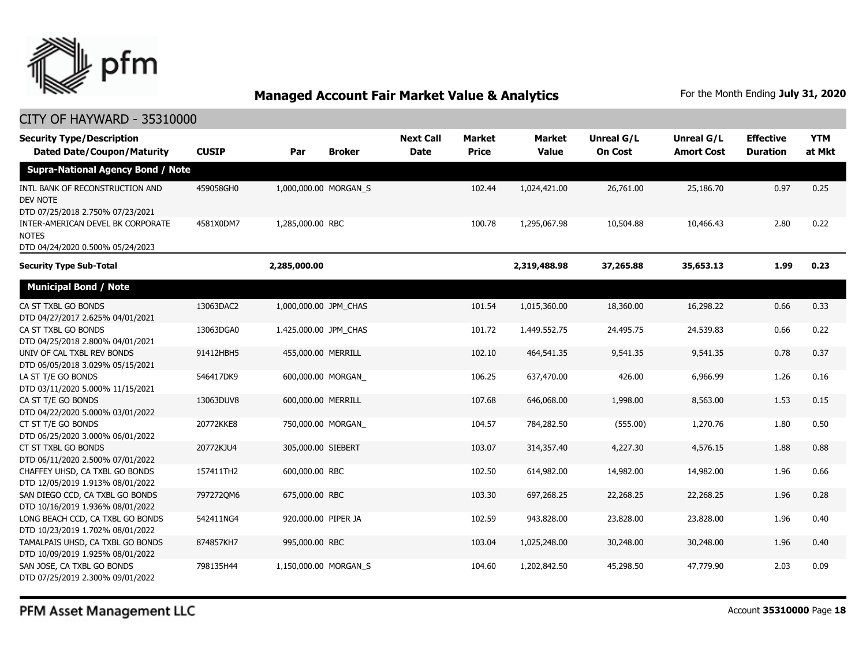

#### CITY OF HAYWARD - 35310000

| <b>Security Type/Description</b><br><b>Dated Date/Coupon/Maturity</b>                  | <b>CUSIP</b> | Par                   | <b>Broker</b>         | <b>Next Call</b><br><b>Date</b> | <b>Market</b><br><b>Price</b> | <b>Market</b><br><b>Value</b> | Unreal G/L<br><b>On Cost</b> | Unreal G/L<br><b>Amort Cost</b> | <b>Effective</b><br><b>Duration</b> | <b>YTM</b><br>at Mkt |
|----------------------------------------------------------------------------------------|--------------|-----------------------|-----------------------|---------------------------------|-------------------------------|-------------------------------|------------------------------|---------------------------------|-------------------------------------|----------------------|
| <b>Supra-National Agency Bond / Note</b>                                               |              |                       |                       |                                 |                               |                               |                              |                                 |                                     |                      |
| INTL BANK OF RECONSTRUCTION AND<br><b>DEV NOTE</b><br>DTD 07/25/2018 2.750% 07/23/2021 | 459058GH0    | 1,000,000.00 MORGAN S |                       |                                 | 102.44                        | 1,024,421.00                  | 26,761.00                    | 25,186.70                       | 0.97                                | 0.25                 |
| INTER-AMERICAN DEVEL BK CORPORATE<br><b>NOTES</b><br>DTD 04/24/2020 0.500% 05/24/2023  | 4581X0DM7    | 1,285,000.00 RBC      |                       |                                 | 100.78                        | 1,295,067.98                  | 10,504.88                    | 10,466.43                       | 2.80                                | 0.22                 |
| <b>Security Type Sub-Total</b>                                                         |              | 2,285,000.00          |                       |                                 |                               | 2,319,488.98                  | 37,265.88                    | 35,653.13                       | 1.99                                | 0.23                 |
| <b>Municipal Bond / Note</b>                                                           |              |                       |                       |                                 |                               |                               |                              |                                 |                                     |                      |
| CA ST TXBL GO BONDS<br>DTD 04/27/2017 2.625% 04/01/2021                                | 13063DAC2    | 1,000,000.00 JPM_CHAS |                       |                                 | 101.54                        | 1,015,360.00                  | 18,360.00                    | 16,298.22                       | 0.66                                | 0.33                 |
| CA ST TXBL GO BONDS<br>DTD 04/25/2018 2.800% 04/01/2021                                | 13063DGA0    | 1,425,000.00 JPM_CHAS |                       |                                 | 101.72                        | 1,449,552.75                  | 24,495.75                    | 24,539.83                       | 0.66                                | 0.22                 |
| UNIV OF CAL TXBL REV BONDS<br>DTD 06/05/2018 3.029% 05/15/2021                         | 91412HBH5    | 455,000.00 MERRILL    |                       |                                 | 102.10                        | 464,541.35                    | 9,541.35                     | 9,541.35                        | 0.78                                | 0.37                 |
| LA ST T/E GO BONDS<br>DTD 03/11/2020 5.000% 11/15/2021                                 | 546417DK9    |                       | 600,000.00 MORGAN     |                                 | 106.25                        | 637,470.00                    | 426.00                       | 6,966.99                        | 1.26                                | 0.16                 |
| CA ST T/E GO BONDS<br>DTD 04/22/2020 5.000% 03/01/2022                                 | 13063DUV8    | 600,000.00 MERRILL    |                       |                                 | 107.68                        | 646,068.00                    | 1,998.00                     | 8,563.00                        | 1.53                                | 0.15                 |
| CT ST T/E GO BONDS<br>DTD 06/25/2020 3.000% 06/01/2022                                 | 20772KKE8    |                       | 750,000.00 MORGAN     |                                 | 104.57                        | 784,282.50                    | (555.00)                     | 1,270.76                        | 1.80                                | 0.50                 |
| CT ST TXBL GO BONDS<br>DTD 06/11/2020 2.500% 07/01/2022                                | 20772KJU4    | 305,000.00 SIEBERT    |                       |                                 | 103.07                        | 314,357.40                    | 4,227.30                     | 4,576.15                        | 1.88                                | 0.88                 |
| CHAFFEY UHSD, CA TXBL GO BONDS<br>DTD 12/05/2019 1.913% 08/01/2022                     | 157411TH2    | 600,000.00 RBC        |                       |                                 | 102.50                        | 614,982.00                    | 14,982.00                    | 14,982.00                       | 1.96                                | 0.66                 |
| SAN DIEGO CCD, CA TXBL GO BONDS<br>DTD 10/16/2019 1.936% 08/01/2022                    | 7972720M6    | 675,000.00 RBC        |                       |                                 | 103.30                        | 697,268.25                    | 22,268.25                    | 22,268.25                       | 1.96                                | 0.28                 |
| LONG BEACH CCD, CA TXBL GO BONDS<br>DTD 10/23/2019 1.702% 08/01/2022                   | 542411NG4    | 920,000.00 PIPER JA   |                       |                                 | 102.59                        | 943,828.00                    | 23,828.00                    | 23,828.00                       | 1.96                                | 0.40                 |
| TAMALPAIS UHSD, CA TXBL GO BONDS<br>DTD 10/09/2019 1.925% 08/01/2022                   | 874857KH7    | 995,000.00 RBC        |                       |                                 | 103.04                        | 1,025,248.00                  | 30,248.00                    | 30,248.00                       | 1.96                                | 0.40                 |
| SAN JOSE, CA TXBL GO BONDS<br>DTD 07/25/2019 2.300% 09/01/2022                         | 798135H44    |                       | 1,150,000.00 MORGAN S |                                 | 104.60                        | 1,202,842.50                  | 45,298.50                    | 47,779.90                       | 2.03                                | 0.09                 |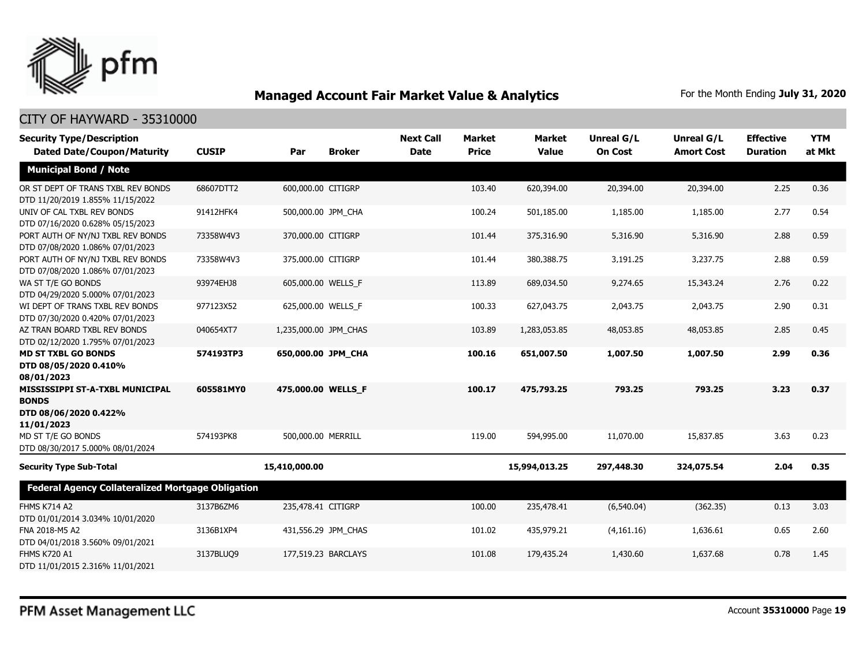

| <b>Security Type/Description</b><br><b>Dated Date/Coupon/Maturity</b>                  | <b>CUSIP</b> | Par                   | <b>Broker</b>       | <b>Next Call</b><br><b>Date</b> | <b>Market</b><br><b>Price</b> | <b>Market</b><br><b>Value</b> | Unreal G/L<br><b>On Cost</b> | <b>Unreal G/L</b><br><b>Amort Cost</b> | <b>Effective</b><br><b>Duration</b> | <b>YTM</b><br>at Mkt |
|----------------------------------------------------------------------------------------|--------------|-----------------------|---------------------|---------------------------------|-------------------------------|-------------------------------|------------------------------|----------------------------------------|-------------------------------------|----------------------|
| <b>Municipal Bond / Note</b>                                                           |              |                       |                     |                                 |                               |                               |                              |                                        |                                     |                      |
| OR ST DEPT OF TRANS TXBL REV BONDS<br>DTD 11/20/2019 1.855% 11/15/2022                 | 68607DTT2    | 600,000.00 CITIGRP    |                     |                                 | 103.40                        | 620,394.00                    | 20,394.00                    | 20,394.00                              | 2.25                                | 0.36                 |
| UNIV OF CAL TXBL REV BONDS<br>DTD 07/16/2020 0.628% 05/15/2023                         | 91412HFK4    | 500,000.00 JPM_CHA    |                     |                                 | 100.24                        | 501,185.00                    | 1,185.00                     | 1,185.00                               | 2.77                                | 0.54                 |
| PORT AUTH OF NY/NJ TXBL REV BONDS<br>DTD 07/08/2020 1.086% 07/01/2023                  | 73358W4V3    | 370,000.00 CITIGRP    |                     |                                 | 101.44                        | 375,316.90                    | 5,316.90                     | 5,316.90                               | 2.88                                | 0.59                 |
| PORT AUTH OF NY/NJ TXBL REV BONDS<br>DTD 07/08/2020 1.086% 07/01/2023                  | 73358W4V3    | 375,000.00 CITIGRP    |                     |                                 | 101.44                        | 380,388.75                    | 3,191.25                     | 3,237.75                               | 2.88                                | 0.59                 |
| WA ST T/E GO BONDS<br>DTD 04/29/2020 5.000% 07/01/2023                                 | 93974EHJ8    | 605,000.00 WELLS F    |                     |                                 | 113.89                        | 689,034.50                    | 9,274.65                     | 15,343.24                              | 2.76                                | 0.22                 |
| WI DEPT OF TRANS TXBL REV BONDS<br>DTD 07/30/2020 0.420% 07/01/2023                    | 977123X52    | 625,000.00 WELLS_F    |                     |                                 | 100.33                        | 627,043.75                    | 2,043.75                     | 2,043.75                               | 2.90                                | 0.31                 |
| AZ TRAN BOARD TXBL REV BONDS<br>DTD 02/12/2020 1.795% 07/01/2023                       | 040654XT7    | 1,235,000.00 JPM CHAS |                     |                                 | 103.89                        | 1,283,053.85                  | 48,053.85                    | 48,053.85                              | 2.85                                | 0.45                 |
| <b>MD ST TXBL GO BONDS</b><br>DTD 08/05/2020 0.410%<br>08/01/2023                      | 574193TP3    | 650,000.00 JPM_CHA    |                     |                                 | 100.16                        | 651,007.50                    | 1,007.50                     | 1,007.50                               | 2.99                                | 0.36                 |
| MISSISSIPPI ST-A-TXBL MUNICIPAL<br><b>BONDS</b><br>DTD 08/06/2020 0.422%<br>11/01/2023 | 605581MY0    | 475,000.00 WELLS F    |                     |                                 | 100.17                        | 475,793.25                    | 793.25                       | 793.25                                 | 3.23                                | 0.37                 |
| MD ST T/E GO BONDS<br>DTD 08/30/2017 5.000% 08/01/2024                                 | 574193PK8    | 500,000.00 MERRILL    |                     |                                 | 119.00                        | 594,995.00                    | 11,070.00                    | 15,837.85                              | 3.63                                | 0.23                 |
| <b>Security Type Sub-Total</b>                                                         |              | 15,410,000.00         |                     |                                 |                               | 15,994,013.25                 | 297,448.30                   | 324,075.54                             | 2.04                                | 0.35                 |
| Federal Agency Collateralized Mortgage Obligation                                      |              |                       |                     |                                 |                               |                               |                              |                                        |                                     |                      |
| <b>FHMS K714 A2</b><br>DTD 01/01/2014 3.034% 10/01/2020                                | 3137B6ZM6    | 235,478.41 CITIGRP    |                     |                                 | 100.00                        | 235,478.41                    | (6,540.04)                   | (362.35)                               | 0.13                                | 3.03                 |
| FNA 2018-M5 A2<br>DTD 04/01/2018 3.560% 09/01/2021                                     | 3136B1XP4    |                       | 431,556.29 JPM_CHAS |                                 | 101.02                        | 435,979.21                    | (4,161.16)                   | 1,636.61                               | 0.65                                | 2.60                 |
| <b>FHMS K720 A1</b><br>DTD 11/01/2015 2.316% 11/01/2021                                | 3137BLUQ9    | 177,519.23 BARCLAYS   |                     |                                 | 101.08                        | 179,435.24                    | 1,430.60                     | 1,637.68                               | 0.78                                | 1.45                 |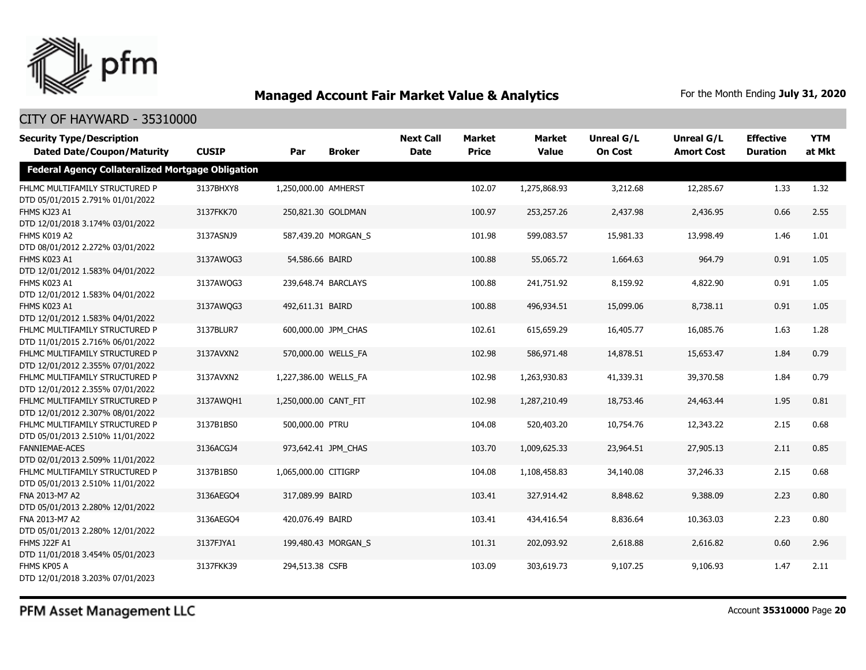

#### CITY OF HAYWARD - 35310000

| <b>Security Type/Description</b><br><b>Dated Date/Coupon/Maturity</b> | <b>CUSIP</b> | Par                   | <b>Broker</b>       | <b>Next Call</b><br><b>Date</b> | <b>Market</b><br><b>Price</b> | <b>Market</b><br><b>Value</b> | <b>Unreal G/L</b><br><b>On Cost</b> | Unreal G/L<br><b>Amort Cost</b> | <b>Effective</b><br><b>Duration</b> | <b>YTM</b><br>at Mkt |
|-----------------------------------------------------------------------|--------------|-----------------------|---------------------|---------------------------------|-------------------------------|-------------------------------|-------------------------------------|---------------------------------|-------------------------------------|----------------------|
| <b>Federal Agency Collateralized Mortgage Obligation</b>              |              |                       |                     |                                 |                               |                               |                                     |                                 |                                     |                      |
| FHLMC MULTIFAMILY STRUCTURED P<br>DTD 05/01/2015 2.791% 01/01/2022    | 3137BHXY8    | 1,250,000.00 AMHERST  |                     |                                 | 102.07                        | 1,275,868.93                  | 3,212.68                            | 12,285.67                       | 1.33                                | 1.32                 |
| FHMS KJ23 A1<br>DTD 12/01/2018 3.174% 03/01/2022                      | 3137FKK70    | 250,821.30 GOLDMAN    |                     |                                 | 100.97                        | 253,257.26                    | 2,437.98                            | 2,436.95                        | 0.66                                | 2.55                 |
| FHMS K019 A2<br>DTD 08/01/2012 2.272% 03/01/2022                      | 3137ASNJ9    |                       | 587,439.20 MORGAN S |                                 | 101.98                        | 599,083.57                    | 15,981.33                           | 13,998.49                       | 1.46                                | 1.01                 |
| FHMS K023 A1<br>DTD 12/01/2012 1.583% 04/01/2022                      | 3137AWQG3    | 54,586.66 BAIRD       |                     |                                 | 100.88                        | 55,065.72                     | 1,664.63                            | 964.79                          | 0.91                                | 1.05                 |
| FHMS K023 A1<br>DTD 12/01/2012 1.583% 04/01/2022                      | 3137AWQG3    |                       | 239,648.74 BARCLAYS |                                 | 100.88                        | 241,751.92                    | 8,159.92                            | 4,822.90                        | 0.91                                | 1.05                 |
| FHMS K023 A1<br>DTD 12/01/2012 1.583% 04/01/2022                      | 3137AWQG3    | 492,611.31 BAIRD      |                     |                                 | 100.88                        | 496,934.51                    | 15,099.06                           | 8,738.11                        | 0.91                                | 1.05                 |
| FHLMC MULTIFAMILY STRUCTURED P<br>DTD 11/01/2015 2.716% 06/01/2022    | 3137BLUR7    |                       | 600,000.00 JPM CHAS |                                 | 102.61                        | 615,659.29                    | 16,405.77                           | 16,085.76                       | 1.63                                | 1.28                 |
| FHLMC MULTIFAMILY STRUCTURED P<br>DTD 12/01/2012 2.355% 07/01/2022    | 3137AVXN2    |                       | 570,000.00 WELLS FA |                                 | 102.98                        | 586,971.48                    | 14,878.51                           | 15,653.47                       | 1.84                                | 0.79                 |
| FHLMC MULTIFAMILY STRUCTURED P<br>DTD 12/01/2012 2.355% 07/01/2022    | 3137AVXN2    | 1,227,386.00 WELLS FA |                     |                                 | 102.98                        | 1,263,930.83                  | 41,339.31                           | 39,370.58                       | 1.84                                | 0.79                 |
| FHLMC MULTIFAMILY STRUCTURED P<br>DTD 12/01/2012 2.307% 08/01/2022    | 3137AWQH1    | 1,250,000.00 CANT FIT |                     |                                 | 102.98                        | 1,287,210.49                  | 18,753.46                           | 24,463.44                       | 1.95                                | 0.81                 |
| FHLMC MULTIFAMILY STRUCTURED P<br>DTD 05/01/2013 2.510% 11/01/2022    | 3137B1BS0    | 500,000.00 PTRU       |                     |                                 | 104.08                        | 520,403.20                    | 10,754.76                           | 12,343.22                       | 2.15                                | 0.68                 |
| <b>FANNIEMAE-ACES</b><br>DTD 02/01/2013 2.509% 11/01/2022             | 3136ACGJ4    |                       | 973,642.41 JPM CHAS |                                 | 103.70                        | 1,009,625.33                  | 23,964.51                           | 27,905.13                       | 2.11                                | 0.85                 |
| FHLMC MULTIFAMILY STRUCTURED P<br>DTD 05/01/2013 2.510% 11/01/2022    | 3137B1BS0    | 1,065,000.00 CITIGRP  |                     |                                 | 104.08                        | 1,108,458.83                  | 34,140.08                           | 37,246.33                       | 2.15                                | 0.68                 |
| FNA 2013-M7 A2<br>DTD 05/01/2013 2.280% 12/01/2022                    | 3136AEGO4    | 317,089.99 BAIRD      |                     |                                 | 103.41                        | 327,914.42                    | 8,848.62                            | 9,388.09                        | 2.23                                | 0.80                 |
| FNA 2013-M7 A2<br>DTD 05/01/2013 2.280% 12/01/2022                    | 3136AEGO4    | 420,076.49 BAIRD      |                     |                                 | 103.41                        | 434,416.54                    | 8,836.64                            | 10,363.03                       | 2.23                                | 0.80                 |
| <b>FHMS J22F A1</b><br>DTD 11/01/2018 3.454% 05/01/2023               | 3137FJYA1    |                       | 199,480.43 MORGAN S |                                 | 101.31                        | 202,093.92                    | 2,618.88                            | 2,616.82                        | 0.60                                | 2.96                 |
| FHMS KP05 A<br>DTD 12/01/2018 3.203% 07/01/2023                       | 3137FKK39    | 294,513.38 CSFB       |                     |                                 | 103.09                        | 303,619.73                    | 9,107.25                            | 9,106.93                        | 1.47                                | 2.11                 |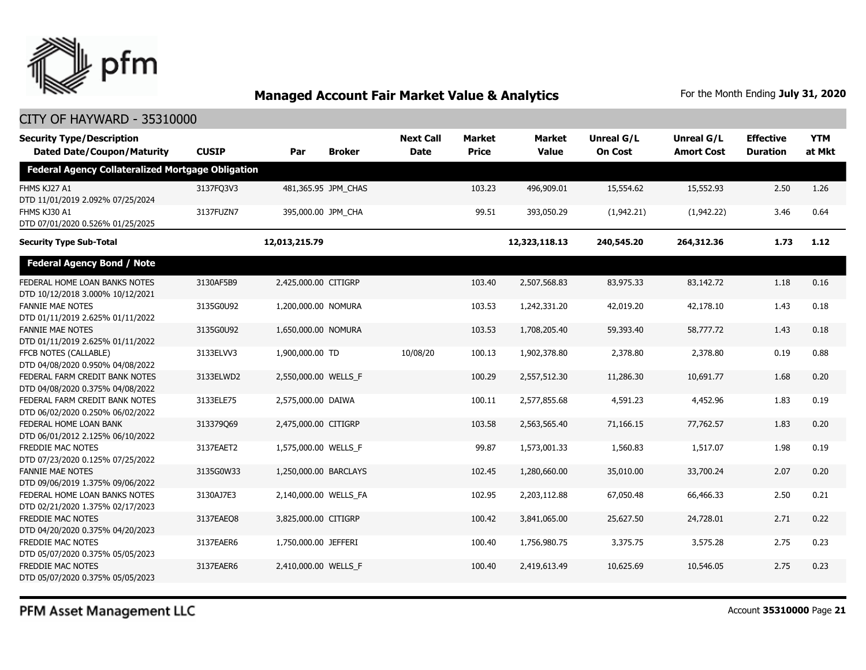

#### CITY OF HAYWARD - 35310000

| <b>Security Type/Description</b><br><b>Dated Date/Coupon/Maturity</b> | <b>CUSIP</b> | Par                   | <b>Broker</b>       | <b>Next Call</b><br><b>Date</b> | <b>Market</b><br><b>Price</b> | <b>Market</b><br><b>Value</b> | <b>Unreal G/L</b><br><b>On Cost</b> | Unreal G/L<br><b>Amort Cost</b> | <b>Effective</b><br><b>Duration</b> | <b>YTM</b><br>at Mkt |
|-----------------------------------------------------------------------|--------------|-----------------------|---------------------|---------------------------------|-------------------------------|-------------------------------|-------------------------------------|---------------------------------|-------------------------------------|----------------------|
| <b>Federal Agency Collateralized Mortgage Obligation</b>              |              |                       |                     |                                 |                               |                               |                                     |                                 |                                     |                      |
| FHMS KJ27 A1<br>DTD 11/01/2019 2.092% 07/25/2024                      | 3137FQ3V3    |                       | 481,365.95 JPM_CHAS |                                 | 103.23                        | 496,909.01                    | 15,554.62                           | 15,552.93                       | 2.50                                | 1.26                 |
| FHMS KJ30 A1<br>DTD 07/01/2020 0.526% 01/25/2025                      | 3137FUZN7    |                       | 395,000.00 JPM CHA  |                                 | 99.51                         | 393,050.29                    | (1,942.21)                          | (1,942.22)                      | 3.46                                | 0.64                 |
| <b>Security Type Sub-Total</b>                                        |              | 12,013,215.79         |                     |                                 |                               | 12,323,118.13                 | 240,545.20                          | 264,312.36                      | 1.73                                | 1.12                 |
| <b>Federal Agency Bond / Note</b>                                     |              |                       |                     |                                 |                               |                               |                                     |                                 |                                     |                      |
| FEDERAL HOME LOAN BANKS NOTES<br>DTD 10/12/2018 3.000% 10/12/2021     | 3130AF5B9    | 2,425,000.00 CITIGRP  |                     |                                 | 103.40                        | 2,507,568.83                  | 83,975.33                           | 83,142.72                       | 1.18                                | 0.16                 |
| <b>FANNIE MAE NOTES</b><br>DTD 01/11/2019 2.625% 01/11/2022           | 3135G0U92    | 1,200,000.00 NOMURA   |                     |                                 | 103.53                        | 1,242,331.20                  | 42,019.20                           | 42,178.10                       | 1.43                                | 0.18                 |
| <b>FANNIE MAE NOTES</b><br>DTD 01/11/2019 2.625% 01/11/2022           | 3135G0U92    | 1,650,000.00 NOMURA   |                     |                                 | 103.53                        | 1,708,205.40                  | 59,393.40                           | 58,777.72                       | 1.43                                | 0.18                 |
| FFCB NOTES (CALLABLE)<br>DTD 04/08/2020 0.950% 04/08/2022             | 3133ELVV3    | 1,900,000.00 TD       |                     | 10/08/20                        | 100.13                        | 1,902,378.80                  | 2,378.80                            | 2,378.80                        | 0.19                                | 0.88                 |
| FEDERAL FARM CREDIT BANK NOTES<br>DTD 04/08/2020 0.375% 04/08/2022    | 3133ELWD2    | 2,550,000.00 WELLS_F  |                     |                                 | 100.29                        | 2,557,512.30                  | 11,286.30                           | 10,691.77                       | 1.68                                | 0.20                 |
| FEDERAL FARM CREDIT BANK NOTES<br>DTD 06/02/2020 0.250% 06/02/2022    | 3133ELE75    | 2,575,000.00 DAIWA    |                     |                                 | 100.11                        | 2,577,855.68                  | 4,591.23                            | 4,452.96                        | 1.83                                | 0.19                 |
| FEDERAL HOME LOAN BANK<br>DTD 06/01/2012 2.125% 06/10/2022            | 313379069    | 2,475,000.00 CITIGRP  |                     |                                 | 103.58                        | 2,563,565.40                  | 71,166.15                           | 77,762.57                       | 1.83                                | 0.20                 |
| <b>FREDDIE MAC NOTES</b><br>DTD 07/23/2020 0.125% 07/25/2022          | 3137EAET2    | 1,575,000.00 WELLS F  |                     |                                 | 99.87                         | 1,573,001.33                  | 1,560.83                            | 1,517.07                        | 1.98                                | 0.19                 |
| <b>FANNIE MAE NOTES</b><br>DTD 09/06/2019 1.375% 09/06/2022           | 3135G0W33    | 1,250,000.00 BARCLAYS |                     |                                 | 102.45                        | 1,280,660.00                  | 35,010.00                           | 33,700.24                       | 2.07                                | 0.20                 |
| FEDERAL HOME LOAN BANKS NOTES<br>DTD 02/21/2020 1.375% 02/17/2023     | 3130AJ7E3    | 2,140,000.00 WELLS_FA |                     |                                 | 102.95                        | 2,203,112.88                  | 67,050.48                           | 66,466.33                       | 2.50                                | 0.21                 |
| <b>FREDDIE MAC NOTES</b><br>DTD 04/20/2020 0.375% 04/20/2023          | 3137EAEO8    | 3,825,000.00 CITIGRP  |                     |                                 | 100.42                        | 3,841,065.00                  | 25,627.50                           | 24,728.01                       | 2.71                                | 0.22                 |
| FREDDIE MAC NOTES<br>DTD 05/07/2020 0.375% 05/05/2023                 | 3137EAER6    | 1,750,000.00 JEFFERI  |                     |                                 | 100.40                        | 1,756,980.75                  | 3,375.75                            | 3,575.28                        | 2.75                                | 0.23                 |
| FREDDIE MAC NOTES<br>DTD 05/07/2020 0.375% 05/05/2023                 | 3137EAER6    | 2,410,000.00 WELLS F  |                     |                                 | 100.40                        | 2,419,613.49                  | 10,625.69                           | 10,546.05                       | 2.75                                | 0.23                 |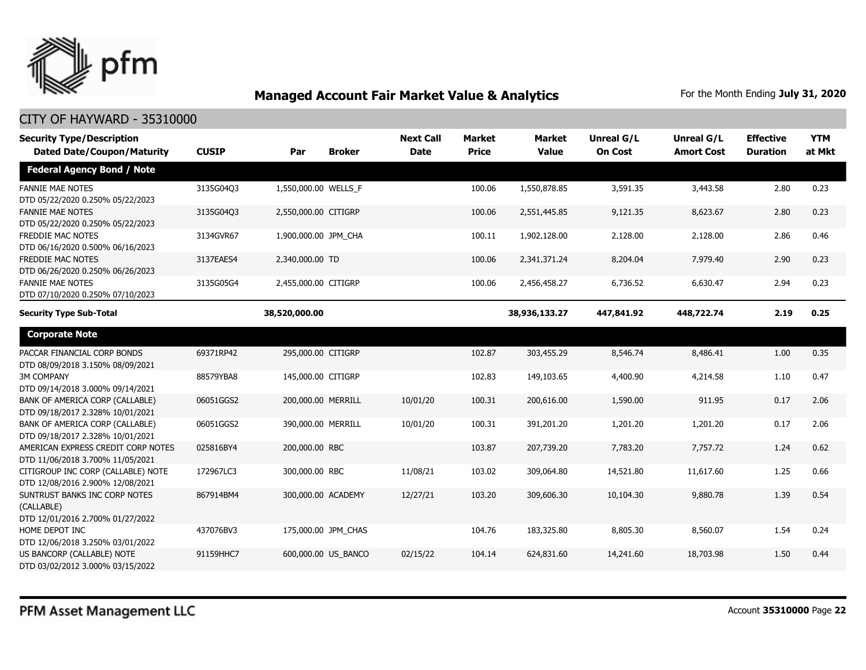

| <b>Security Type/Description</b>                                                |              |                      |                     | <b>Next Call</b> | <b>Market</b> | <b>Market</b> | <b>Unreal G/L</b> | Unreal G/L        | <b>Effective</b> | <b>YTM</b> |
|---------------------------------------------------------------------------------|--------------|----------------------|---------------------|------------------|---------------|---------------|-------------------|-------------------|------------------|------------|
| <b>Dated Date/Coupon/Maturity</b>                                               | <b>CUSIP</b> | Par                  | <b>Broker</b>       | <b>Date</b>      | <b>Price</b>  | <b>Value</b>  | <b>On Cost</b>    | <b>Amort Cost</b> | <b>Duration</b>  | at Mkt     |
| <b>Federal Agency Bond / Note</b>                                               |              |                      |                     |                  |               |               |                   |                   |                  |            |
| <b>FANNIE MAE NOTES</b><br>DTD 05/22/2020 0.250% 05/22/2023                     | 3135G04Q3    | 1,550,000.00 WELLS F |                     |                  | 100.06        | 1,550,878.85  | 3,591.35          | 3,443.58          | 2.80             | 0.23       |
| <b>FANNIE MAE NOTES</b><br>DTD 05/22/2020 0.250% 05/22/2023                     | 3135G04Q3    | 2,550,000.00 CITIGRP |                     |                  | 100.06        | 2,551,445.85  | 9,121.35          | 8,623.67          | 2.80             | 0.23       |
| FREDDIE MAC NOTES<br>DTD 06/16/2020 0.500% 06/16/2023                           | 3134GVR67    | 1,900,000.00 JPM_CHA |                     |                  | 100.11        | 1,902,128.00  | 2,128.00          | 2,128.00          | 2.86             | 0.46       |
| FREDDIE MAC NOTES<br>DTD 06/26/2020 0.250% 06/26/2023                           | 3137EAES4    | 2,340,000.00 TD      |                     |                  | 100.06        | 2,341,371.24  | 8,204.04          | 7,979.40          | 2.90             | 0.23       |
| <b>FANNIE MAE NOTES</b><br>DTD 07/10/2020 0.250% 07/10/2023                     | 3135G05G4    | 2,455,000.00 CITIGRP |                     |                  | 100.06        | 2,456,458.27  | 6,736.52          | 6,630.47          | 2.94             | 0.23       |
| <b>Security Type Sub-Total</b>                                                  |              | 38,520,000.00        |                     |                  |               | 38,936,133.27 | 447,841.92        | 448,722.74        | 2.19             | 0.25       |
| <b>Corporate Note</b>                                                           |              |                      |                     |                  |               |               |                   |                   |                  |            |
| PACCAR FINANCIAL CORP BONDS<br>DTD 08/09/2018 3.150% 08/09/2021                 | 69371RP42    | 295,000.00 CITIGRP   |                     |                  | 102.87        | 303,455.29    | 8,546.74          | 8,486.41          | 1.00             | 0.35       |
| <b>3M COMPANY</b><br>DTD 09/14/2018 3.000% 09/14/2021                           | 88579YBA8    | 145,000.00 CITIGRP   |                     |                  | 102.83        | 149,103.65    | 4,400.90          | 4,214.58          | 1.10             | 0.47       |
| BANK OF AMERICA CORP (CALLABLE)<br>DTD 09/18/2017 2.328% 10/01/2021             | 06051GGS2    | 200,000.00 MERRILL   |                     | 10/01/20         | 100.31        | 200,616.00    | 1,590.00          | 911.95            | 0.17             | 2.06       |
| BANK OF AMERICA CORP (CALLABLE)<br>DTD 09/18/2017 2.328% 10/01/2021             | 06051GGS2    | 390,000.00 MERRILL   |                     | 10/01/20         | 100.31        | 391,201.20    | 1,201.20          | 1,201.20          | 0.17             | 2.06       |
| AMERICAN EXPRESS CREDIT CORP NOTES<br>DTD 11/06/2018 3.700% 11/05/2021          | 025816BY4    | 200,000.00 RBC       |                     |                  | 103.87        | 207,739.20    | 7,783.20          | 7,757.72          | 1.24             | 0.62       |
| CITIGROUP INC CORP (CALLABLE) NOTE<br>DTD 12/08/2016 2.900% 12/08/2021          | 172967LC3    | 300,000.00 RBC       |                     | 11/08/21         | 103.02        | 309,064.80    | 14,521.80         | 11,617.60         | 1.25             | 0.66       |
| SUNTRUST BANKS INC CORP NOTES<br>(CALLABLE)<br>DTD 12/01/2016 2.700% 01/27/2022 | 867914BM4    |                      | 300,000.00 ACADEMY  | 12/27/21         | 103.20        | 309,606.30    | 10,104.30         | 9,880.78          | 1.39             | 0.54       |
| HOME DEPOT INC<br>DTD 12/06/2018 3.250% 03/01/2022                              | 437076BV3    |                      | 175,000.00 JPM CHAS |                  | 104.76        | 183,325.80    | 8,805.30          | 8,560.07          | 1.54             | 0.24       |
| US BANCORP (CALLABLE) NOTE<br>DTD 03/02/2012 3.000% 03/15/2022                  | 91159HHC7    |                      | 600,000.00 US BANCO | 02/15/22         | 104.14        | 624,831.60    | 14,241.60         | 18,703.98         | 1.50             | 0.44       |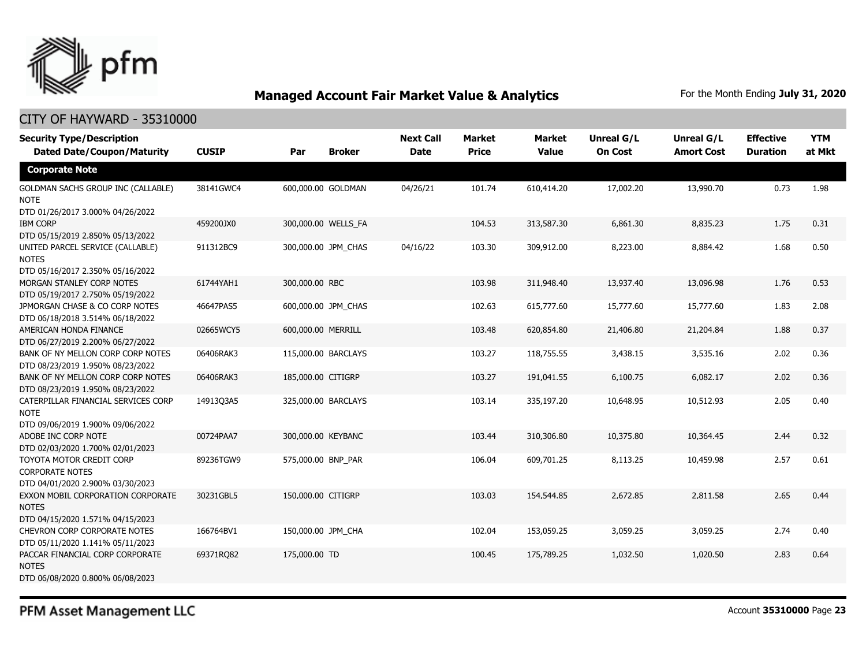

#### CITY OF HAYWARD - 35310000

| <b>Security Type/Description</b><br><b>Dated Date/Coupon/Maturity</b>                  | <b>CUSIP</b> | Par                | <b>Broker</b>       | <b>Next Call</b><br><b>Date</b> | <b>Market</b><br><b>Price</b> | <b>Market</b><br><b>Value</b> | <b>Unreal G/L</b><br><b>On Cost</b> | Unreal G/L<br><b>Amort Cost</b> | <b>Effective</b><br><b>Duration</b> | <b>YTM</b><br>at Mkt |
|----------------------------------------------------------------------------------------|--------------|--------------------|---------------------|---------------------------------|-------------------------------|-------------------------------|-------------------------------------|---------------------------------|-------------------------------------|----------------------|
| <b>Corporate Note</b>                                                                  |              |                    |                     |                                 |                               |                               |                                     |                                 |                                     |                      |
| GOLDMAN SACHS GROUP INC (CALLABLE)<br><b>NOTE</b><br>DTD 01/26/2017 3.000% 04/26/2022  | 38141GWC4    | 600,000.00 GOLDMAN |                     | 04/26/21                        | 101.74                        | 610,414.20                    | 17,002.20                           | 13,990.70                       | 0.73                                | 1.98                 |
| <b>IBM CORP</b><br>DTD 05/15/2019 2.850% 05/13/2022                                    | 459200JX0    |                    | 300,000.00 WELLS_FA |                                 | 104.53                        | 313,587.30                    | 6,861.30                            | 8,835.23                        | 1.75                                | 0.31                 |
| UNITED PARCEL SERVICE (CALLABLE)<br><b>NOTES</b><br>DTD 05/16/2017 2.350% 05/16/2022   | 911312BC9    |                    | 300,000.00 JPM_CHAS | 04/16/22                        | 103.30                        | 309,912.00                    | 8,223.00                            | 8,884.42                        | 1.68                                | 0.50                 |
| MORGAN STANLEY CORP NOTES<br>DTD 05/19/2017 2.750% 05/19/2022                          | 61744YAH1    | 300,000.00 RBC     |                     |                                 | 103.98                        | 311,948.40                    | 13,937.40                           | 13,096.98                       | 1.76                                | 0.53                 |
| JPMORGAN CHASE & CO CORP NOTES<br>DTD 06/18/2018 3.514% 06/18/2022                     | 46647PAS5    |                    | 600,000.00 JPM_CHAS |                                 | 102.63                        | 615,777.60                    | 15,777.60                           | 15,777.60                       | 1.83                                | 2.08                 |
| AMERICAN HONDA FINANCE<br>DTD 06/27/2019 2.200% 06/27/2022                             | 02665WCY5    | 600,000.00 MERRILL |                     |                                 | 103.48                        | 620,854.80                    | 21,406.80                           | 21,204.84                       | 1.88                                | 0.37                 |
| BANK OF NY MELLON CORP CORP NOTES<br>DTD 08/23/2019 1.950% 08/23/2022                  | 06406RAK3    |                    | 115,000.00 BARCLAYS |                                 | 103.27                        | 118,755.55                    | 3,438.15                            | 3,535.16                        | 2.02                                | 0.36                 |
| BANK OF NY MELLON CORP CORP NOTES<br>DTD 08/23/2019 1.950% 08/23/2022                  | 06406RAK3    | 185,000.00 CITIGRP |                     |                                 | 103.27                        | 191,041.55                    | 6,100.75                            | 6,082.17                        | 2.02                                | 0.36                 |
| CATERPILLAR FINANCIAL SERVICES CORP<br><b>NOTE</b><br>DTD 09/06/2019 1.900% 09/06/2022 | 14913Q3A5    |                    | 325,000.00 BARCLAYS |                                 | 103.14                        | 335,197.20                    | 10,648.95                           | 10,512.93                       | 2.05                                | 0.40                 |
| ADOBE INC CORP NOTE<br>DTD 02/03/2020 1.700% 02/01/2023                                | 00724PAA7    | 300,000.00 KEYBANC |                     |                                 | 103.44                        | 310,306.80                    | 10,375.80                           | 10,364.45                       | 2.44                                | 0.32                 |
| TOYOTA MOTOR CREDIT CORP<br><b>CORPORATE NOTES</b><br>DTD 04/01/2020 2.900% 03/30/2023 | 89236TGW9    | 575,000.00 BNP PAR |                     |                                 | 106.04                        | 609,701.25                    | 8,113.25                            | 10,459.98                       | 2.57                                | 0.61                 |
| EXXON MOBIL CORPORATION CORPORATE<br><b>NOTES</b><br>DTD 04/15/2020 1.571% 04/15/2023  | 30231GBL5    | 150,000.00 CITIGRP |                     |                                 | 103.03                        | 154,544.85                    | 2,672.85                            | 2,811.58                        | 2.65                                | 0.44                 |
| CHEVRON CORP CORPORATE NOTES<br>DTD 05/11/2020 1.141% 05/11/2023                       | 166764BV1    | 150,000.00 JPM CHA |                     |                                 | 102.04                        | 153,059.25                    | 3,059.25                            | 3,059.25                        | 2.74                                | 0.40                 |
| PACCAR FINANCIAL CORP CORPORATE<br><b>NOTES</b><br>DTD 06/08/2020 0.800% 06/08/2023    | 69371RQ82    | 175,000.00 TD      |                     |                                 | 100.45                        | 175,789.25                    | 1,032.50                            | 1,020.50                        | 2.83                                | 0.64                 |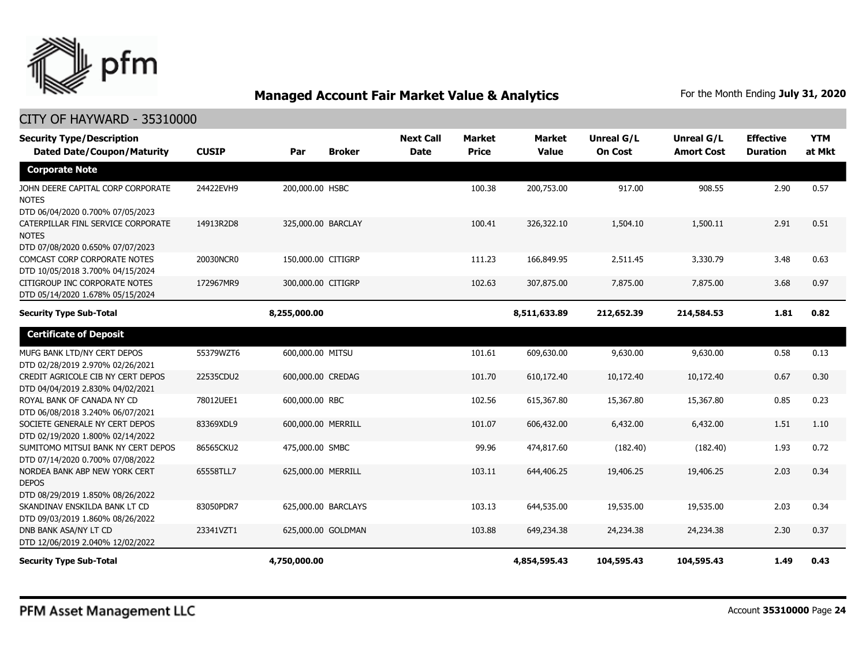

| <b>Security Type/Description</b><br><b>Dated Date/Coupon/Maturity</b>                  | <b>CUSIP</b> | Par                 | <b>Broker</b> | <b>Next Call</b><br><b>Date</b> | <b>Market</b><br><b>Price</b> | <b>Market</b><br><b>Value</b> | <b>Unreal G/L</b><br><b>On Cost</b> | <b>Unreal G/L</b><br><b>Amort Cost</b> | <b>Effective</b><br><b>Duration</b> | <b>YTM</b><br>at Mkt |
|----------------------------------------------------------------------------------------|--------------|---------------------|---------------|---------------------------------|-------------------------------|-------------------------------|-------------------------------------|----------------------------------------|-------------------------------------|----------------------|
| <b>Corporate Note</b>                                                                  |              |                     |               |                                 |                               |                               |                                     |                                        |                                     |                      |
| JOHN DEERE CAPITAL CORP CORPORATE<br><b>NOTES</b><br>DTD 06/04/2020 0.700% 07/05/2023  | 24422EVH9    | 200,000.00 HSBC     |               |                                 | 100.38                        | 200,753.00                    | 917.00                              | 908.55                                 | 2.90                                | 0.57                 |
| CATERPILLAR FINL SERVICE CORPORATE<br><b>NOTES</b><br>DTD 07/08/2020 0.650% 07/07/2023 | 14913R2D8    | 325,000.00 BARCLAY  |               |                                 | 100.41                        | 326,322.10                    | 1,504.10                            | 1,500.11                               | 2.91                                | 0.51                 |
| COMCAST CORP CORPORATE NOTES<br>DTD 10/05/2018 3.700% 04/15/2024                       | 20030NCR0    | 150,000.00 CITIGRP  |               |                                 | 111.23                        | 166,849.95                    | 2,511.45                            | 3,330.79                               | 3.48                                | 0.63                 |
| CITIGROUP INC CORPORATE NOTES<br>DTD 05/14/2020 1.678% 05/15/2024                      | 172967MR9    | 300,000.00 CITIGRP  |               |                                 | 102.63                        | 307,875,00                    | 7,875.00                            | 7,875.00                               | 3.68                                | 0.97                 |
| <b>Security Type Sub-Total</b>                                                         |              | 8,255,000.00        |               |                                 |                               | 8,511,633.89                  | 212,652.39                          | 214,584.53                             | 1.81                                | 0.82                 |
| <b>Certificate of Deposit</b>                                                          |              |                     |               |                                 |                               |                               |                                     |                                        |                                     |                      |
| MUFG BANK LTD/NY CERT DEPOS<br>DTD 02/28/2019 2.970% 02/26/2021                        | 55379WZT6    | 600,000.00 MITSU    |               |                                 | 101.61                        | 609,630.00                    | 9,630.00                            | 9,630.00                               | 0.58                                | 0.13                 |
| CREDIT AGRICOLE CIB NY CERT DEPOS<br>DTD 04/04/2019 2.830% 04/02/2021                  | 22535CDU2    | 600,000.00 CREDAG   |               |                                 | 101.70                        | 610,172.40                    | 10,172.40                           | 10,172.40                              | 0.67                                | 0.30                 |
| ROYAL BANK OF CANADA NY CD<br>DTD 06/08/2018 3.240% 06/07/2021                         | 78012UEE1    | 600,000.00 RBC      |               |                                 | 102.56                        | 615,367.80                    | 15,367.80                           | 15,367.80                              | 0.85                                | 0.23                 |
| SOCIETE GENERALE NY CERT DEPOS<br>DTD 02/19/2020 1.800% 02/14/2022                     | 83369XDL9    | 600,000.00 MERRILL  |               |                                 | 101.07                        | 606,432.00                    | 6,432.00                            | 6,432.00                               | 1.51                                | 1.10                 |
| SUMITOMO MITSUI BANK NY CERT DEPOS<br>DTD 07/14/2020 0.700% 07/08/2022                 | 86565CKU2    | 475,000.00 SMBC     |               |                                 | 99.96                         | 474,817.60                    | (182.40)                            | (182.40)                               | 1.93                                | 0.72                 |
| NORDEA BANK ABP NEW YORK CERT<br><b>DEPOS</b><br>DTD 08/29/2019 1.850% 08/26/2022      | 65558TLL7    | 625,000.00 MERRILL  |               |                                 | 103.11                        | 644,406.25                    | 19,406.25                           | 19,406.25                              | 2.03                                | 0.34                 |
| SKANDINAV ENSKILDA BANK LT CD<br>DTD 09/03/2019 1.860% 08/26/2022                      | 83050PDR7    | 625,000.00 BARCLAYS |               |                                 | 103.13                        | 644,535.00                    | 19,535.00                           | 19,535.00                              | 2.03                                | 0.34                 |
| DNB BANK ASA/NY LT CD<br>DTD 12/06/2019 2.040% 12/02/2022                              | 23341VZT1    | 625,000.00 GOLDMAN  |               |                                 | 103.88                        | 649,234.38                    | 24,234.38                           | 24,234.38                              | 2.30                                | 0.37                 |
| <b>Security Type Sub-Total</b>                                                         |              | 4,750,000.00        |               |                                 |                               | 4,854,595.43                  | 104,595.43                          | 104,595.43                             | 1.49                                | 0.43                 |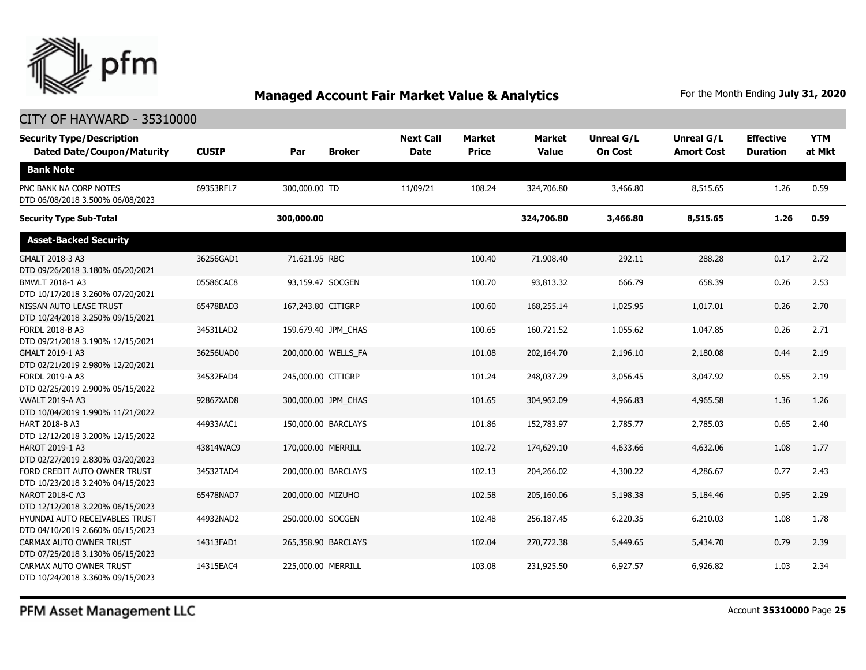

#### CITY OF HAYWARD - 35310000

| <b>Security Type/Description</b><br><b>Dated Date/Coupon/Maturity</b> | <b>CUSIP</b> | Par                | <b>Broker</b>       | <b>Next Call</b><br><b>Date</b> | <b>Market</b><br><b>Price</b> | <b>Market</b><br><b>Value</b> | Unreal G/L<br><b>On Cost</b> | <b>Unreal G/L</b><br><b>Amort Cost</b> | <b>Effective</b><br><b>Duration</b> | <b>YTM</b><br>at Mkt |
|-----------------------------------------------------------------------|--------------|--------------------|---------------------|---------------------------------|-------------------------------|-------------------------------|------------------------------|----------------------------------------|-------------------------------------|----------------------|
| <b>Bank Note</b>                                                      |              |                    |                     |                                 |                               |                               |                              |                                        |                                     |                      |
| PNC BANK NA CORP NOTES<br>DTD 06/08/2018 3.500% 06/08/2023            | 69353RFL7    | 300,000.00 TD      |                     | 11/09/21                        | 108.24                        | 324,706.80                    | 3,466.80                     | 8,515.65                               | 1.26                                | 0.59                 |
| <b>Security Type Sub-Total</b>                                        |              | 300,000.00         |                     |                                 |                               | 324,706.80                    | 3,466.80                     | 8,515.65                               | 1.26                                | 0.59                 |
| <b>Asset-Backed Security</b>                                          |              |                    |                     |                                 |                               |                               |                              |                                        |                                     |                      |
| GMALT 2018-3 A3<br>DTD 09/26/2018 3.180% 06/20/2021                   | 36256GAD1    | 71,621.95 RBC      |                     |                                 | 100.40                        | 71,908.40                     | 292.11                       | 288.28                                 | 0.17                                | 2.72                 |
| BMWLT 2018-1 A3<br>DTD 10/17/2018 3.260% 07/20/2021                   | 05586CAC8    | 93,159.47 SOCGEN   |                     |                                 | 100.70                        | 93,813.32                     | 666.79                       | 658.39                                 | 0.26                                | 2.53                 |
| NISSAN AUTO LEASE TRUST<br>DTD 10/24/2018 3.250% 09/15/2021           | 65478BAD3    | 167,243.80 CITIGRP |                     |                                 | 100.60                        | 168,255.14                    | 1,025.95                     | 1,017.01                               | 0.26                                | 2.70                 |
| <b>FORDL 2018-B A3</b><br>DTD 09/21/2018 3.190% 12/15/2021            | 34531LAD2    |                    | 159,679.40 JPM_CHAS |                                 | 100.65                        | 160,721.52                    | 1,055.62                     | 1,047.85                               | 0.26                                | 2.71                 |
| GMALT 2019-1 A3<br>DTD 02/21/2019 2.980% 12/20/2021                   | 36256UAD0    |                    | 200,000.00 WELLS FA |                                 | 101.08                        | 202,164.70                    | 2,196.10                     | 2,180.08                               | 0.44                                | 2.19                 |
| FORDL 2019-A A3<br>DTD 02/25/2019 2.900% 05/15/2022                   | 34532FAD4    | 245,000.00 CITIGRP |                     |                                 | 101.24                        | 248,037.29                    | 3,056.45                     | 3,047.92                               | 0.55                                | 2.19                 |
| <b>VWALT 2019-A A3</b><br>DTD 10/04/2019 1.990% 11/21/2022            | 92867XAD8    |                    | 300,000.00 JPM_CHAS |                                 | 101.65                        | 304,962.09                    | 4,966.83                     | 4,965.58                               | 1.36                                | 1.26                 |
| HART 2018-B A3<br>DTD 12/12/2018 3.200% 12/15/2022                    | 44933AAC1    |                    | 150,000.00 BARCLAYS |                                 | 101.86                        | 152,783.97                    | 2,785.77                     | 2,785.03                               | 0.65                                | 2.40                 |
| HAROT 2019-1 A3<br>DTD 02/27/2019 2.830% 03/20/2023                   | 43814WAC9    | 170,000.00 MERRILL |                     |                                 | 102.72                        | 174,629.10                    | 4,633.66                     | 4,632.06                               | 1.08                                | 1.77                 |
| FORD CREDIT AUTO OWNER TRUST<br>DTD 10/23/2018 3.240% 04/15/2023      | 34532TAD4    |                    | 200,000.00 BARCLAYS |                                 | 102.13                        | 204,266.02                    | 4,300.22                     | 4,286.67                               | 0.77                                | 2.43                 |
| NAROT 2018-C A3<br>DTD 12/12/2018 3.220% 06/15/2023                   | 65478NAD7    | 200,000.00 MIZUHO  |                     |                                 | 102.58                        | 205,160.06                    | 5,198.38                     | 5,184.46                               | 0.95                                | 2.29                 |
| HYUNDAI AUTO RECEIVABLES TRUST<br>DTD 04/10/2019 2.660% 06/15/2023    | 44932NAD2    | 250,000.00 SOCGEN  |                     |                                 | 102.48                        | 256,187.45                    | 6,220.35                     | 6,210.03                               | 1.08                                | 1.78                 |
| CARMAX AUTO OWNER TRUST<br>DTD 07/25/2018 3.130% 06/15/2023           | 14313FAD1    |                    | 265,358.90 BARCLAYS |                                 | 102.04                        | 270,772.38                    | 5,449.65                     | 5,434.70                               | 0.79                                | 2.39                 |
| CARMAX AUTO OWNER TRUST<br>DTD 10/24/2018 3.360% 09/15/2023           | 14315EAC4    | 225,000.00 MERRILL |                     |                                 | 103.08                        | 231,925.50                    | 6,927.57                     | 6,926.82                               | 1.03                                | 2.34                 |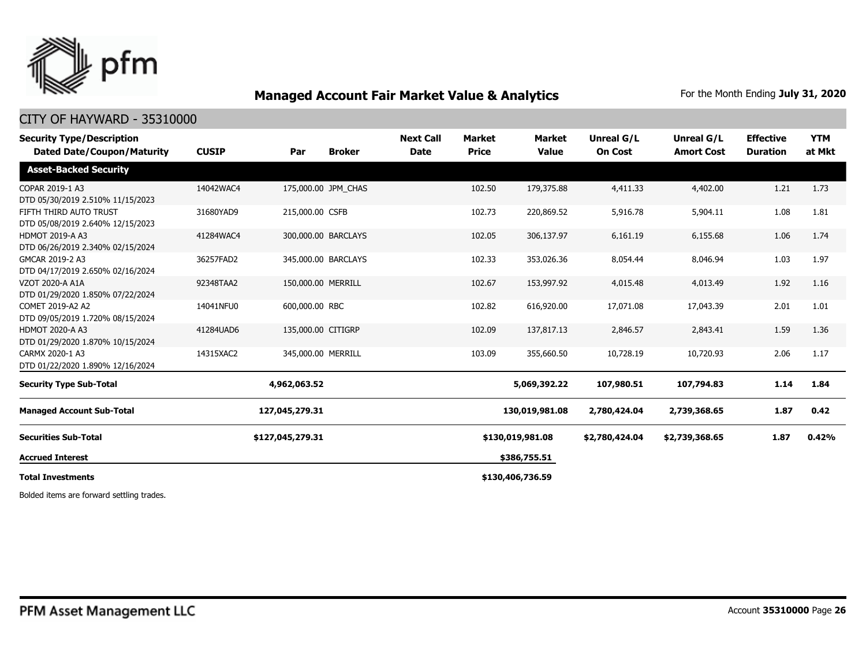

#### CITY OF HAYWARD - 35310000

| <b>Security Type/Description</b><br><b>Dated Date/Coupon/Maturity</b> | <b>CUSIP</b> | Par                 | <b>Broker</b> | <b>Next Call</b><br><b>Date</b> | <b>Market</b><br><b>Price</b> | <b>Market</b><br><b>Value</b> | Unreal G/L<br><b>On Cost</b> | Unreal G/L<br><b>Amort Cost</b> | <b>Effective</b><br><b>Duration</b> | <b>YTM</b><br>at Mkt |
|-----------------------------------------------------------------------|--------------|---------------------|---------------|---------------------------------|-------------------------------|-------------------------------|------------------------------|---------------------------------|-------------------------------------|----------------------|
| <b>Asset-Backed Security</b>                                          |              |                     |               |                                 |                               |                               |                              |                                 |                                     |                      |
| COPAR 2019-1 A3<br>DTD 05/30/2019 2.510% 11/15/2023                   | 14042WAC4    | 175,000.00 JPM CHAS |               |                                 | 102.50                        | 179,375.88                    | 4,411.33                     | 4,402.00                        | 1.21                                | 1.73                 |
| FIFTH THIRD AUTO TRUST<br>DTD 05/08/2019 2.640% 12/15/2023            | 31680YAD9    | 215,000.00 CSFB     |               |                                 | 102.73                        | 220,869.52                    | 5,916.78                     | 5,904.11                        | 1.08                                | 1.81                 |
| <b>HDMOT 2019-A A3</b><br>DTD 06/26/2019 2.340% 02/15/2024            | 41284WAC4    | 300,000.00 BARCLAYS |               |                                 | 102.05                        | 306,137.97                    | 6,161.19                     | 6,155.68                        | 1.06                                | 1.74                 |
| GMCAR 2019-2 A3<br>DTD 04/17/2019 2.650% 02/16/2024                   | 36257FAD2    | 345,000.00 BARCLAYS |               |                                 | 102.33                        | 353,026.36                    | 8,054.44                     | 8,046.94                        | 1.03                                | 1.97                 |
| VZOT 2020-A A1A<br>DTD 01/29/2020 1.850% 07/22/2024                   | 92348TAA2    | 150,000.00 MERRILL  |               |                                 | 102.67                        | 153,997.92                    | 4,015.48                     | 4,013.49                        | 1.92                                | 1.16                 |
| COMET 2019-A2 A2<br>DTD 09/05/2019 1.720% 08/15/2024                  | 14041NFU0    | 600,000.00 RBC      |               |                                 | 102.82                        | 616,920.00                    | 17,071.08                    | 17,043.39                       | 2.01                                | 1.01                 |
| <b>HDMOT 2020-A A3</b><br>DTD 01/29/2020 1.870% 10/15/2024            | 41284UAD6    | 135,000.00 CITIGRP  |               |                                 | 102.09                        | 137,817.13                    | 2,846.57                     | 2,843.41                        | 1.59                                | 1.36                 |
| CARMX 2020-1 A3<br>DTD 01/22/2020 1.890% 12/16/2024                   | 14315XAC2    | 345,000.00 MERRILL  |               |                                 | 103.09                        | 355,660.50                    | 10,728.19                    | 10,720.93                       | 2.06                                | 1.17                 |
| <b>Security Type Sub-Total</b>                                        |              | 4,962,063.52        |               |                                 |                               | 5,069,392.22                  | 107,980.51                   | 107,794.83                      | 1.14                                | 1.84                 |
| <b>Managed Account Sub-Total</b>                                      |              | 127,045,279.31      |               |                                 |                               | 130,019,981.08                | 2,780,424.04                 | 2,739,368.65                    | 1.87                                | 0.42                 |
| <b>Securities Sub-Total</b>                                           |              | \$127,045,279.31    |               |                                 |                               | \$130,019,981.08              | \$2,780,424.04               | \$2,739,368.65                  | 1.87                                | 0.42%                |
| <b>Accrued Interest</b>                                               |              |                     |               |                                 |                               | \$386,755.51                  |                              |                                 |                                     |                      |
| <b>Total Investments</b>                                              |              |                     |               |                                 |                               | \$130,406,736.59              |                              |                                 |                                     |                      |

Bolded items are forward settling trades.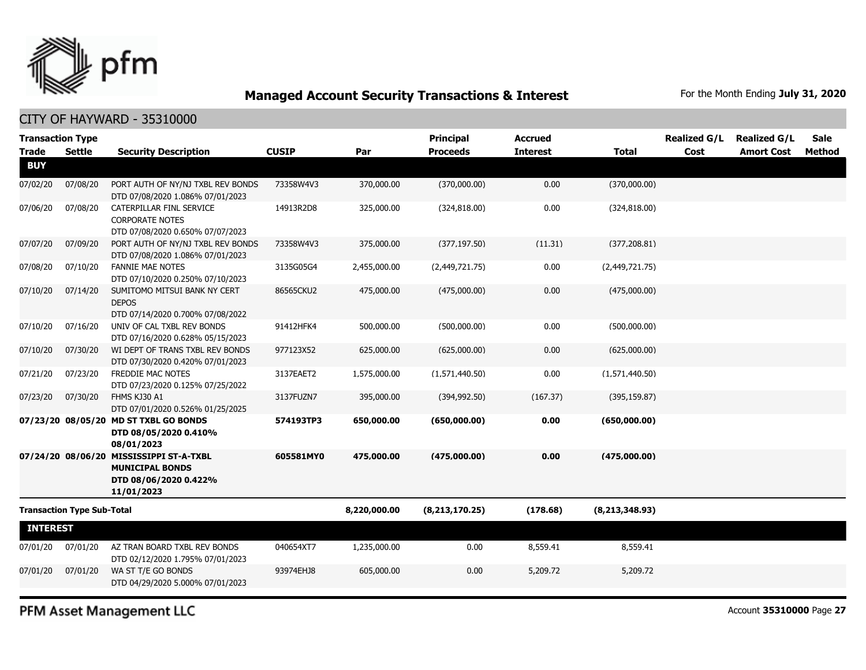

CITY OF HAYWARD - 35310000

| <b>Transaction Type</b> |                                   |                                                                                                          |              |              | <b>Principal</b> | <b>Accrued</b>  |                  | <b>Realized G/L</b> | <b>Realized G/L</b> | <b>Sale</b> |
|-------------------------|-----------------------------------|----------------------------------------------------------------------------------------------------------|--------------|--------------|------------------|-----------------|------------------|---------------------|---------------------|-------------|
| <b>Trade</b>            | <b>Settle</b>                     | <b>Security Description</b>                                                                              | <b>CUSIP</b> | Par          | <b>Proceeds</b>  | <b>Interest</b> | <b>Total</b>     | Cost                | <b>Amort Cost</b>   | Method      |
| <b>BUY</b>              |                                   |                                                                                                          |              |              |                  |                 |                  |                     |                     |             |
| 07/02/20                | 07/08/20                          | PORT AUTH OF NY/NJ TXBL REV BONDS<br>DTD 07/08/2020 1.086% 07/01/2023                                    | 73358W4V3    | 370,000.00   | (370,000.00)     | 0.00            | (370,000.00)     |                     |                     |             |
| 07/06/20                | 07/08/20                          | CATERPILLAR FINL SERVICE<br><b>CORPORATE NOTES</b><br>DTD 07/08/2020 0.650% 07/07/2023                   | 14913R2D8    | 325,000.00   | (324, 818.00)    | 0.00            | (324, 818.00)    |                     |                     |             |
| 07/07/20                | 07/09/20                          | PORT AUTH OF NY/NJ TXBL REV BONDS<br>DTD 07/08/2020 1.086% 07/01/2023                                    | 73358W4V3    | 375,000.00   | (377, 197.50)    | (11.31)         | (377, 208.81)    |                     |                     |             |
| 07/08/20                | 07/10/20                          | <b>FANNIE MAE NOTES</b><br>DTD 07/10/2020 0.250% 07/10/2023                                              | 3135G05G4    | 2,455,000.00 | (2,449,721.75)   | 0.00            | (2,449,721.75)   |                     |                     |             |
| 07/10/20                | 07/14/20                          | SUMITOMO MITSUI BANK NY CERT<br><b>DEPOS</b><br>DTD 07/14/2020 0.700% 07/08/2022                         | 86565CKU2    | 475,000.00   | (475,000.00)     | 0.00            | (475,000.00)     |                     |                     |             |
| 07/10/20                | 07/16/20                          | UNIV OF CAL TXBL REV BONDS<br>DTD 07/16/2020 0.628% 05/15/2023                                           | 91412HFK4    | 500,000.00   | (500,000.00)     | 0.00            | (500,000.00)     |                     |                     |             |
| 07/10/20                | 07/30/20                          | WI DEPT OF TRANS TXBL REV BONDS<br>DTD 07/30/2020 0.420% 07/01/2023                                      | 977123X52    | 625,000.00   | (625,000.00)     | 0.00            | (625,000.00)     |                     |                     |             |
| 07/21/20                | 07/23/20                          | FREDDIE MAC NOTES<br>DTD 07/23/2020 0.125% 07/25/2022                                                    | 3137EAET2    | 1,575,000.00 | (1,571,440.50)   | 0.00            | (1,571,440.50)   |                     |                     |             |
| 07/23/20                | 07/30/20                          | FHMS KJ30 A1<br>DTD 07/01/2020 0.526% 01/25/2025                                                         | 3137FUZN7    | 395,000.00   | (394, 992.50)    | (167.37)        | (395, 159.87)    |                     |                     |             |
|                         |                                   | 07/23/20 08/05/20 MD ST TXBL GO BONDS<br>DTD 08/05/2020 0.410%<br>08/01/2023                             | 574193TP3    | 650,000.00   | (650,000.00)     | 0.00            | (650,000.00)     |                     |                     |             |
|                         |                                   | 07/24/20 08/06/20 MISSISSIPPI ST-A-TXBL<br><b>MUNICIPAL BONDS</b><br>DTD 08/06/2020 0.422%<br>11/01/2023 | 605581MY0    | 475,000.00   | (475,000.00)     | 0.00            | (475,000.00)     |                     |                     |             |
|                         | <b>Transaction Type Sub-Total</b> |                                                                                                          |              | 8,220,000.00 | (8, 213, 170.25) | (178.68)        | (8, 213, 348.93) |                     |                     |             |
| <b>INTEREST</b>         |                                   |                                                                                                          |              |              |                  |                 |                  |                     |                     |             |
| 07/01/20                | 07/01/20                          | AZ TRAN BOARD TXBL REV BONDS<br>DTD 02/12/2020 1.795% 07/01/2023                                         | 040654XT7    | 1,235,000.00 | 0.00             | 8,559.41        | 8,559.41         |                     |                     |             |
| 07/01/20                | 07/01/20                          | WA ST T/E GO BONDS<br>DTD 04/29/2020 5.000% 07/01/2023                                                   | 93974EHJ8    | 605,000.00   | 0.00             | 5,209.72        | 5,209.72         |                     |                     |             |
|                         |                                   |                                                                                                          |              |              |                  |                 |                  |                     |                     |             |

PFM Asset Management LLC

Account **35310000** Page **27**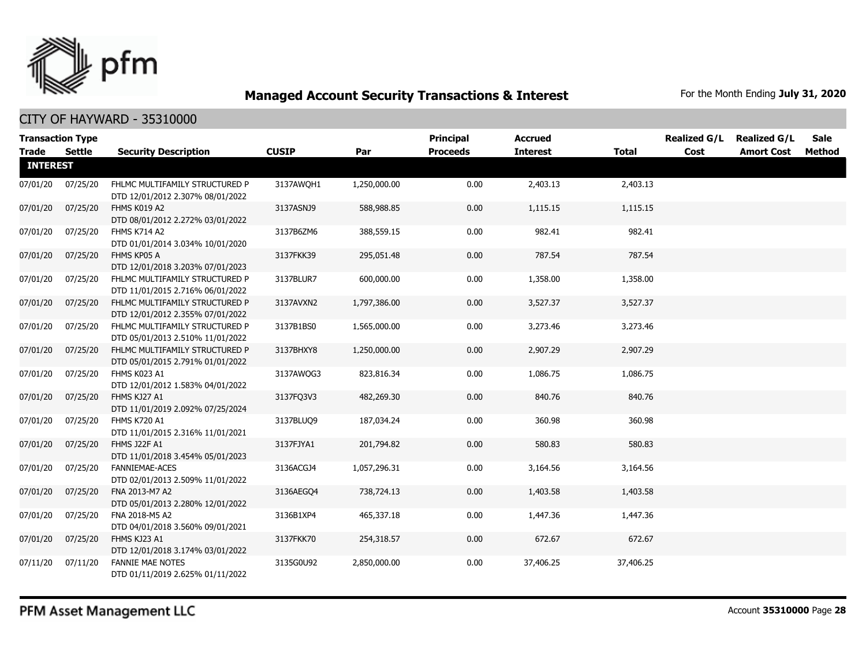

| <b>Transaction Type</b><br><b>Trade</b> | <b>Settle</b> | <b>Security Description</b>                                        | <b>CUSIP</b> | Par          | <b>Principal</b><br><b>Proceeds</b> | <b>Accrued</b><br><b>Interest</b> | <b>Total</b> | <b>Realized G/L</b><br>Cost | <b>Realized G/L</b><br><b>Amort Cost</b> | <b>Sale</b><br>Method |
|-----------------------------------------|---------------|--------------------------------------------------------------------|--------------|--------------|-------------------------------------|-----------------------------------|--------------|-----------------------------|------------------------------------------|-----------------------|
| <b>INTEREST</b>                         |               |                                                                    |              |              |                                     |                                   |              |                             |                                          |                       |
| 07/01/20                                | 07/25/20      | FHLMC MULTIFAMILY STRUCTURED P<br>DTD 12/01/2012 2.307% 08/01/2022 | 3137AWQH1    | 1,250,000.00 | 0.00                                | 2,403.13                          | 2,403.13     |                             |                                          |                       |
| 07/01/20                                | 07/25/20      | FHMS K019 A2<br>DTD 08/01/2012 2.272% 03/01/2022                   | 3137ASNJ9    | 588,988.85   | 0.00                                | 1,115.15                          | 1,115.15     |                             |                                          |                       |
| 07/01/20                                | 07/25/20      | FHMS K714 A2<br>DTD 01/01/2014 3.034% 10/01/2020                   | 3137B6ZM6    | 388,559.15   | 0.00                                | 982.41                            | 982.41       |                             |                                          |                       |
| 07/01/20                                | 07/25/20      | FHMS KP05 A<br>DTD 12/01/2018 3.203% 07/01/2023                    | 3137FKK39    | 295,051.48   | 0.00                                | 787.54                            | 787.54       |                             |                                          |                       |
| 07/01/20                                | 07/25/20      | FHLMC MULTIFAMILY STRUCTURED P<br>DTD 11/01/2015 2.716% 06/01/2022 | 3137BLUR7    | 600,000.00   | 0.00                                | 1,358.00                          | 1,358.00     |                             |                                          |                       |
| 07/01/20                                | 07/25/20      | FHLMC MULTIFAMILY STRUCTURED P<br>DTD 12/01/2012 2.355% 07/01/2022 | 3137AVXN2    | 1,797,386.00 | 0.00                                | 3,527.37                          | 3,527.37     |                             |                                          |                       |
| 07/01/20                                | 07/25/20      | FHLMC MULTIFAMILY STRUCTURED P<br>DTD 05/01/2013 2.510% 11/01/2022 | 3137B1BS0    | 1,565,000.00 | 0.00                                | 3,273.46                          | 3,273.46     |                             |                                          |                       |
| 07/01/20                                | 07/25/20      | FHLMC MULTIFAMILY STRUCTURED P<br>DTD 05/01/2015 2.791% 01/01/2022 | 3137BHXY8    | 1,250,000.00 | 0.00                                | 2,907.29                          | 2,907.29     |                             |                                          |                       |
| 07/01/20                                | 07/25/20      | FHMS K023 A1<br>DTD 12/01/2012 1.583% 04/01/2022                   | 3137AWQG3    | 823,816.34   | 0.00                                | 1,086.75                          | 1,086.75     |                             |                                          |                       |
| 07/01/20                                | 07/25/20      | FHMS KJ27 A1<br>DTD 11/01/2019 2.092% 07/25/2024                   | 3137FQ3V3    | 482,269.30   | 0.00                                | 840.76                            | 840.76       |                             |                                          |                       |
| 07/01/20                                | 07/25/20      | <b>FHMS K720 A1</b><br>DTD 11/01/2015 2.316% 11/01/2021            | 3137BLUQ9    | 187,034.24   | 0.00                                | 360.98                            | 360.98       |                             |                                          |                       |
| 07/01/20                                | 07/25/20      | FHMS J22F A1<br>DTD 11/01/2018 3.454% 05/01/2023                   | 3137FJYA1    | 201,794.82   | 0.00                                | 580.83                            | 580.83       |                             |                                          |                       |
| 07/01/20                                | 07/25/20      | <b>FANNIEMAE-ACES</b><br>DTD 02/01/2013 2.509% 11/01/2022          | 3136ACGJ4    | 1,057,296.31 | 0.00                                | 3,164.56                          | 3,164.56     |                             |                                          |                       |
| 07/01/20                                | 07/25/20      | FNA 2013-M7 A2<br>DTD 05/01/2013 2.280% 12/01/2022                 | 3136AEGQ4    | 738,724.13   | 0.00                                | 1,403.58                          | 1,403.58     |                             |                                          |                       |
| 07/01/20                                | 07/25/20      | FNA 2018-M5 A2<br>DTD 04/01/2018 3.560% 09/01/2021                 | 3136B1XP4    | 465,337.18   | 0.00                                | 1,447.36                          | 1,447.36     |                             |                                          |                       |
| 07/01/20                                | 07/25/20      | FHMS KJ23 A1<br>DTD 12/01/2018 3.174% 03/01/2022                   | 3137FKK70    | 254,318.57   | 0.00                                | 672.67                            | 672.67       |                             |                                          |                       |
| 07/11/20                                | 07/11/20      | <b>FANNIE MAE NOTES</b><br>DTD 01/11/2019 2.625% 01/11/2022        | 3135G0U92    | 2,850,000.00 | 0.00                                | 37,406.25                         | 37,406.25    |                             |                                          |                       |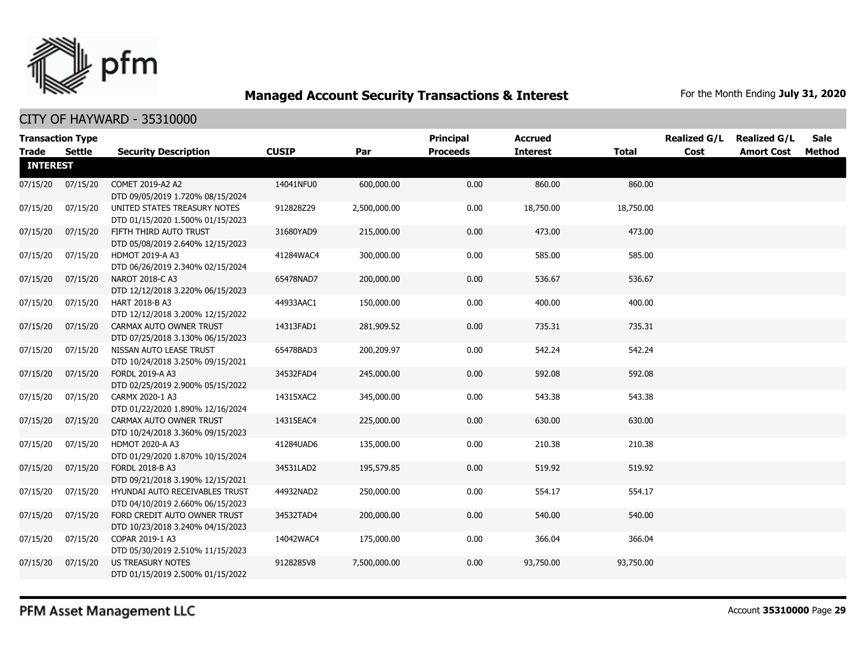

| <b>Transaction Type</b><br><b>Trade</b> | Settle   | <b>Security Description</b>                                        | <b>CUSIP</b> | Par          | <b>Principal</b><br><b>Proceeds</b> | <b>Accrued</b><br><b>Interest</b> | <b>Total</b> | <b>Realized G/L</b><br>Cost | <b>Realized G/L</b><br><b>Amort Cost</b> | <b>Sale</b><br>Method |
|-----------------------------------------|----------|--------------------------------------------------------------------|--------------|--------------|-------------------------------------|-----------------------------------|--------------|-----------------------------|------------------------------------------|-----------------------|
| <b>INTEREST</b>                         |          |                                                                    |              |              |                                     |                                   |              |                             |                                          |                       |
| 07/15/20                                | 07/15/20 | COMET 2019-A2 A2<br>DTD 09/05/2019 1.720% 08/15/2024               | 14041NFU0    | 600,000.00   | 0.00                                | 860.00                            | 860.00       |                             |                                          |                       |
| 07/15/20                                | 07/15/20 | UNITED STATES TREASURY NOTES<br>DTD 01/15/2020 1.500% 01/15/2023   | 912828Z29    | 2,500,000.00 | 0.00                                | 18,750.00                         | 18,750.00    |                             |                                          |                       |
| 07/15/20                                | 07/15/20 | FIFTH THIRD AUTO TRUST<br>DTD 05/08/2019 2.640% 12/15/2023         | 31680YAD9    | 215,000.00   | 0.00                                | 473.00                            | 473.00       |                             |                                          |                       |
| 07/15/20                                | 07/15/20 | <b>HDMOT 2019-A A3</b><br>DTD 06/26/2019 2.340% 02/15/2024         | 41284WAC4    | 300,000.00   | 0.00                                | 585.00                            | 585.00       |                             |                                          |                       |
| 07/15/20                                | 07/15/20 | NAROT 2018-C A3<br>DTD 12/12/2018 3.220% 06/15/2023                | 65478NAD7    | 200,000.00   | 0.00                                | 536.67                            | 536.67       |                             |                                          |                       |
| 07/15/20                                | 07/15/20 | HART 2018-B A3<br>DTD 12/12/2018 3.200% 12/15/2022                 | 44933AAC1    | 150,000.00   | 0.00                                | 400.00                            | 400.00       |                             |                                          |                       |
| 07/15/20                                | 07/15/20 | CARMAX AUTO OWNER TRUST<br>DTD 07/25/2018 3.130% 06/15/2023        | 14313FAD1    | 281,909.52   | 0.00                                | 735.31                            | 735.31       |                             |                                          |                       |
| 07/15/20                                | 07/15/20 | NISSAN AUTO LEASE TRUST<br>DTD 10/24/2018 3.250% 09/15/2021        | 65478BAD3    | 200,209.97   | 0.00                                | 542.24                            | 542.24       |                             |                                          |                       |
| 07/15/20                                | 07/15/20 | FORDL 2019-A A3<br>DTD 02/25/2019 2.900% 05/15/2022                | 34532FAD4    | 245,000.00   | 0.00                                | 592.08                            | 592.08       |                             |                                          |                       |
| 07/15/20                                | 07/15/20 | CARMX 2020-1 A3<br>DTD 01/22/2020 1.890% 12/16/2024                | 14315XAC2    | 345,000.00   | 0.00                                | 543.38                            | 543.38       |                             |                                          |                       |
| 07/15/20                                | 07/15/20 | CARMAX AUTO OWNER TRUST<br>DTD 10/24/2018 3.360% 09/15/2023        | 14315EAC4    | 225,000.00   | 0.00                                | 630.00                            | 630.00       |                             |                                          |                       |
| 07/15/20                                | 07/15/20 | HDMOT 2020-A A3<br>DTD 01/29/2020 1.870% 10/15/2024                | 41284UAD6    | 135,000.00   | 0.00                                | 210.38                            | 210.38       |                             |                                          |                       |
| 07/15/20                                | 07/15/20 | FORDL 2018-B A3<br>DTD 09/21/2018 3.190% 12/15/2021                | 34531LAD2    | 195,579.85   | 0.00                                | 519.92                            | 519.92       |                             |                                          |                       |
| 07/15/20                                | 07/15/20 | HYUNDAI AUTO RECEIVABLES TRUST<br>DTD 04/10/2019 2.660% 06/15/2023 | 44932NAD2    | 250,000.00   | 0.00                                | 554.17                            | 554.17       |                             |                                          |                       |
| 07/15/20                                | 07/15/20 | FORD CREDIT AUTO OWNER TRUST<br>DTD 10/23/2018 3.240% 04/15/2023   | 34532TAD4    | 200,000.00   | 0.00                                | 540.00                            | 540.00       |                             |                                          |                       |
| 07/15/20                                | 07/15/20 | COPAR 2019-1 A3<br>DTD 05/30/2019 2.510% 11/15/2023                | 14042WAC4    | 175,000.00   | 0.00                                | 366.04                            | 366.04       |                             |                                          |                       |
| 07/15/20                                | 07/15/20 | <b>US TREASURY NOTES</b><br>DTD 01/15/2019 2.500% 01/15/2022       | 9128285V8    | 7,500,000.00 | 0.00                                | 93,750.00                         | 93,750.00    |                             |                                          |                       |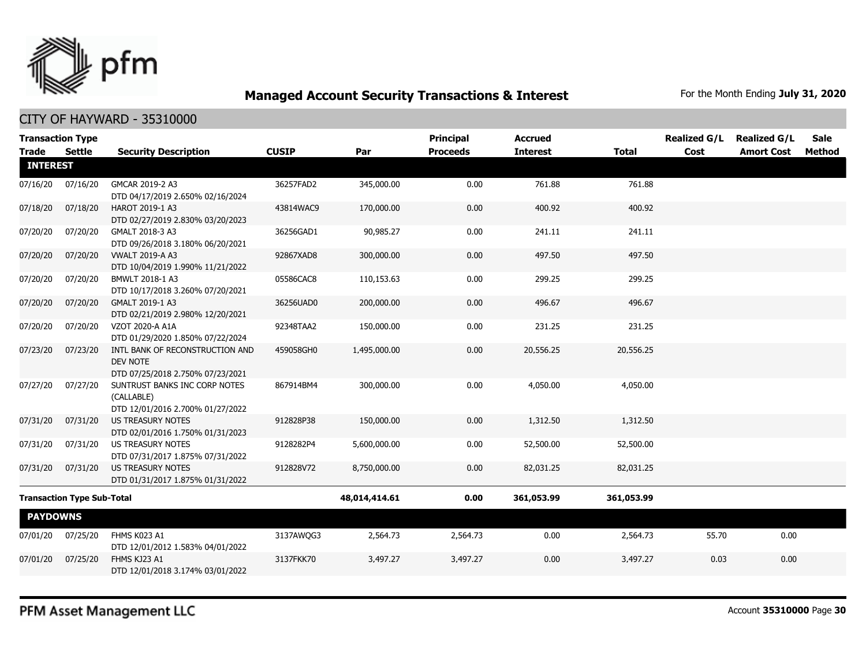

CITY OF HAYWARD - 35310000

|          |                                                                                            |                                                                                                                                                                                                                                                                                                                                                                                          |                           | <b>Principal</b> | <b>Accrued</b>          |                           | <b>Realized G/L</b> | <b>Realized G/L</b> | <b>Sale</b>       |
|----------|--------------------------------------------------------------------------------------------|------------------------------------------------------------------------------------------------------------------------------------------------------------------------------------------------------------------------------------------------------------------------------------------------------------------------------------------------------------------------------------------|---------------------------|------------------|-------------------------|---------------------------|---------------------|---------------------|-------------------|
|          | <b>Security Description</b>                                                                |                                                                                                                                                                                                                                                                                                                                                                                          | Par                       |                  |                         | <b>Total</b>              |                     |                     | <b>Method</b>     |
|          |                                                                                            |                                                                                                                                                                                                                                                                                                                                                                                          |                           |                  |                         |                           |                     |                     |                   |
| 07/16/20 | GMCAR 2019-2 A3                                                                            | 36257FAD2                                                                                                                                                                                                                                                                                                                                                                                | 345,000.00                | 0.00             | 761.88                  | 761.88                    |                     |                     |                   |
| 07/18/20 | HAROT 2019-1 A3                                                                            | 43814WAC9                                                                                                                                                                                                                                                                                                                                                                                | 170,000.00                | 0.00             | 400.92                  | 400.92                    |                     |                     |                   |
|          | DTD 02/27/2019 2.830% 03/20/2023                                                           |                                                                                                                                                                                                                                                                                                                                                                                          |                           |                  |                         |                           |                     |                     |                   |
|          | DTD 09/26/2018 3.180% 06/20/2021                                                           |                                                                                                                                                                                                                                                                                                                                                                                          |                           |                  |                         |                           |                     |                     |                   |
| 07/20/20 | <b>VWALT 2019-A A3</b>                                                                     | 92867XAD8                                                                                                                                                                                                                                                                                                                                                                                | 300,000.00                | 0.00             | 497.50                  | 497.50                    |                     |                     |                   |
| 07/20/20 | BMWLT 2018-1 A3                                                                            | 05586CAC8                                                                                                                                                                                                                                                                                                                                                                                | 110,153.63                | 0.00             | 299.25                  | 299.25                    |                     |                     |                   |
| 07/20/20 | GMALT 2019-1 A3                                                                            | 36256UAD0                                                                                                                                                                                                                                                                                                                                                                                | 200,000.00                | 0.00             | 496.67                  | 496.67                    |                     |                     |                   |
| 07/20/20 | VZOT 2020-A A1A                                                                            | 92348TAA2                                                                                                                                                                                                                                                                                                                                                                                | 150,000.00                | 0.00             | 231.25                  | 231.25                    |                     |                     |                   |
| 07/23/20 | INTL BANK OF RECONSTRUCTION AND<br><b>DEV NOTE</b>                                         | 459058GH0                                                                                                                                                                                                                                                                                                                                                                                | 1,495,000.00              | 0.00             | 20,556.25               | 20,556.25                 |                     |                     |                   |
| 07/27/20 | SUNTRUST BANKS INC CORP NOTES<br>(CALLABLE)                                                | 867914BM4                                                                                                                                                                                                                                                                                                                                                                                | 300,000.00                | 0.00             | 4,050.00                | 4,050.00                  |                     |                     |                   |
| 07/31/20 | <b>US TREASURY NOTES</b>                                                                   | 912828P38                                                                                                                                                                                                                                                                                                                                                                                | 150,000.00                | 0.00             | 1,312.50                | 1,312.50                  |                     |                     |                   |
| 07/31/20 | <b>US TREASURY NOTES</b>                                                                   | 9128282P4                                                                                                                                                                                                                                                                                                                                                                                | 5,600,000.00              | 0.00             | 52,500.00               | 52,500.00                 |                     |                     |                   |
| 07/31/20 | <b>US TREASURY NOTES</b><br>DTD 01/31/2017 1.875% 01/31/2022                               | 912828V72                                                                                                                                                                                                                                                                                                                                                                                | 8,750,000.00              | 0.00             | 82,031.25               | 82,031.25                 |                     |                     |                   |
|          |                                                                                            |                                                                                                                                                                                                                                                                                                                                                                                          | 48,014,414.61             | 0.00             | 361,053.99              | 361,053.99                |                     |                     |                   |
|          |                                                                                            |                                                                                                                                                                                                                                                                                                                                                                                          |                           |                  |                         |                           |                     |                     |                   |
| 07/25/20 | FHMS K023 A1                                                                               | 3137AWOG3                                                                                                                                                                                                                                                                                                                                                                                | 2,564.73                  | 2,564.73         | 0.00                    | 2,564.73                  | 55.70               | 0.00                |                   |
|          | DTD 12/01/2012 1.583% 04/01/2022                                                           |                                                                                                                                                                                                                                                                                                                                                                                          |                           |                  |                         |                           |                     |                     |                   |
| 07/25/20 | FHMS KJ23 A1<br>DTD 12/01/2018 3.174% 03/01/2022                                           | 3137FKK70                                                                                                                                                                                                                                                                                                                                                                                | 3,497.27                  | 3,497.27         | 0.00                    | 3,497.27                  | 0.03                | 0.00                |                   |
|          | <b>Transaction Type</b><br><b>Settle</b><br><b>INTEREST</b><br>07/20/20<br><b>PAYDOWNS</b> | DTD 04/17/2019 2.650% 02/16/2024<br>GMALT 2018-3 A3<br>DTD 10/04/2019 1.990% 11/21/2022<br>DTD 10/17/2018 3.260% 07/20/2021<br>DTD 02/21/2019 2.980% 12/20/2021<br>DTD 01/29/2020 1.850% 07/22/2024<br>DTD 07/25/2018 2.750% 07/23/2021<br>DTD 12/01/2016 2.700% 01/27/2022<br>DTD 02/01/2016 1.750% 01/31/2023<br>DTD 07/31/2017 1.875% 07/31/2022<br><b>Transaction Type Sub-Total</b> | <b>CUSIP</b><br>36256GAD1 | 90,985.27        | <b>Proceeds</b><br>0.00 | <b>Interest</b><br>241.11 | 241.11              | Cost                | <b>Amort Cost</b> |

PFM Asset Management LLC

Account **35310000** Page **30**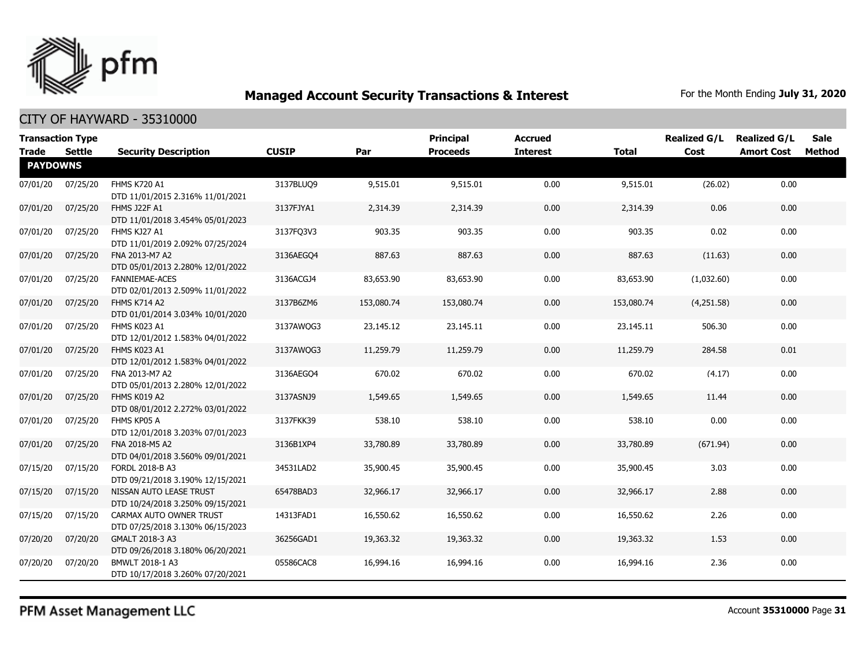

#### CITY OF HAYWARD - 35310000

| <b>Transaction Type</b><br>Trade | Settle   | <b>Security Description</b>                                 | <b>CUSIP</b> | Par        | <b>Principal</b><br><b>Proceeds</b> | <b>Accrued</b><br><b>Interest</b> | <b>Total</b> | <b>Realized G/L</b><br>Cost | <b>Realized G/L</b><br><b>Amort Cost</b> | <b>Sale</b><br>Method |
|----------------------------------|----------|-------------------------------------------------------------|--------------|------------|-------------------------------------|-----------------------------------|--------------|-----------------------------|------------------------------------------|-----------------------|
| <b>PAYDOWNS</b>                  |          |                                                             |              |            |                                     |                                   |              |                             |                                          |                       |
| 07/01/20                         | 07/25/20 | <b>FHMS K720 A1</b><br>DTD 11/01/2015 2.316% 11/01/2021     | 3137BLUQ9    | 9,515.01   | 9,515.01                            | 0.00                              | 9,515.01     | (26.02)                     | 0.00                                     |                       |
| 07/01/20                         | 07/25/20 | FHMS J22F A1<br>DTD 11/01/2018 3.454% 05/01/2023            | 3137FJYA1    | 2,314.39   | 2,314.39                            | 0.00                              | 2,314.39     | 0.06                        | 0.00                                     |                       |
| 07/01/20                         | 07/25/20 | FHMS KJ27 A1<br>DTD 11/01/2019 2.092% 07/25/2024            | 3137FQ3V3    | 903.35     | 903.35                              | 0.00                              | 903.35       | 0.02                        | 0.00                                     |                       |
| 07/01/20                         | 07/25/20 | FNA 2013-M7 A2<br>DTD 05/01/2013 2.280% 12/01/2022          | 3136AEGO4    | 887.63     | 887.63                              | 0.00                              | 887.63       | (11.63)                     | 0.00                                     |                       |
| 07/01/20                         | 07/25/20 | <b>FANNIEMAE-ACES</b><br>DTD 02/01/2013 2.509% 11/01/2022   | 3136ACGJ4    | 83,653.90  | 83,653.90                           | 0.00                              | 83,653.90    | (1,032.60)                  | 0.00                                     |                       |
| 07/01/20                         | 07/25/20 | FHMS K714 A2<br>DTD 01/01/2014 3.034% 10/01/2020            | 3137B6ZM6    | 153,080.74 | 153,080.74                          | 0.00                              | 153,080.74   | (4,251.58)                  | 0.00                                     |                       |
| 07/01/20                         | 07/25/20 | FHMS K023 A1<br>DTD 12/01/2012 1.583% 04/01/2022            | 3137AWQG3    | 23,145.12  | 23,145.11                           | 0.00                              | 23,145.11    | 506.30                      | 0.00                                     |                       |
| 07/01/20                         | 07/25/20 | FHMS K023 A1<br>DTD 12/01/2012 1.583% 04/01/2022            | 3137AWQG3    | 11,259.79  | 11,259.79                           | 0.00                              | 11,259.79    | 284.58                      | 0.01                                     |                       |
| 07/01/20                         | 07/25/20 | FNA 2013-M7 A2<br>DTD 05/01/2013 2.280% 12/01/2022          | 3136AEGO4    | 670.02     | 670.02                              | 0.00                              | 670.02       | (4.17)                      | 0.00                                     |                       |
| 07/01/20                         | 07/25/20 | FHMS K019 A2<br>DTD 08/01/2012 2.272% 03/01/2022            | 3137ASNJ9    | 1,549.65   | 1,549.65                            | 0.00                              | 1,549.65     | 11.44                       | 0.00                                     |                       |
| 07/01/20                         | 07/25/20 | FHMS KP05 A<br>DTD 12/01/2018 3.203% 07/01/2023             | 3137FKK39    | 538.10     | 538.10                              | 0.00                              | 538.10       | 0.00                        | 0.00                                     |                       |
| 07/01/20                         | 07/25/20 | FNA 2018-M5 A2<br>DTD 04/01/2018 3.560% 09/01/2021          | 3136B1XP4    | 33,780.89  | 33,780.89                           | 0.00                              | 33,780.89    | (671.94)                    | 0.00                                     |                       |
| 07/15/20                         | 07/15/20 | FORDL 2018-B A3<br>DTD 09/21/2018 3.190% 12/15/2021         | 34531LAD2    | 35,900.45  | 35,900.45                           | 0.00                              | 35,900.45    | 3.03                        | 0.00                                     |                       |
| 07/15/20                         | 07/15/20 | NISSAN AUTO LEASE TRUST<br>DTD 10/24/2018 3.250% 09/15/2021 | 65478BAD3    | 32,966.17  | 32,966.17                           | 0.00                              | 32,966.17    | 2.88                        | 0.00                                     |                       |
| 07/15/20                         | 07/15/20 | CARMAX AUTO OWNER TRUST<br>DTD 07/25/2018 3.130% 06/15/2023 | 14313FAD1    | 16,550.62  | 16,550.62                           | 0.00                              | 16,550.62    | 2.26                        | 0.00                                     |                       |
| 07/20/20                         | 07/20/20 | GMALT 2018-3 A3<br>DTD 09/26/2018 3.180% 06/20/2021         | 36256GAD1    | 19,363.32  | 19,363.32                           | 0.00                              | 19,363.32    | 1.53                        | 0.00                                     |                       |
| 07/20/20                         | 07/20/20 | BMWLT 2018-1 A3<br>DTD 10/17/2018 3.260% 07/20/2021         | 05586CAC8    | 16,994.16  | 16,994.16                           | 0.00                              | 16,994.16    | 2.36                        | 0.00                                     |                       |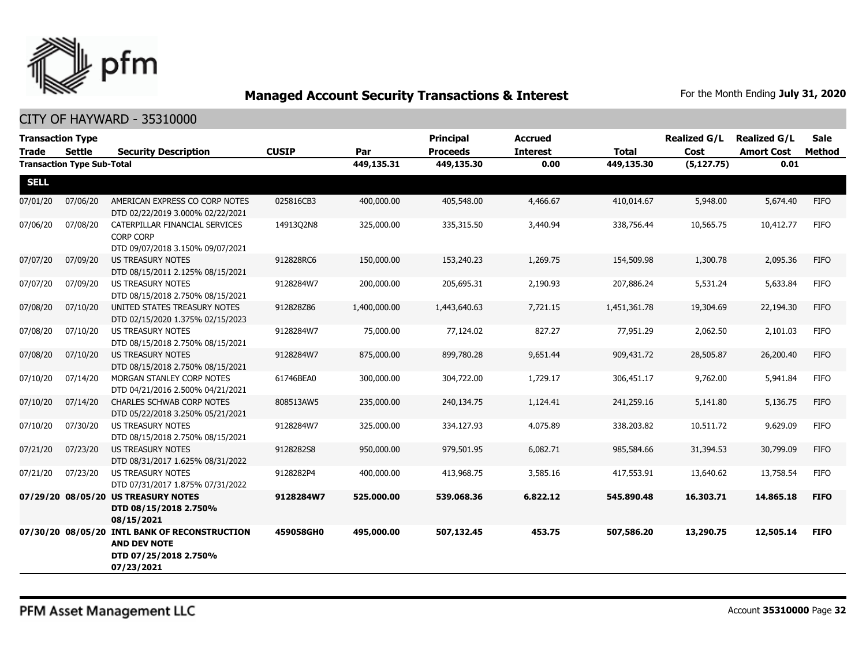

| <b>Transaction Type</b> |                                   |                                                                                                             |              |              | <b>Principal</b> | <b>Accrued</b>  |              | <b>Realized G/L</b> | <b>Realized G/L</b> | <b>Sale</b> |
|-------------------------|-----------------------------------|-------------------------------------------------------------------------------------------------------------|--------------|--------------|------------------|-----------------|--------------|---------------------|---------------------|-------------|
| <b>Trade</b>            | Settle                            | <b>Security Description</b>                                                                                 | <b>CUSIP</b> | Par          | <b>Proceeds</b>  | <b>Interest</b> | <b>Total</b> | Cost                | <b>Amort Cost</b>   | Method      |
|                         | <b>Transaction Type Sub-Total</b> |                                                                                                             |              | 449,135.31   | 449,135.30       | 0.00            | 449,135.30   | (5, 127.75)         | 0.01                |             |
| <b>SELL</b>             |                                   |                                                                                                             |              |              |                  |                 |              |                     |                     |             |
| 07/01/20                | 07/06/20                          | AMERICAN EXPRESS CO CORP NOTES<br>DTD 02/22/2019 3.000% 02/22/2021                                          | 025816CB3    | 400,000.00   | 405,548.00       | 4,466.67        | 410,014.67   | 5,948.00            | 5,674.40            | <b>FIFO</b> |
| 07/06/20                | 07/08/20                          | CATERPILLAR FINANCIAL SERVICES<br><b>CORP CORP</b>                                                          | 14913Q2N8    | 325,000.00   | 335,315.50       | 3,440.94        | 338,756.44   | 10,565.75           | 10,412.77           | <b>FIFO</b> |
|                         |                                   | DTD 09/07/2018 3.150% 09/07/2021                                                                            |              |              |                  |                 |              |                     |                     |             |
| 07/07/20                | 07/09/20                          | <b>US TREASURY NOTES</b><br>DTD 08/15/2011 2.125% 08/15/2021                                                | 912828RC6    | 150,000.00   | 153,240.23       | 1,269.75        | 154,509.98   | 1,300.78            | 2,095.36            | <b>FIFO</b> |
| 07/07/20                | 07/09/20                          | <b>US TREASURY NOTES</b><br>DTD 08/15/2018 2.750% 08/15/2021                                                | 9128284W7    | 200,000.00   | 205,695.31       | 2,190.93        | 207.886.24   | 5,531.24            | 5,633.84            | <b>FIFO</b> |
| 07/08/20                | 07/10/20                          | UNITED STATES TREASURY NOTES<br>DTD 02/15/2020 1.375% 02/15/2023                                            | 912828Z86    | 1,400,000.00 | 1,443,640.63     | 7,721.15        | 1,451,361.78 | 19,304.69           | 22,194.30           | <b>FIFO</b> |
| 07/08/20                | 07/10/20                          | <b>US TREASURY NOTES</b><br>DTD 08/15/2018 2.750% 08/15/2021                                                | 9128284W7    | 75,000.00    | 77,124.02        | 827.27          | 77,951.29    | 2,062.50            | 2,101.03            | <b>FIFO</b> |
| 07/08/20                | 07/10/20                          | <b>US TREASURY NOTES</b><br>DTD 08/15/2018 2.750% 08/15/2021                                                | 9128284W7    | 875,000.00   | 899,780.28       | 9,651.44        | 909,431.72   | 28,505.87           | 26,200.40           | <b>FIFO</b> |
| 07/10/20                | 07/14/20                          | MORGAN STANLEY CORP NOTES<br>DTD 04/21/2016 2.500% 04/21/2021                                               | 61746BEA0    | 300,000.00   | 304,722.00       | 1,729.17        | 306,451.17   | 9,762.00            | 5,941.84            | <b>FIFO</b> |
| 07/10/20                | 07/14/20                          | <b>CHARLES SCHWAB CORP NOTES</b><br>DTD 05/22/2018 3.250% 05/21/2021                                        | 808513AW5    | 235,000.00   | 240,134.75       | 1,124.41        | 241,259.16   | 5,141.80            | 5,136.75            | <b>FIFO</b> |
| 07/10/20                | 07/30/20                          | <b>US TREASURY NOTES</b><br>DTD 08/15/2018 2.750% 08/15/2021                                                | 9128284W7    | 325,000.00   | 334,127.93       | 4,075.89        | 338,203.82   | 10,511.72           | 9,629.09            | <b>FIFO</b> |
| 07/21/20                | 07/23/20                          | <b>US TREASURY NOTES</b><br>DTD 08/31/2017 1.625% 08/31/2022                                                | 9128282S8    | 950,000.00   | 979,501.95       | 6,082.71        | 985,584.66   | 31,394.53           | 30,799.09           | <b>FIFO</b> |
| 07/21/20                | 07/23/20                          | US TREASURY NOTES<br>DTD 07/31/2017 1.875% 07/31/2022                                                       | 9128282P4    | 400,000.00   | 413,968.75       | 3,585.16        | 417,553.91   | 13,640.62           | 13,758.54           | <b>FIFO</b> |
|                         |                                   | 07/29/20 08/05/20 US TREASURY NOTES<br>DTD 08/15/2018 2.750%<br>08/15/2021                                  | 9128284W7    | 525,000.00   | 539,068.36       | 6,822.12        | 545,890.48   | 16,303.71           | 14,865.18           | <b>FIFO</b> |
|                         |                                   | 07/30/20 08/05/20 INTL BANK OF RECONSTRUCTION<br><b>AND DEV NOTE</b><br>DTD 07/25/2018 2.750%<br>07/23/2021 | 459058GH0    | 495,000.00   | 507,132.45       | 453.75          | 507,586.20   | 13,290.75           | 12,505.14           | <b>FIFO</b> |